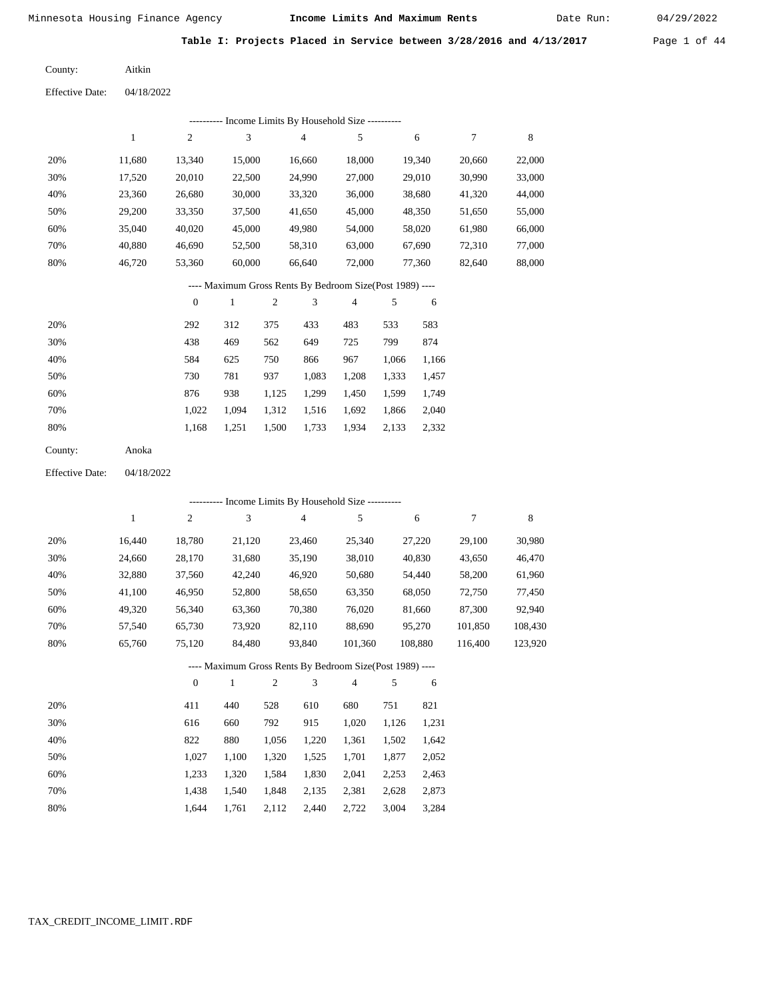Date Run:

**Table I: Projects Placed in Service between 3/28/2016 and 4/13/2017** Page 1 of 44

Aitkin County:

Effective Date: 04/18/2022

| Liittist Duit.         |              |                  |              |                  |                                                          |                |            |         |                  |             |
|------------------------|--------------|------------------|--------------|------------------|----------------------------------------------------------|----------------|------------|---------|------------------|-------------|
|                        |              |                  |              |                  | --------- Income Limits By Household Size ---------      |                |            |         |                  |             |
|                        | $\mathbf{1}$ | $\boldsymbol{2}$ | 3            |                  | 4                                                        | 5              |            | 6       | $\boldsymbol{7}$ | $\,$ 8 $\,$ |
| 20%                    | 11,680       | 13,340           | 15,000       |                  | 16,660                                                   | 18,000         |            | 19,340  | 20,660           | 22,000      |
| 30%                    | 17,520       | 20,010           | 22,500       |                  | 24,990                                                   | 27,000         |            | 29,010  | 30,990           | 33,000      |
| 40%                    | 23,360       | 26,680           | 30,000       |                  | 33,320                                                   | 36,000         |            | 38,680  | 41,320           | 44,000      |
| 50%                    | 29,200       | 33,350           | 37,500       |                  | 41,650                                                   | 45,000         |            | 48,350  | 51,650           | 55,000      |
| 60%                    | 35,040       | 40,020           | 45,000       |                  | 49,980                                                   | 54,000         |            | 58,020  | 61,980           | 66,000      |
| 70%                    | 40,880       | 46,690           | 52,500       |                  | 58,310                                                   | 63,000         |            | 67,690  | 72,310           | 77,000      |
| 80%                    | 46,720       | 53,360           | 60,000       |                  | 66,640                                                   | 72,000         |            | 77,360  | 82,640           | 88,000      |
|                        |              |                  |              |                  | ---- Maximum Gross Rents By Bedroom Size(Post 1989) ---- |                |            |         |                  |             |
|                        |              | $\boldsymbol{0}$ | $\mathbf{1}$ | $\boldsymbol{2}$ | 3                                                        | $\overline{4}$ | 5          | 6       |                  |             |
| 20%                    |              | 292              | 312          | 375              | 433                                                      | 483            | 533        | 583     |                  |             |
| 30%                    |              | 438              | 469          | 562              | 649                                                      | 725            | 799        | 874     |                  |             |
| 40%                    |              | 584              | 625          | 750              | 866                                                      | 967            | 1,066      | 1,166   |                  |             |
| 50%                    |              | 730              | 781          | 937              | 1,083                                                    | 1,208          | 1,333      | 1,457   |                  |             |
| 60%                    |              | 876              | 938          | 1,125            | 1,299                                                    | 1,450          | 1,599      | 1,749   |                  |             |
| 70%                    |              | 1,022            | 1,094        | 1,312            | 1,516                                                    | 1,692          | 1,866      | 2,040   |                  |             |
| 80%                    |              | 1,168            | 1,251        | 1,500            | 1,733                                                    | 1,934          | 2,133      | 2,332   |                  |             |
| County:                | Anoka        |                  |              |                  |                                                          |                |            |         |                  |             |
| <b>Effective Date:</b> | 04/18/2022   |                  |              |                  |                                                          |                |            |         |                  |             |
|                        |              |                  |              |                  |                                                          |                |            |         |                  |             |
|                        |              | $\sqrt{2}$       | $\sqrt{3}$   |                  | --------- Income Limits By Household Size ---------      | 5              |            |         | $\boldsymbol{7}$ | $\,$ 8 $\,$ |
|                        | $\mathbf{1}$ |                  |              |                  | 4                                                        |                |            | 6       |                  |             |
| 20%                    | 16,440       | 18,780           | 21,120       |                  | 23,460                                                   | 25,340         |            | 27,220  | 29,100           | 30,980      |
| 30%                    | 24,660       | 28,170           | 31,680       |                  | 35,190                                                   | 38,010         |            | 40,830  | 43,650           | 46,470      |
| 40%                    | 32,880       | 37,560           | 42,240       |                  | 46,920                                                   | 50,680         |            | 54,440  | 58,200           | 61,960      |
| 50%                    | 41,100       | 46,950           | 52,800       |                  | 58,650                                                   | 63,350         |            | 68,050  | 72,750           | 77,450      |
| 60%                    | 49,320       | 56,340           | 63,360       |                  | 70,380                                                   | 76,020         |            | 81,660  | 87,300           | 92,940      |
| 70%                    | 57,540       | 65,730           | 73,920       |                  | 82,110                                                   | 88,690         |            | 95,270  | 101,850          | 108,430     |
| 80%                    | 65,760       | 75,120           | 84,480       |                  | 93,840                                                   | 101,360        |            | 108,880 | 116,400          | 123,920     |
|                        |              |                  |              |                  | ---- Maximum Gross Rents By Bedroom Size(Post 1989) ---- |                |            |         |                  |             |
|                        |              | $\boldsymbol{0}$ | $\mathbf{1}$ | $\overline{c}$   | 3                                                        | $\overline{4}$ | $\sqrt{5}$ | 6       |                  |             |
| 20%                    |              | 411              | 440          | 528              | 610                                                      | 680            | 751        | 821     |                  |             |
| 30%                    |              | 616              | 660          | 792              | 915                                                      | 1,020          | 1,126      | 1,231   |                  |             |
| 40%                    |              | 822              | 880          | 1,056            | 1,220                                                    | 1,361          | 1,502      | 1,642   |                  |             |
| 50%                    |              | 1,027            | 1,100        | 1,320            | 1,525                                                    | 1,701          | 1,877      | 2,052   |                  |             |
| 60%                    |              | 1,233            | 1,320        | 1,584            | 1,830                                                    | 2,041          | 2,253      | 2,463   |                  |             |

 1,438 1,540 1,848 2,135 2,381 2,628 2,873 1,644 1,761 2,112 2,440 2,722 3,004 3,284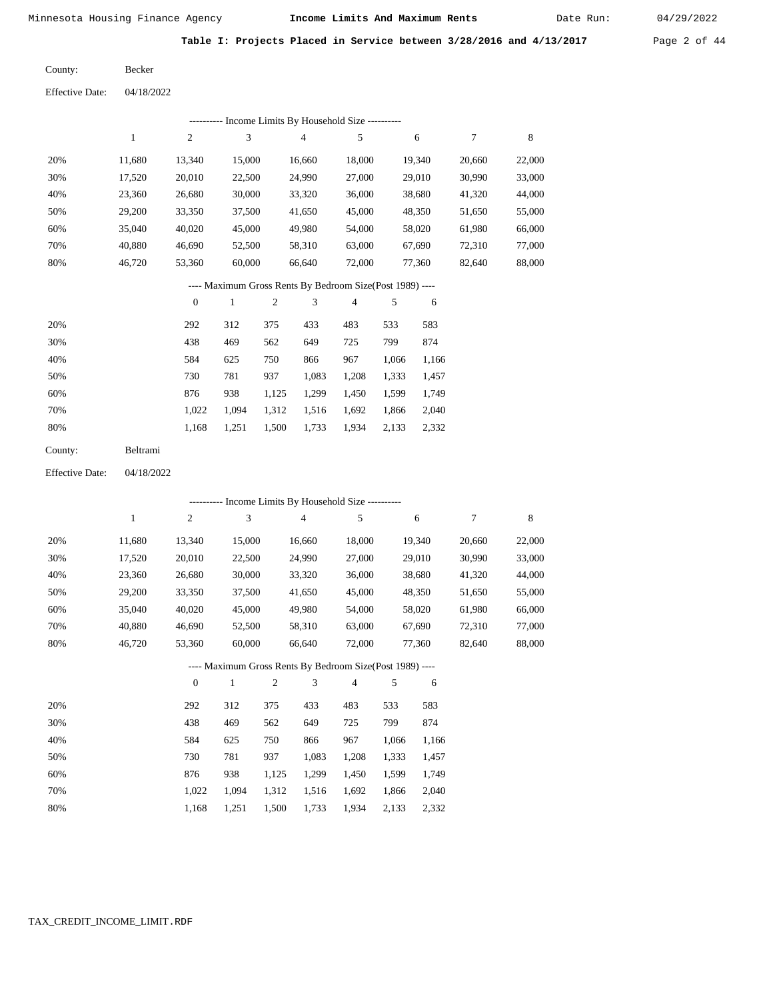Date Run:

**Table I: Projects Placed in Service between 3/28/2016 and 4/13/2017** Page 2 of 44

Becker County:

04/18/2022 Effective Date:

|     |        |        |        | ---------- Income Limits By Household Size ----------    |        |        |        |        |
|-----|--------|--------|--------|----------------------------------------------------------|--------|--------|--------|--------|
|     | 1      | 2      | 3      | $\overline{4}$                                           | 5      | 6      | 7      | 8      |
| 20% | 11.680 | 13.340 | 15,000 | 16.660                                                   | 18,000 | 19.340 | 20,660 | 22,000 |
| 30% | 17,520 | 20,010 | 22,500 | 24,990                                                   | 27,000 | 29,010 | 30,990 | 33,000 |
| 40% | 23,360 | 26,680 | 30,000 | 33,320                                                   | 36,000 | 38,680 | 41,320 | 44,000 |
| 50% | 29,200 | 33,350 | 37,500 | 41,650                                                   | 45,000 | 48,350 | 51,650 | 55,000 |
| 60% | 35,040 | 40.020 | 45,000 | 49,980                                                   | 54,000 | 58,020 | 61,980 | 66,000 |
| 70% | 40.880 | 46,690 | 52,500 | 58,310                                                   | 63,000 | 67,690 | 72.310 | 77,000 |
| 80% | 46,720 | 53,360 | 60,000 | 66.640                                                   | 72,000 | 77,360 | 82,640 | 88,000 |
|     |        |        |        | ---- Maximum Gross Rents By Bedroom Size(Post 1989) ---- |        |        |        |        |

|     |       |       | $\overline{2}$ | 3     | $\overline{4}$ |       | 6     |
|-----|-------|-------|----------------|-------|----------------|-------|-------|
| 20% | 292   | 312   | 375            | 433   | 483            | 533   | 583   |
| 30% | 438   | 469   | 562            | 649   | 725            | 799   | 874   |
| 40% | 584   | 625   | 750            | 866   | 967            | 1,066 | 1,166 |
| 50% | 730   | 781   | 937            | 1,083 | 1,208          | 1,333 | 1,457 |
| 60% | 876   | 938   | 1,125          | 1,299 | 1,450          | 1,599 | 1,749 |
| 70% | 1.022 | 1.094 | 1,312          | 1,516 | 1,692          | 1,866 | 2,040 |
| 80% | 1,168 | 1,251 | 1,500          | 1,733 | 1,934          | 2,133 | 2,332 |
|     |       |       |                |       |                |       |       |

| Beltrami<br>County: |  |
|---------------------|--|
|---------------------|--|

04/18/2022 Effective Date:

|     |              |                |              |                |                | ---------- Income Limits By Household Size ----------    |       |        |        |        |
|-----|--------------|----------------|--------------|----------------|----------------|----------------------------------------------------------|-------|--------|--------|--------|
|     | $\mathbf{1}$ | $\overline{c}$ | 3            |                | $\overline{4}$ | 5                                                        |       | 6      | 7      | 8      |
| 20% | 11,680       | 13,340         | 15,000       |                | 16,660         | 18,000                                                   |       | 19,340 | 20,660 | 22,000 |
| 30% | 17,520       | 20,010         | 22,500       |                | 24,990         | 27,000                                                   |       | 29,010 | 30,990 | 33,000 |
| 40% | 23,360       | 26,680         | 30,000       |                | 33,320         | 36,000                                                   |       | 38,680 | 41,320 | 44,000 |
| 50% | 29,200       | 33,350         | 37,500       |                | 41,650         | 45,000                                                   |       | 48,350 | 51,650 | 55,000 |
| 60% | 35,040       | 40,020         | 45,000       |                | 49,980         | 54,000                                                   |       | 58,020 | 61,980 | 66,000 |
| 70% | 40,880       | 46,690         | 52,500       |                | 58,310         | 63,000                                                   |       | 67,690 | 72,310 | 77,000 |
| 80% | 46,720       | 53,360         | 60,000       |                | 66,640         | 72,000                                                   |       | 77,360 | 82,640 | 88,000 |
|     |              |                |              |                |                | ---- Maximum Gross Rents By Bedroom Size(Post 1989) ---- |       |        |        |        |
|     |              | $\theta$       | $\mathbf{1}$ | $\overline{c}$ | 3              | $\overline{4}$                                           | 5     | 6      |        |        |
| 20% |              | 292            | 312          | 375            | 433            | 483                                                      | 533   | 583    |        |        |
| 30% |              | 438            | 469          | 562            | 649            | 725                                                      | 799   | 874    |        |        |
| 40% |              | 584            | 625          | 750            | 866            | 967                                                      | 1,066 | 1,166  |        |        |
| 50% |              | 730            | 781          | 937            | 1,083          | 1,208                                                    | 1,333 | 1,457  |        |        |
| 60% |              | 876            | 938          | 1,125          | 1,299          | 1,450                                                    | 1,599 | 1,749  |        |        |

 1,312 1,516 1,692 1,866 2,040 1,500 1,733 1,934 2,133 2,332

 1,022 1,094 1,168 1,251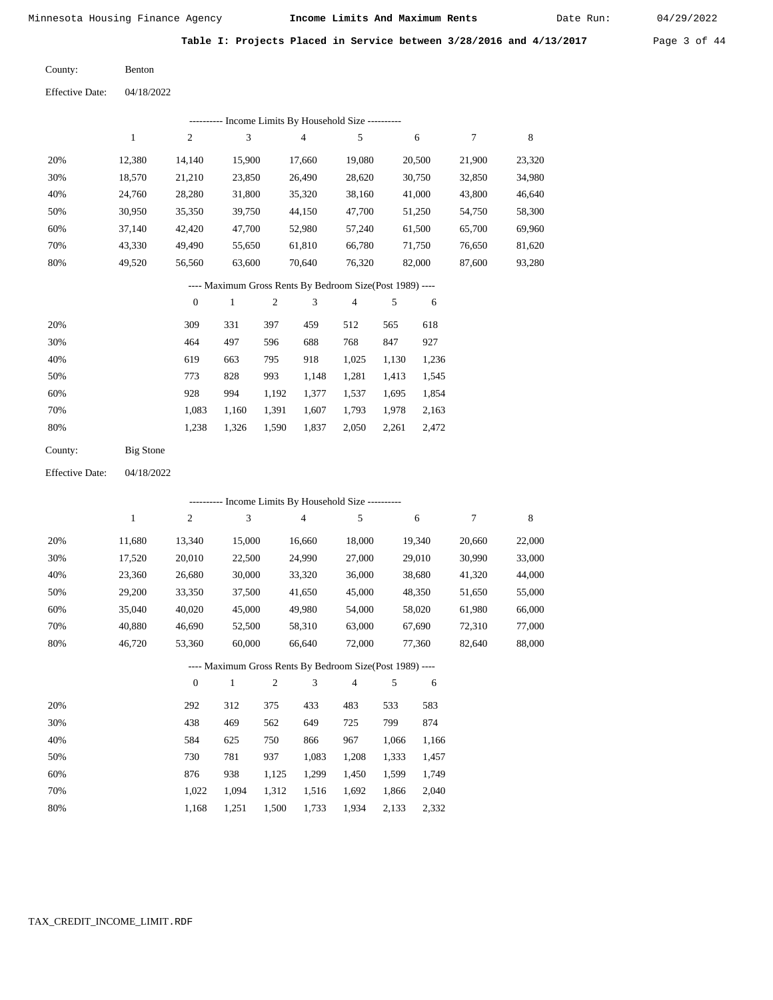Date Run:

**Table I: Projects Placed in Service between 3/28/2016 and 4/13/2017** Page 3 of 44

Benton County:

04/18/2022 Effective Date:

|     |        |          |        |     |        | ---------- Income Limits By Household Size ----------    |     |        |        |        |
|-----|--------|----------|--------|-----|--------|----------------------------------------------------------|-----|--------|--------|--------|
|     | 1      | 2        | 3      |     | 4      | 5                                                        |     | 6      | 7      | 8      |
| 20% | 12,380 | 14,140   | 15,900 |     | 17,660 | 19,080                                                   |     | 20,500 | 21,900 | 23,320 |
| 30% | 18,570 | 21,210   | 23,850 |     | 26,490 | 28,620                                                   |     | 30,750 | 32,850 | 34,980 |
| 40% | 24,760 | 28,280   | 31,800 |     | 35,320 | 38,160                                                   |     | 41,000 | 43,800 | 46,640 |
| 50% | 30,950 | 35,350   | 39,750 |     | 44,150 | 47,700                                                   |     | 51,250 | 54,750 | 58,300 |
| 60% | 37,140 | 42,420   | 47,700 |     | 52,980 | 57,240                                                   |     | 61,500 | 65,700 | 69,960 |
| 70% | 43.330 | 49,490   | 55,650 |     | 61,810 | 66,780                                                   |     | 71,750 | 76,650 | 81,620 |
| 80% | 49,520 | 56,560   | 63,600 |     | 70,640 | 76,320                                                   |     | 82,000 | 87,600 | 93,280 |
|     |        |          |        |     |        | ---- Maximum Gross Rents By Bedroom Size(Post 1989) ---- |     |        |        |        |
|     |        | $\theta$ | 1      | 2   | 3      | $\overline{4}$                                           | 5   | 6      |        |        |
| 20% |        | 309      | 331    | 397 | 459    | 512                                                      | 565 | 618    |        |        |
| 30% |        | 464      | 497    | 596 | 688    | 768                                                      | 847 | 927    |        |        |

| - JU 70 | $+0+$ | $+71$ | J 7 U                               | <u>voo</u>                    | 700 | $(3 + 1)$         | 721 |
|---------|-------|-------|-------------------------------------|-------------------------------|-----|-------------------|-----|
| 40%     | 619   | 663   | 795                                 | 918                           |     | 1,025 1,130 1,236 |     |
| 50%     | 773   | 828   | 993                                 | 1.148                         |     | 1,281 1,413 1,545 |     |
| 60%     | 928   | 994   |                                     | 1,192 1,377 1,537 1,695 1,854 |     |                   |     |
| 70%     | 1.083 |       | 1,160 1,391 1,607 1,793 1,978 2,163 |                               |     |                   |     |
| 80%     | 1.238 | 1.326 | 1,590 1,837 2,050 2,261 2,472       |                               |     |                   |     |
|         |       |       |                                     |                               |     |                   |     |

| County: | Big Stone |
|---------|-----------|
|         |           |

04/18/2022 Effective Date:

|     |        |                  |              |                |                | ---------- Income Limits By Household Size ----------    |       |        |        |        |
|-----|--------|------------------|--------------|----------------|----------------|----------------------------------------------------------|-------|--------|--------|--------|
|     | 1      | $\overline{c}$   | 3            |                | $\overline{4}$ | 5                                                        |       | 6      | 7      | 8      |
| 20% | 11,680 | 13,340           | 15,000       |                | 16,660         | 18,000                                                   |       | 19,340 | 20,660 | 22,000 |
| 30% | 17,520 | 20,010           | 22,500       |                | 24,990         | 27,000                                                   |       | 29,010 | 30,990 | 33,000 |
| 40% | 23,360 | 26,680           | 30,000       |                | 33,320         | 36,000                                                   |       | 38,680 | 41,320 | 44,000 |
| 50% | 29,200 | 33,350           | 37,500       |                | 41,650         | 45,000                                                   |       | 48,350 | 51,650 | 55,000 |
| 60% | 35,040 | 40,020           | 45,000       |                | 49,980         | 54,000                                                   |       | 58,020 | 61,980 | 66,000 |
| 70% | 40,880 | 46,690           | 52,500       |                | 58,310         | 63,000                                                   |       | 67,690 | 72,310 | 77,000 |
| 80% | 46,720 | 53,360           | 60,000       |                | 66,640         | 72,000                                                   |       | 77,360 | 82,640 | 88,000 |
|     |        |                  |              |                |                | ---- Maximum Gross Rents By Bedroom Size(Post 1989) ---- |       |        |        |        |
|     |        | $\boldsymbol{0}$ | $\mathbf{1}$ | $\overline{2}$ | 3              | $\overline{4}$                                           | 5     | 6      |        |        |
| 20% |        | 292              | 312          | 375            | 433            | 483                                                      | 533   | 583    |        |        |
| 30% |        | 438              | 469          | 562            | 649            | 725                                                      | 799   | 874    |        |        |
| 40% |        | 584              | 625          | 750            | 866            | 967                                                      | 1,066 | 1,166  |        |        |
| 50% |        | 730              | 781          | 937            | 1,083          | 1,208                                                    | 1,333 | 1,457  |        |        |
| 60% |        | 876              | 938          | 1,125          | 1,299          | 1,450                                                    | 1,599 | 1,749  |        |        |

1,022 1,094 1,312 1,516 1,692 1,866 2,040

1,934 2,133 2,332

1,500 1,733

1,168 1,251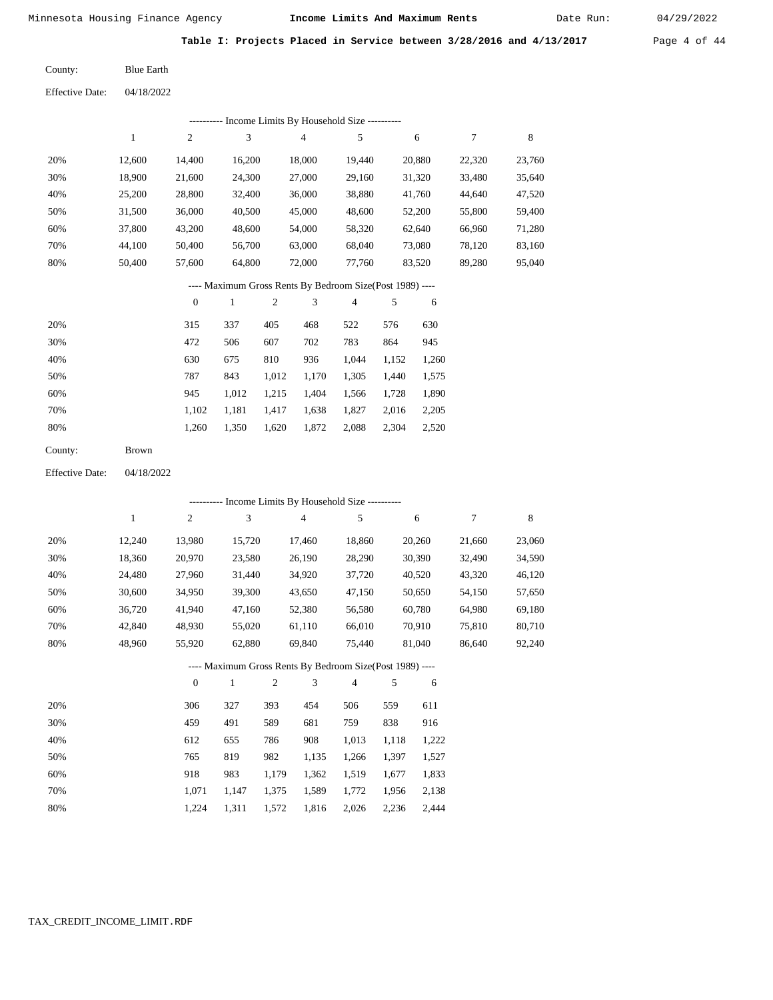Date Run:

**Table I: Projects Placed in Service between 3/28/2016 and 4/13/2017** Page 4 of 44

Blue Earth County:

04/18/2022 Effective Date:

|     |        |          |        | ---------- Income Limits By Household Size ---------- |                     |        |        |        |
|-----|--------|----------|--------|-------------------------------------------------------|---------------------|--------|--------|--------|
|     |        | 2        | 3      | 4                                                     | 5                   | 6      | 7      | 8      |
| 20% | 12.600 | 14.400   | 16,200 | 18.000                                                | 19.440              | 20,880 | 22,320 | 23,760 |
| 30% | 18.900 | 21,600   | 24,300 | 27,000                                                | 29,160              | 31,320 | 33.480 | 35,640 |
| 40% | 25,200 | 28,800   | 32.400 | 36,000                                                | 38,880              | 41,760 | 44.640 | 47,520 |
| 50% | 31.500 | 36,000   | 40.500 | 45,000                                                | 48,600              | 52,200 | 55,800 | 59,400 |
| 60% | 37,800 | 43,200   | 48,600 | 54,000                                                | 58,320              | 62,640 | 66,960 | 71,280 |
| 70% | 44.100 | 50,400   | 56,700 | 63,000                                                | 68,040              | 73,080 | 78.120 | 83,160 |
| 80% | 50.400 | 57,600   | 64,800 | 72,000                                                | 77.760              | 83,520 | 89,280 | 95,040 |
|     |        | $\cdots$ | $\sim$ | n. n. n. i                                            | $A'$ $(B)$ $(1000)$ |        |        |        |

---- Maximum Gross Rents By Bedroom Size(Post 1989) ----

|     | $\mathbf{0}$ |       |       | 3     | $\overline{4}$ |       | 6     |
|-----|--------------|-------|-------|-------|----------------|-------|-------|
| 20% | 315          | 337   | 405   | 468   | 522            | 576   | 630   |
| 30% | 472          | 506   | 607   | 702   | 783            | 864   | 945   |
| 40% | 630          | 675   | 810   | 936   | 1,044          | 1,152 | 1,260 |
| 50% | 787          | 843   | 1,012 | 1,170 | 1,305          | 1,440 | 1,575 |
| 60% | 945          | 1,012 | 1,215 | 1,404 | 1,566          | 1,728 | 1,890 |
| 70% | 1.102        | 1,181 | 1,417 | 1,638 | 1,827          | 2,016 | 2,205 |
| 80% | 1,260        | 1,350 | 1,620 | 1,872 | 2,088          | 2,304 | 2,520 |
|     |              |       |       |       |                |       |       |

Brown County:

04/18/2022 Effective Date:

|     |        |                  |        |                |                | ---------- Income Limits By Household Size ----------    |       |        |        |        |
|-----|--------|------------------|--------|----------------|----------------|----------------------------------------------------------|-------|--------|--------|--------|
|     | 1      | $\overline{c}$   | 3      |                | $\overline{4}$ | 5                                                        |       | 6      | 7      | 8      |
| 20% | 12,240 | 13,980           | 15,720 |                | 17,460         | 18,860                                                   |       | 20,260 | 21,660 | 23,060 |
| 30% | 18,360 | 20,970           | 23,580 |                | 26,190         | 28,290                                                   |       | 30,390 | 32,490 | 34,590 |
| 40% | 24,480 | 27,960           | 31,440 |                | 34,920         | 37,720                                                   |       | 40,520 | 43,320 | 46,120 |
| 50% | 30,600 | 34,950           | 39,300 |                | 43,650         | 47,150                                                   |       | 50,650 | 54,150 | 57,650 |
| 60% | 36,720 | 41,940           | 47,160 |                | 52,380         | 56,580                                                   |       | 60,780 | 64,980 | 69,180 |
| 70% | 42,840 | 48,930           | 55,020 |                | 61,110         | 66,010                                                   |       | 70,910 | 75,810 | 80,710 |
| 80% | 48,960 | 55,920           | 62,880 |                | 69,840         | 75,440                                                   |       | 81,040 | 86,640 | 92,240 |
|     |        |                  |        |                |                | ---- Maximum Gross Rents By Bedroom Size(Post 1989) ---- |       |        |        |        |
|     |        | $\boldsymbol{0}$ | 1      | $\mathfrak{2}$ | 3              | $\overline{4}$                                           | 5     | 6      |        |        |
| 20% |        | 306              | 327    | 393            | 454            | 506                                                      | 559   | 611    |        |        |
| 30% |        | 459              | 491    | 589            | 681            | 759                                                      | 838   | 916    |        |        |
| 40% |        | 612              | 655    | 786            | 908            | 1,013                                                    | 1,118 | 1,222  |        |        |
| 50% |        | 765              | 819    | 982            | 1,135          | 1,266                                                    | 1,397 | 1,527  |        |        |
| 60% |        | 918              | 983    | 1,179          | 1,362          | 1,519                                                    | 1,677 | 1,833  |        |        |

 1,071 1,224

 1,147 1,311

 1,375 1,572

 1,589 1,816  1,772 2,026 2,236

1,956

 2,138 2,444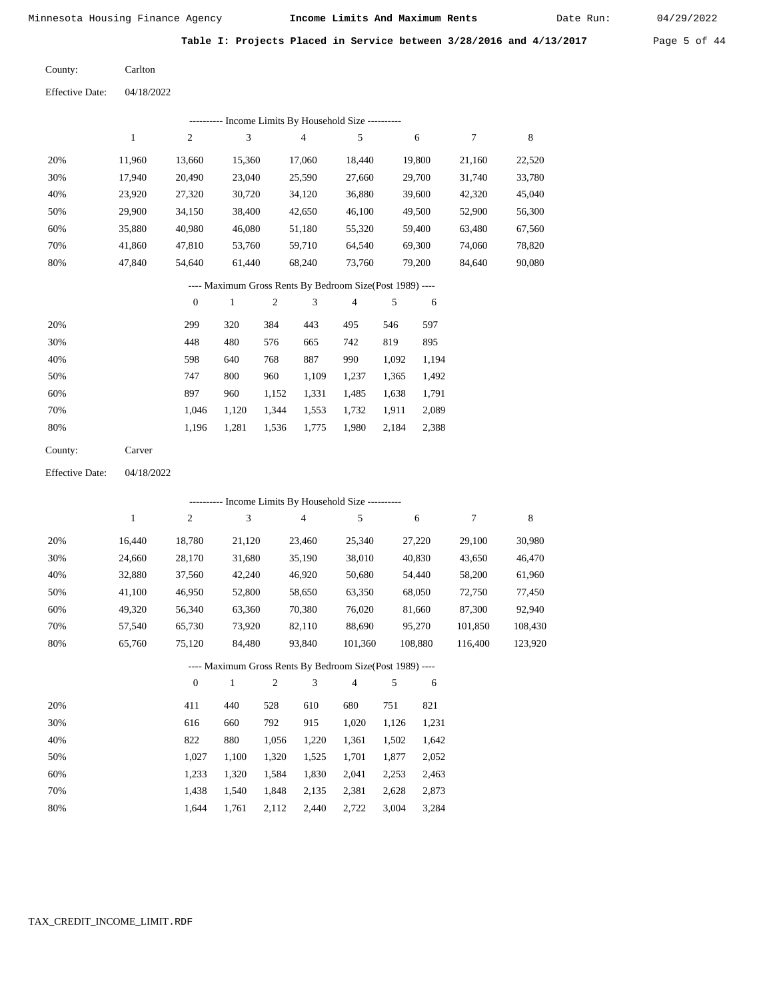Date Run:

**Table I: Projects Placed in Service between 3/28/2016 and 4/13/2017** Page 5 of 44

Carlton County:

04/18/2022 Effective Date:

|                        |              |                  | --------- Income Limits By Household Size ----------     |            |                          |                |       |         |         |             |
|------------------------|--------------|------------------|----------------------------------------------------------|------------|--------------------------|----------------|-------|---------|---------|-------------|
|                        | $\mathbf{1}$ | $\overline{c}$   | 3                                                        |            | 4                        | 5              |       | 6       | $\tau$  | 8           |
| 20%                    | 11,960       | 13,660           | 15,360                                                   |            | 17,060                   | 18,440         |       | 19,800  | 21,160  | 22,520      |
| 30%                    | 17,940       | 20,490           | 23,040                                                   |            | 25,590                   | 27,660         |       | 29,700  | 31,740  | 33,780      |
| 40%                    | 23,920       | 27,320           | 30,720                                                   |            | 34,120                   | 36,880         |       | 39,600  | 42,320  | 45,040      |
| 50%                    | 29,900       | 34,150           | 38,400                                                   |            | 42,650                   | 46,100         |       | 49,500  | 52,900  | 56,300      |
| 60%                    | 35,880       | 40,980           | 46,080                                                   |            | 51,180                   | 55,320         |       | 59,400  | 63,480  | 67,560      |
| 70%                    | 41,860       | 47,810           | 53,760                                                   |            | 59,710                   | 64,540         |       | 69,300  | 74,060  | 78,820      |
| 80%                    | 47,840       | 54,640           | 61,440                                                   |            | 68,240                   | 73,760         |       | 79,200  | 84,640  | 90,080      |
|                        |              |                  | ---- Maximum Gross Rents By Bedroom Size(Post 1989) ---- |            |                          |                |       |         |         |             |
|                        |              | $\boldsymbol{0}$ | $\mathbf{1}$                                             | $\sqrt{2}$ | $\mathfrak{Z}$           | $\overline{4}$ | 5     | 6       |         |             |
| 20%                    |              | 299              | 320                                                      | 384        | 443                      | 495            | 546   | 597     |         |             |
| 30%                    |              | 448              | 480                                                      | 576        | 665                      | 742            | 819   | 895     |         |             |
| 40%                    |              | 598              | 640                                                      | 768        | 887                      | 990            | 1,092 | 1,194   |         |             |
| 50%                    |              | 747              | 800                                                      | 960        | 1,109                    | 1,237          | 1,365 | 1,492   |         |             |
| 60%                    |              | 897              | 960                                                      | 1,152      | 1,331                    | 1,485          | 1,638 | 1,791   |         |             |
| 70%                    |              | 1,046            | 1,120                                                    | 1,344      | 1,553                    | 1,732          | 1,911 | 2,089   |         |             |
| 80%                    |              | 1,196            | 1,281                                                    | 1,536      | 1,775                    | 1,980          | 2,184 | 2,388   |         |             |
| County:                | Carver       |                  |                                                          |            |                          |                |       |         |         |             |
| <b>Effective Date:</b> | 04/18/2022   |                  |                                                          |            |                          |                |       |         |         |             |
|                        |              |                  | ---------- Income Limits By Household Size ----------    |            |                          |                |       |         |         |             |
|                        | $\,1$        | $\sqrt{2}$       | 3                                                        |            | $\overline{\mathcal{L}}$ | 5              |       | 6       | $\tau$  | $\,$ 8 $\,$ |
|                        |              |                  |                                                          |            |                          |                |       |         |         |             |
| 20%                    | 16,440       | 18,780           | 21,120                                                   |            | 23,460                   | 25,340         |       | 27,220  | 29,100  | 30,980      |
| 30%                    | 24,660       | 28,170           | 31,680                                                   |            | 35,190                   | 38,010         |       | 40,830  | 43,650  | 46,470      |
| 40%                    | 32,880       | 37,560           | 42,240                                                   |            | 46,920                   | 50,680         |       | 54,440  | 58,200  | 61,960      |
| 50%                    | 41,100       | 46,950           | 52,800                                                   |            | 58,650                   | 63,350         |       | 68,050  | 72,750  | 77,450      |
| 60%                    | 49,320       | 56,340           | 63,360                                                   |            | 70,380                   | 76,020         |       | 81,660  | 87,300  | 92,940      |
| 70%                    | 57,540       | 65,730           | 73,920                                                   |            | 82,110                   | 88,690         |       | 95,270  | 101,850 | 108,430     |
| 80%                    | 65,760       | 75,120           | 84,480                                                   |            | 93,840                   | 101,360        |       | 108,880 | 116,400 | 123,920     |

## ---- Maximum Gross Rents By Bedroom Size(Post 1989) ----

|     | $\mathbf{0}$ |       | 2     | 3     | 4     | 5     | 6     |
|-----|--------------|-------|-------|-------|-------|-------|-------|
| 20% | 411          | 440   | 528   | 610   | 680   | 751   | 821   |
| 30% | 616          | 660   | 792   | 915   | 1,020 | 1,126 | 1,231 |
| 40% | 822          | 880   | 1,056 | 1,220 | 1,361 | 1,502 | 1,642 |
| 50% | 1.027        | 1.100 | 1,320 | 1,525 | 1,701 | 1,877 | 2,052 |
| 60% | 1.233        | 1.320 | 1,584 | 1,830 | 2,041 | 2,253 | 2,463 |
| 70% | 1,438        | 1,540 | 1,848 | 2,135 | 2,381 | 2,628 | 2,873 |
| 80% | 1.644        | 1,761 | 2,112 | 2,440 | 2,722 | 3,004 | 3,284 |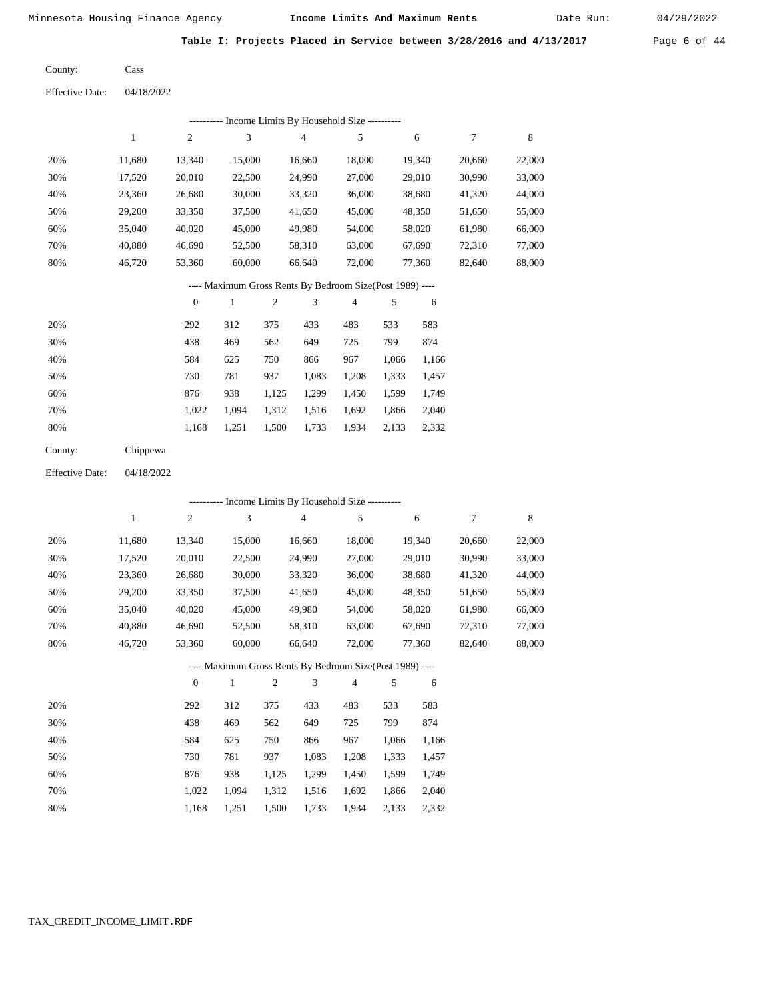Date Run:

Table I: Projects Placed in Service between 3/28/2016 and 4/13/2017 Page 6 of 44

| County: | Cass |
|---------|------|
|         |      |

Effective Date: 04/18/2022

|                        |              |                  |                             |                  | ---------- Income Limits By Household Size ---------     |                |       |        |                  |             |
|------------------------|--------------|------------------|-----------------------------|------------------|----------------------------------------------------------|----------------|-------|--------|------------------|-------------|
|                        | $\mathbf{1}$ | $\mathbf{2}$     | $\mathfrak 3$               |                  | $\overline{4}$                                           | 5              |       | 6      | $\boldsymbol{7}$ | $\,$ 8 $\,$ |
| 20%                    | 11,680       | 13,340           | 15,000                      |                  | 16,660                                                   | 18,000         |       | 19,340 | 20,660           | 22,000      |
| 30%                    | 17,520       | 20,010           | 22,500                      |                  | 24,990                                                   | 27,000         |       | 29,010 | 30,990           | 33,000      |
| 40%                    | 23,360       | 26,680           | 30,000                      |                  | 33,320                                                   | 36,000         |       | 38,680 | 41,320           | 44,000      |
| 50%                    | 29,200       | 33,350           | 37,500                      |                  | 41,650                                                   | 45,000         |       | 48,350 | 51,650           | 55,000      |
| 60%                    | 35,040       | 40,020           | 45,000                      |                  | 49,980                                                   | 54,000         |       | 58,020 | 61,980           | 66,000      |
| 70%                    | 40,880       | 46,690           | 52,500                      |                  | 58,310                                                   | 63,000         |       | 67,690 | 72,310           | 77,000      |
| 80%                    | 46,720       | 53,360           | 60,000                      |                  | 66,640                                                   | 72,000         |       | 77,360 | 82,640           | 88,000      |
|                        |              |                  |                             |                  | ---- Maximum Gross Rents By Bedroom Size(Post 1989) ---- |                |       |        |                  |             |
|                        |              | $\boldsymbol{0}$ | $\mathbf{1}$                | $\boldsymbol{2}$ | 3                                                        | $\overline{4}$ | 5     | 6      |                  |             |
| 20%                    |              | 292              | 312                         | 375              | 433                                                      | 483            | 533   | 583    |                  |             |
| 30%                    |              | 438              | 469                         | 562              | 649                                                      | 725            | 799   | 874    |                  |             |
| 40%                    |              | 584              | 625                         | 750              | 866                                                      | 967            | 1,066 | 1,166  |                  |             |
| 50%                    |              | 730              | 781                         | 937              | 1,083                                                    | 1,208          | 1,333 | 1,457  |                  |             |
| 60%                    |              | 876              | 938                         | 1,125            | 1,299                                                    | 1,450          | 1,599 | 1,749  |                  |             |
| 70%                    |              | 1,022            | 1,094                       | 1,312            | 1,516                                                    | 1,692          | 1,866 | 2,040  |                  |             |
| 80%                    |              | 1,168            | 1,251                       | 1,500            | 1,733                                                    | 1,934          | 2,133 | 2,332  |                  |             |
| County:                | Chippewa     |                  |                             |                  |                                                          |                |       |        |                  |             |
| <b>Effective Date:</b> | 04/18/2022   |                  |                             |                  |                                                          |                |       |        |                  |             |
|                        |              |                  |                             |                  | ---------- Income Limits By Household Size ----------    |                |       |        |                  |             |
|                        | $\mathbf{1}$ | $\mathfrak{2}$   | $\ensuremath{\mathfrak{Z}}$ |                  | $\overline{4}$                                           | 5              |       | 6      | 7                | $\,8\,$     |
| 20%                    | 11,680       | 13,340           | 15,000                      |                  | 16,660                                                   | 18,000         |       | 19,340 | 20,660           | 22,000      |
| 30%                    | 17,520       | 20,010           | 22,500                      |                  | 24,990                                                   | 27,000         |       | 29,010 | 30,990           | 33,000      |
| 40%                    | 23,360       | 26,680           | 30,000                      |                  | 33,320                                                   | 36,000         |       | 38,680 | 41,320           | 44,000      |
| 50%                    | 29,200       | 33,350           | 37,500                      |                  | 41,650                                                   | 45,000         |       | 48,350 | 51,650           | 55,000      |
| 60%                    | 35,040       | 40,020           | 45,000                      |                  | 49,980                                                   | 54,000         |       | 58,020 | 61,980           | 66,000      |
| 70%                    | 40,880       | 46,690           | 52,500                      |                  | 58,310                                                   | 63,000         |       | 67,690 | 72,310           | 77,000      |
| 80%                    | 46,720       | 53,360           | 60,000                      |                  | 66,640                                                   | 72,000         |       | 77,360 | 82,640           | 88,000      |
|                        |              |                  |                             |                  | ---- Maximum Gross Rents By Bedroom Size(Post 1989) ---- |                |       |        |                  |             |
|                        |              | $\boldsymbol{0}$ | $\mathbf{1}$                | $\boldsymbol{2}$ | 3                                                        | $\overline{4}$ | 5     | 6      |                  |             |
| 20%                    |              | 292              | 312                         | 375              | 433                                                      | 483            | 533   | 583    |                  |             |
| 30%                    |              | 438              | 469                         | 562              | 649                                                      | 725            | 799   | 874    |                  |             |
| 40%                    |              | 584              | 625                         | 750              | 866                                                      | 967            | 1,066 | 1,166  |                  |             |
| 50%                    |              | 730              | 781                         | 937              | 1,083                                                    | 1,208          | 1,333 | 1,457  |                  |             |
| 60%                    |              | 876              | 938                         | 1,125            | 1,299                                                    | 1,450          | 1,599 | 1,749  |                  |             |
| 70%                    |              | 1,022            | 1,094                       | 1,312            | 1,516                                                    | 1,692          | 1,866 | 2,040  |                  |             |

1,168 1,251 1,500 1,733 1,934 2,133 2,332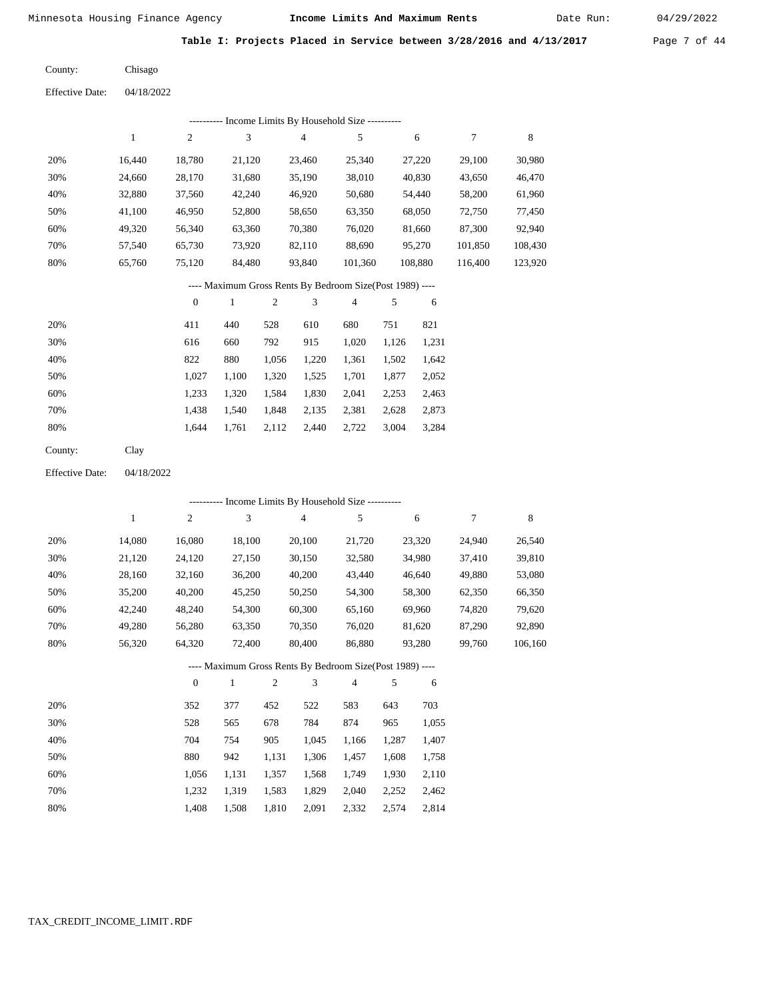Date Run:

**Table I: Projects Placed in Service between 3/28/2016 and 4/13/2017** Page 7 of 44

| County: | Chisago |
|---------|---------|
|---------|---------|

Effective Date: 04/18/2022

|     | ---------- Income Limits By Household Size ---------- |        |        |        |         |         |                                                          |         |  |  |  |  |  |  |  |  |  |
|-----|-------------------------------------------------------|--------|--------|--------|---------|---------|----------------------------------------------------------|---------|--|--|--|--|--|--|--|--|--|
|     |                                                       | 2      | 3      | 4      | 5       | 6       | 7                                                        | 8       |  |  |  |  |  |  |  |  |  |
| 20% | 16.440                                                | 18.780 | 21,120 | 23,460 | 25,340  | 27,220  | 29,100                                                   | 30,980  |  |  |  |  |  |  |  |  |  |
| 30% | 24.660                                                | 28,170 | 31,680 | 35,190 | 38,010  | 40,830  | 43,650                                                   | 46,470  |  |  |  |  |  |  |  |  |  |
| 40% | 32,880                                                | 37,560 | 42,240 | 46,920 | 50,680  | 54,440  | 58,200                                                   | 61,960  |  |  |  |  |  |  |  |  |  |
| 50% | 41.100                                                | 46,950 | 52,800 | 58,650 | 63,350  | 68,050  | 72,750                                                   | 77,450  |  |  |  |  |  |  |  |  |  |
| 60% | 49,320                                                | 56,340 | 63,360 | 70,380 | 76,020  | 81,660  | 87,300                                                   | 92.940  |  |  |  |  |  |  |  |  |  |
| 70% | 57.540                                                | 65,730 | 73.920 | 82,110 | 88.690  | 95,270  | 101.850                                                  | 108,430 |  |  |  |  |  |  |  |  |  |
| 80% | 65.760                                                | 75.120 | 84.480 | 93.840 | 101.360 | 108,880 | 116,400                                                  | 123,920 |  |  |  |  |  |  |  |  |  |
|     |                                                       |        |        |        |         |         | ---- Maximum Gross Rents By Bedroom Size(Post 1989) ---- |         |  |  |  |  |  |  |  |  |  |

|     | $\mathbf{0}$ |       | 2     | 3     | 4     | 5     | 6     |
|-----|--------------|-------|-------|-------|-------|-------|-------|
| 20% | 411          | 440   | 528   | 610   | 680   | 751   | 821   |
| 30% | 616          | 660   | 792   | 915   | 1,020 | 1,126 | 1,231 |
| 40% | 822          | 880   | 1,056 | 1,220 | 1,361 | 1,502 | 1,642 |
| 50% | 1,027        | 1,100 | 1,320 | 1,525 | 1,701 | 1,877 | 2,052 |
| 60% | 1.233        | 1.320 | 1,584 | 1,830 | 2,041 | 2,253 | 2,463 |
| 70% | 1.438        | 1,540 | 1,848 | 2,135 | 2,381 | 2,628 | 2,873 |
| 80% | 1.644        | 1,761 | 2,112 | 2,440 | 2,722 | 3,004 | 3,284 |
|     |              |       |       |       |       |       |       |

Clay County:

04/18/2022 Effective Date:

|     |        |                  | ---------- Income Limits By Household Size ----------    |       |                |                |       |        |        |         |
|-----|--------|------------------|----------------------------------------------------------|-------|----------------|----------------|-------|--------|--------|---------|
|     | 1      | $\overline{c}$   | 3                                                        |       | $\overline{4}$ | 5              |       | 6      | 7      | 8       |
| 20% | 14,080 | 16,080           | 18,100                                                   |       | 20,100         | 21,720         |       | 23,320 | 24,940 | 26,540  |
| 30% | 21,120 | 24,120           | 27,150                                                   |       | 30,150         | 32,580         |       | 34,980 | 37,410 | 39,810  |
| 40% | 28,160 | 32,160           | 36,200                                                   |       | 40,200         | 43,440         |       | 46,640 | 49,880 | 53,080  |
| 50% | 35,200 | 40,200           | 45,250                                                   |       | 50,250         | 54,300         |       | 58,300 | 62,350 | 66,350  |
| 60% | 42,240 | 48,240           | 54,300                                                   |       | 60,300         | 65,160         |       | 69,960 | 74,820 | 79,620  |
| 70% | 49,280 | 56,280           | 63,350                                                   |       | 70,350         | 76,020         |       | 81,620 | 87,290 | 92,890  |
| 80% | 56,320 | 64,320           | 72,400                                                   |       | 80,400         | 86,880         |       | 93,280 | 99,760 | 106,160 |
|     |        |                  | ---- Maximum Gross Rents By Bedroom Size(Post 1989) ---- |       |                |                |       |        |        |         |
|     |        | $\boldsymbol{0}$ | 1                                                        | 2     | 3              | $\overline{4}$ | 5     | 6      |        |         |
| 20% |        | 352              | 377                                                      | 452   | 522            | 583            | 643   | 703    |        |         |
| 30% |        | 528              | 565                                                      | 678   | 784            | 874            | 965   | 1,055  |        |         |
| 40% |        | 704              | 754                                                      | 905   | 1,045          | 1,166          | 1,287 | 1,407  |        |         |
| 50% |        | 880              | 942                                                      | 1,131 | 1,306          | 1,457          | 1,608 | 1,758  |        |         |

| 60% |  |  | 1.056 1.131 1.357 1.568 1.749 1.930 2.110 |  |
|-----|--|--|-------------------------------------------|--|
| 70% |  |  | 1,232 1,319 1,583 1,829 2,040 2,252 2,462 |  |
| 80% |  |  | 1.408 1.508 1.810 2.091 2.332 2.574 2.814 |  |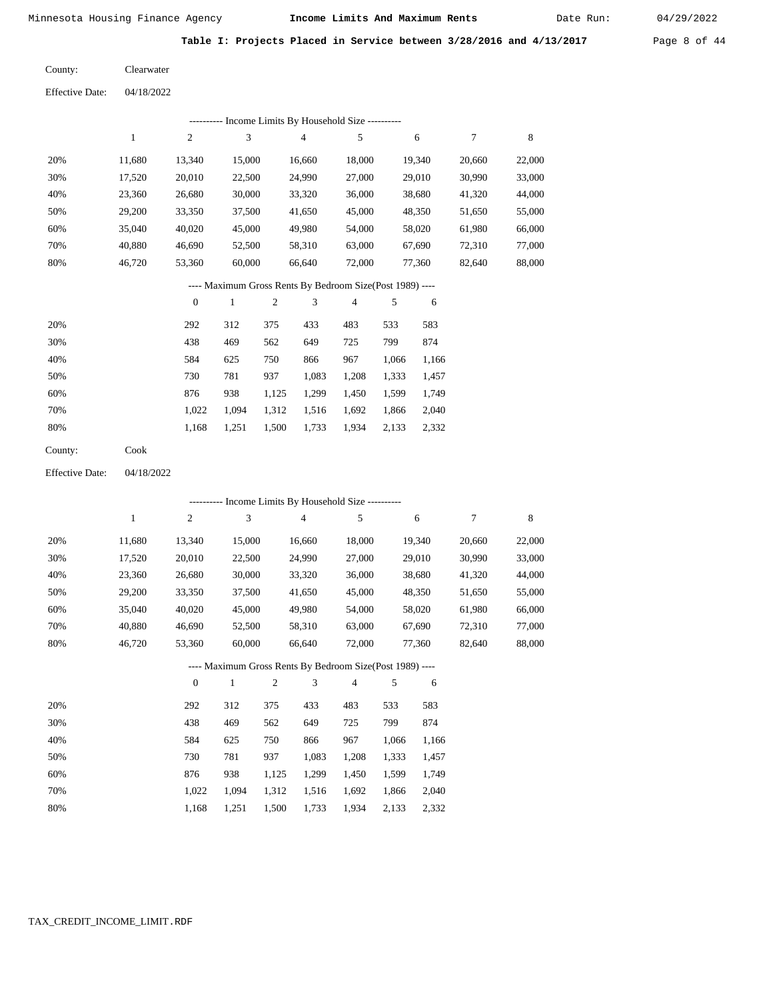Date Run:

**Table I: Projects Placed in Service between 3/28/2016 and 4/13/2017** Page 8 of 44

Clearwater County:

Effective Date: 04/18/2022

|                        |              |                  | --------- Income Limits By Household Size ----------     |                |               |                          |        |            |        |             |
|------------------------|--------------|------------------|----------------------------------------------------------|----------------|---------------|--------------------------|--------|------------|--------|-------------|
|                        | $\mathbf{1}$ | $\sqrt{2}$       | 3                                                        |                | $\sqrt{4}$    | 5                        |        | $\sqrt{6}$ | $\tau$ | $\,$ 8 $\,$ |
| 20%                    | 11,680       | 13,340           | 15,000                                                   |                | 16,660        | 18,000                   |        | 19,340     | 20,660 | 22,000      |
| 30%                    | 17,520       | 20,010           | 22,500                                                   |                | 24,990        | 27,000                   |        | 29,010     | 30,990 | 33,000      |
| 40%                    | 23,360       | 26,680           | 30,000                                                   |                | 33,320        | 36,000                   |        | 38,680     | 41,320 | 44,000      |
| 50%                    | 29,200       | 33,350           | 37,500                                                   |                | 41,650        | 45,000                   |        | 48,350     | 51,650 | 55,000      |
| 60%                    | 35,040       | 40,020           | 45,000                                                   |                | 49,980        | 54,000                   |        | 58,020     | 61,980 | 66,000      |
| 70%                    | 40,880       | 46,690           | 52,500                                                   |                | 58,310        | 63,000                   | 67,690 |            | 72,310 | 77,000      |
| 80%                    | 46,720       | 53,360           | 60,000                                                   |                | 66,640        | 72,000                   |        | 77,360     | 82,640 | 88,000      |
|                        |              |                  | ---- Maximum Gross Rents By Bedroom Size(Post 1989) ---- |                |               |                          |        |            |        |             |
|                        |              | $\boldsymbol{0}$ | $\mathbf{1}$                                             | $\sqrt{2}$     | 3             | $\overline{\mathcal{A}}$ | 5      | 6          |        |             |
| 20%                    |              | 292              | 312                                                      | 375            | 433           | 483                      | 533    | 583        |        |             |
| 30%                    |              | 438              | 469                                                      | 562            | 649           | 725                      | 799    | 874        |        |             |
| 40%                    |              | 584              | 625                                                      | 750            | 866           | 967                      | 1,066  | 1,166      |        |             |
| 50%                    |              | 730              | 781                                                      | 937            | 1,083         | 1,208                    | 1,333  | 1,457      |        |             |
| 60%                    |              | 876              | 938                                                      | 1,125          | 1,299         | 1,450                    | 1,599  | 1,749      |        |             |
| 70%                    |              | 1,022            | 1,094                                                    | 1,312          | 1,516         | 1,692                    | 1,866  | 2,040      |        |             |
| $80\%$                 |              | 1,168            | 1,251                                                    | 1,500          | 1,733         | 1,934                    | 2,133  | 2,332      |        |             |
| County:                | Cook         |                  |                                                          |                |               |                          |        |            |        |             |
| <b>Effective Date:</b> | 04/18/2022   |                  |                                                          |                |               |                          |        |            |        |             |
|                        |              |                  | --------- Income Limits By Household Size ----------     |                |               |                          |        |            |        |             |
|                        | $\,1$        | 2                | 3                                                        |                | $\sqrt{4}$    | 5                        |        | 6          | 7      | 8           |
| 20%                    | 11,680       | 13,340           | 15,000                                                   |                | 16,660        | 18,000                   |        | 19,340     | 20,660 | 22,000      |
| 30%                    | 17,520       | 20,010           | 22,500                                                   |                | 24,990        | 27,000                   |        | 29,010     | 30,990 | 33,000      |
| 40%                    | 23,360       | 26,680           | 30,000                                                   |                | 33,320        | 36,000                   |        | 38,680     | 41,320 | 44,000      |
| 50%                    | 29,200       | 33,350           | 37,500                                                   |                | 41,650        | 45,000                   |        | 48,350     | 51,650 | 55,000      |
| 60%                    | 35,040       | 40,020           | 45,000                                                   |                | 49,980        | 54,000                   |        | 58,020     | 61,980 | 66,000      |
| 70%                    | 40,880       | 46,690           | 52,500                                                   |                | 58,310        | 63,000                   |        | 67,690     | 72,310 | 77,000      |
| 80%                    | 46,720       | 53,360           | 60,000                                                   |                | 66,640        | 72,000                   |        | 77,360     | 82,640 | 88,000      |
|                        |              |                  | ---- Maximum Gross Rents By Bedroom Size(Post 1989) ---- |                |               |                          |        |            |        |             |
|                        |              | $\Omega$         | $\overline{1}$                                           | $\mathfrak{D}$ | $\mathcal{R}$ | $\overline{4}$           | 5 6    |            |        |             |

|     |       |       | $\overline{c}$ | 3     | 4     |       | 6     |
|-----|-------|-------|----------------|-------|-------|-------|-------|
| 20% | 292   | 312   | 375            | 433   | 483   | 533   | 583   |
| 30% | 438   | 469   | 562            | 649   | 725   | 799   | 874   |
| 40% | 584   | 625   | 750            | 866   | 967   | 1.066 | 1,166 |
| 50% | 730   | 781   | 937            | 1,083 | 1,208 | 1,333 | 1,457 |
| 60% | 876   | 938   | 1,125          | 1,299 | 1,450 | 1,599 | 1,749 |
| 70% | 1.022 | 1.094 | 1,312          | 1,516 | 1,692 | 1,866 | 2,040 |
| 80% | 1,168 | 1,251 | 1,500          | 1,733 | 1,934 | 2,133 | 2,332 |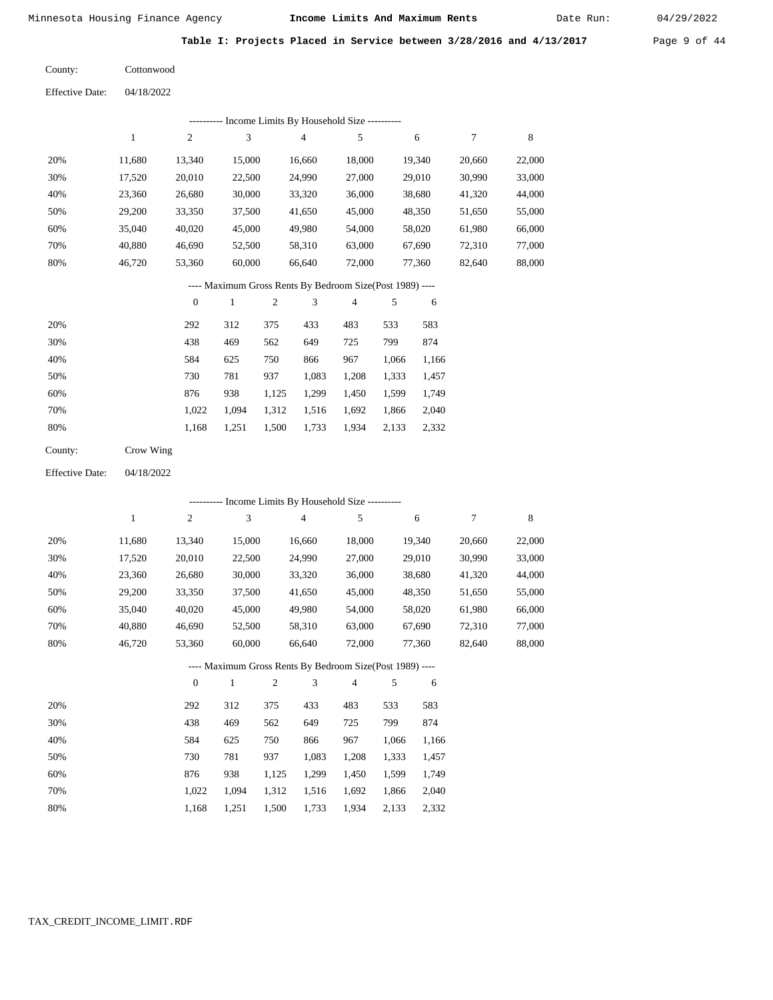Date Run:

**Table I: Projects Placed in Service between 3/28/2016 and 4/13/2017** Page 9 of 44

Cottonwood County:

04/18/2022 Effective Date:

|     | Income Limits By Household Size ---------- |        |        |        |        |        |        |        |  |  |  |  |
|-----|--------------------------------------------|--------|--------|--------|--------|--------|--------|--------|--|--|--|--|
|     |                                            | 2      | 3      | 4      |        | 6      |        | 8      |  |  |  |  |
| 20% | 11.680                                     | 13.340 | 15,000 | 16,660 | 18,000 | 19,340 | 20,660 | 22,000 |  |  |  |  |
| 30% | 17,520                                     | 20,010 | 22,500 | 24,990 | 27,000 | 29,010 | 30,990 | 33,000 |  |  |  |  |
| 40% | 23,360                                     | 26,680 | 30,000 | 33,320 | 36,000 | 38,680 | 41,320 | 44,000 |  |  |  |  |
| 50% | 29,200                                     | 33,350 | 37,500 | 41,650 | 45,000 | 48,350 | 51,650 | 55,000 |  |  |  |  |
| 60% | 35,040                                     | 40,020 | 45,000 | 49,980 | 54,000 | 58,020 | 61,980 | 66,000 |  |  |  |  |
| 70% | 40.880                                     | 46,690 | 52,500 | 58,310 | 63,000 | 67,690 | 72,310 | 77,000 |  |  |  |  |
| 80% | 46.720                                     | 53,360 | 60,000 | 66,640 | 72,000 | 77,360 | 82,640 | 88,000 |  |  |  |  |

#### ---- Maximum Gross Rents By Bedroom Size(Post 1989) ----

|     | $\overline{0}$ |       | $\overline{c}$ | 3     | 4     | 5     | 6     |
|-----|----------------|-------|----------------|-------|-------|-------|-------|
| 20% | 292            | 312   | 375            | 433   | 483   | 533   | 583   |
| 30% | 438            | 469   | 562            | 649   | 725   | 799   | 874   |
| 40% | 584            | 625   | 750            | 866   | 967   | 1,066 | 1,166 |
| 50% | 730            | 781   | 937            | 1,083 | 1,208 | 1,333 | 1,457 |
| 60% | 876            | 938   | 1,125          | 1,299 | 1,450 | 1,599 | 1,749 |
| 70% | 1.022          | 1.094 | 1,312          | 1,516 | 1,692 | 1,866 | 2,040 |
| 80% | 1,168          | 1,251 | 1,500          | 1,733 | 1,934 | 2,133 | 2,332 |
|     |                |       |                |       |       |       |       |

| Crow Wing |
|-----------|
|           |

04/18/2022 Effective Date:

|                                                          | - Income Limits By Household Size ---------- |          |              |                |        |                |       |        |        |        |  |  |
|----------------------------------------------------------|----------------------------------------------|----------|--------------|----------------|--------|----------------|-------|--------|--------|--------|--|--|
|                                                          | 1                                            | 2        | 3            |                | 4      | 5              |       | 6      | 7      | 8      |  |  |
| 20%                                                      | 11,680                                       | 13,340   | 15,000       |                | 16,660 | 18,000         |       | 19,340 | 20,660 | 22,000 |  |  |
| 30%                                                      | 17,520                                       | 20,010   | 22,500       |                | 24,990 | 27,000         |       | 29,010 | 30,990 | 33,000 |  |  |
| 40%                                                      | 23,360                                       | 26,680   | 30,000       |                | 33,320 | 36,000         |       | 38,680 | 41,320 | 44,000 |  |  |
| 50%                                                      | 29,200                                       | 33,350   | 37,500       |                | 41,650 | 45,000         |       | 48,350 | 51,650 | 55,000 |  |  |
| 60%                                                      | 35,040                                       | 40,020   | 45,000       |                | 49,980 | 54,000         |       | 58,020 | 61,980 | 66,000 |  |  |
| 70%                                                      | 40,880                                       | 46,690   | 52,500       |                | 58,310 | 63,000         |       | 67,690 | 72,310 | 77,000 |  |  |
| 80%                                                      | 46,720                                       | 53,360   | 60,000       |                | 66,640 | 72,000         |       | 77,360 | 82,640 | 88,000 |  |  |
| ---- Maximum Gross Rents By Bedroom Size(Post 1989) ---- |                                              |          |              |                |        |                |       |        |        |        |  |  |
|                                                          |                                              | $\theta$ | $\mathbf{1}$ | $\mathfrak{2}$ | 3      | $\overline{4}$ | 5     | 6      |        |        |  |  |
| 20%                                                      |                                              | 292      | 312          | 375            | 433    | 483            | 533   | 583    |        |        |  |  |
| 30%                                                      |                                              | 438      | 469          | 562            | 649    | 725            | 799   | 874    |        |        |  |  |
| 40%                                                      |                                              | 584      | 625          | 750            | 866    | 967            | 1,066 | 1,166  |        |        |  |  |
| 50%                                                      |                                              | 730      | 781          | 937            | 1,083  | 1,208          | 1,333 | 1,457  |        |        |  |  |
| 60%                                                      |                                              | 876      | 938          | 1,125          | 1,299  | 1,450          | 1,599 | 1,749  |        |        |  |  |
| 70%                                                      |                                              | 1,022    | 1,094        | 1,312          | 1,516  | 1,692          | 1,866 | 2,040  |        |        |  |  |

1,168

1,251

1,500

1,733

1,934

2,133

2,332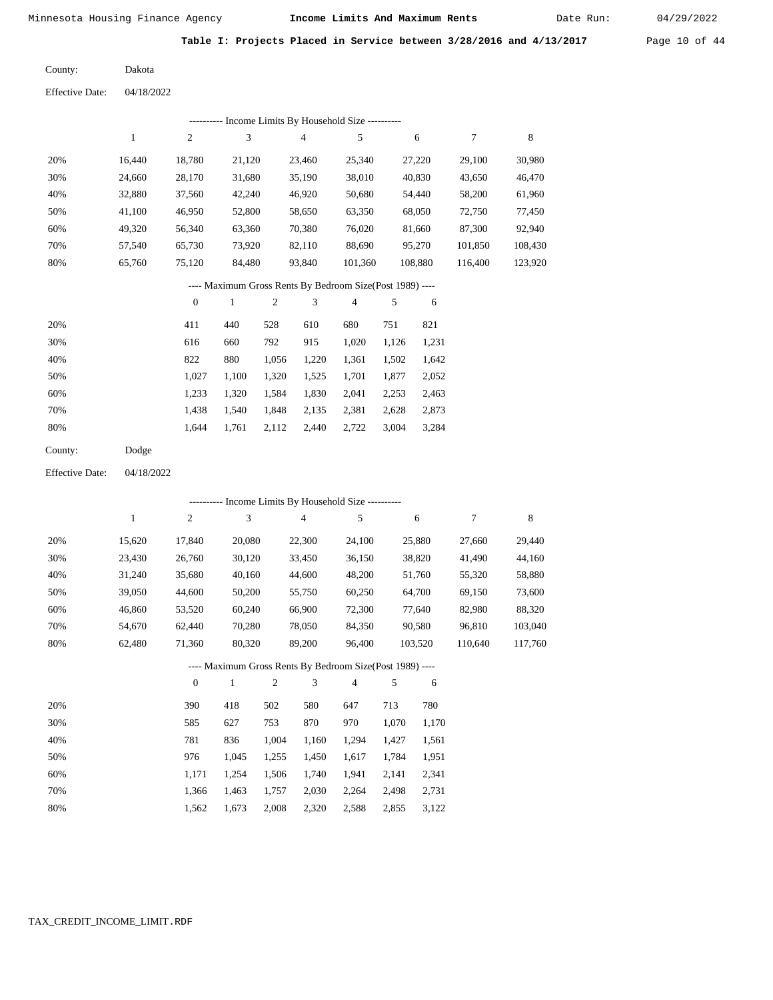Date Run:

Table I: Projects Placed in Service between 3/28/2016 and 4/13/2017 Page 10 of 44

Dakota County:

04/18/2022 Effective Date:

|     | Income Limits By Household Size ----------<br>---------- |                |        |                                                          |                |         |         |         |  |  |  |  |
|-----|----------------------------------------------------------|----------------|--------|----------------------------------------------------------|----------------|---------|---------|---------|--|--|--|--|
|     | 1                                                        | $\overline{2}$ | 3      | $\overline{4}$                                           | 5              | 6       | 7       | 8       |  |  |  |  |
| 20% | 16.440                                                   | 18,780         | 21,120 | 23,460                                                   | 25,340         | 27,220  | 29,100  | 30,980  |  |  |  |  |
| 30% | 24.660                                                   | 28,170         | 31,680 | 35,190                                                   | 38,010         | 40,830  | 43,650  | 46,470  |  |  |  |  |
| 40% | 32,880                                                   | 37,560         | 42,240 | 46,920                                                   | 50,680         | 54,440  | 58,200  | 61,960  |  |  |  |  |
| 50% | 41,100                                                   | 46,950         | 52,800 | 58,650                                                   | 63,350         | 68,050  | 72,750  | 77,450  |  |  |  |  |
| 60% | 49,320                                                   | 56,340         | 63,360 | 70,380                                                   | 76,020         | 81,660  | 87,300  | 92,940  |  |  |  |  |
| 70% | 57,540                                                   | 65,730         | 73,920 | 82,110                                                   | 88,690         | 95,270  | 101,850 | 108,430 |  |  |  |  |
| 80% | 65,760                                                   | 75,120         | 84,480 | 93,840                                                   | 101,360        | 108,880 | 116,400 | 123,920 |  |  |  |  |
|     |                                                          |                |        | ---- Maximum Gross Rents By Bedroom Size(Post 1989) ---- |                |         |         |         |  |  |  |  |
|     |                                                          | $\mathbf{0}$   |        | 3<br>2                                                   | $\overline{4}$ | 5<br>6  |         |         |  |  |  |  |

|     | $\mathbf{v}$ |       | ∼     | $\cdot$ $\cdot$ |       | $\cdot$ | $\cdot$ |
|-----|--------------|-------|-------|-----------------|-------|---------|---------|
| 20% | 411          | 440   | 528   | 610             | 680   | 751     | 821     |
| 30% | 616          | 660   | 792   | 915             | 1,020 | 1.126   | 1,231   |
| 40% | 822          | 880   | 1,056 | 1,220           | 1,361 | 1,502   | 1,642   |
| 50% | 1.027        | 1.100 | 1,320 | 1,525           | 1,701 | 1,877   | 2,052   |
| 60% | 1.233        | 1,320 | 1,584 | 1,830           | 2,041 | 2,253   | 2,463   |
| 70% | 1.438        | 1.540 | 1,848 | 2,135           | 2,381 | 2,628   | 2,873   |
| 80% | 1.644        | 1,761 | 2,112 | 2,440           | 2,722 | 3,004   | 3,284   |
|     |              |       |       |                 |       |         |         |

Dodge County:

04/18/2022 Effective Date:

|     |        |              | ---------- Income Limits By Household Size ----------    |       |                |                |       |         |         |         |
|-----|--------|--------------|----------------------------------------------------------|-------|----------------|----------------|-------|---------|---------|---------|
|     | 1      | 2            | 3                                                        |       | $\overline{4}$ | 5              |       | 6       | 7       | 8       |
| 20% | 15,620 | 17,840       | 20,080                                                   |       | 22,300         | 24,100         |       | 25,880  | 27,660  | 29,440  |
| 30% | 23,430 | 26,760       | 30,120                                                   |       | 33,450         | 36,150         |       | 38,820  | 41,490  | 44,160  |
| 40% | 31,240 | 35,680       | 40,160                                                   |       | 44,600         | 48,200         |       | 51,760  | 55,320  | 58,880  |
| 50% | 39,050 | 44,600       | 50,200                                                   |       | 55,750         | 60,250         |       | 64,700  | 69,150  | 73,600  |
| 60% | 46,860 | 53,520       | 60,240                                                   |       | 66,900         | 72,300         |       | 77,640  | 82,980  | 88,320  |
| 70% | 54,670 | 62,440       | 70,280                                                   |       | 78,050         | 84,350         |       | 90,580  | 96,810  | 103,040 |
| 80% | 62,480 | 71,360       | 80,320                                                   |       | 89,200         | 96,400         |       | 103,520 | 110,640 | 117,760 |
|     |        |              | ---- Maximum Gross Rents By Bedroom Size(Post 1989) ---- |       |                |                |       |         |         |         |
|     |        | $\mathbf{0}$ | 1                                                        | 2     | 3              | $\overline{4}$ | 5     | 6       |         |         |
| 20% |        | 390          | 418                                                      | 502   | 580            | 647            | 713   | 780     |         |         |
| 30% |        | 585          | 627                                                      | 753   | 870            | 970            | 1,070 | 1,170   |         |         |
| 40% |        | 781          | 836                                                      | 1,004 | 1,160          | 1,294          | 1,427 | 1,561   |         |         |

| 40% | 781   | 836               | 1,004 1,160 1,294 1,427 1,561             |                   |  |
|-----|-------|-------------------|-------------------------------------------|-------------------|--|
| 50% | 976   |                   | 1,045 1,255 1,450 1,617 1,784 1,951       |                   |  |
| 60% |       |                   | 1,171 1,254 1,506 1,740 1,941 2,141 2,341 |                   |  |
| 70% |       |                   | 1,366 1,463 1,757 2,030 2,264 2,498 2,731 |                   |  |
| 80% | 1.562 | 1,673 2,008 2,320 |                                           | 2,588 2,855 3,122 |  |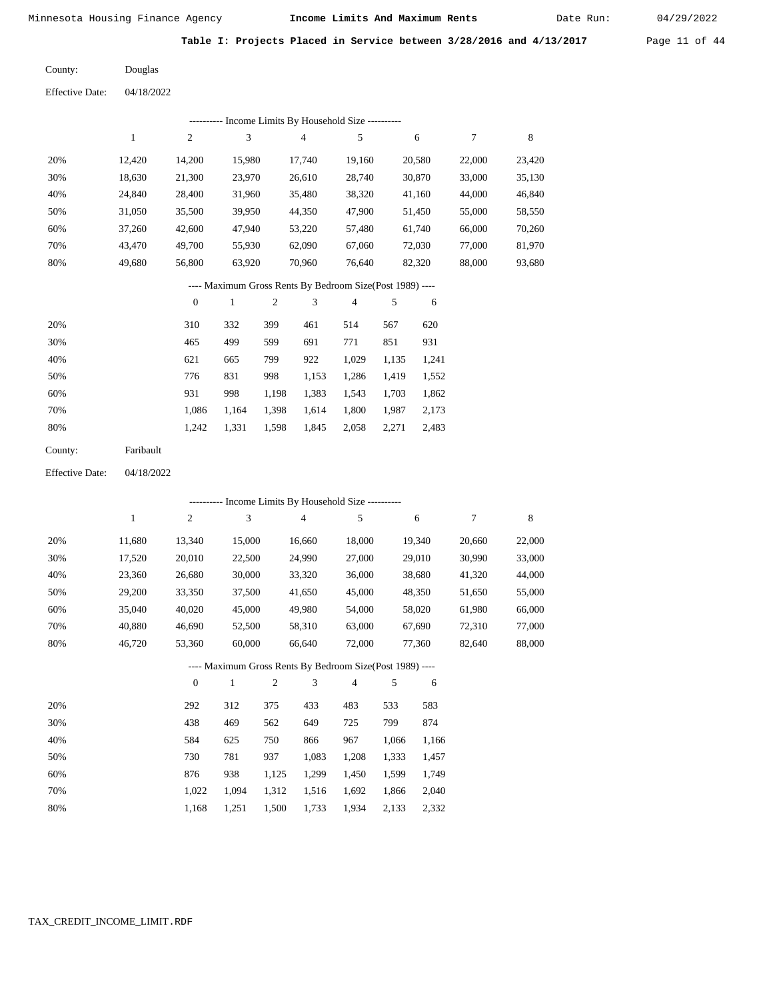Date Run:

**Table I: Projects Placed in Service between 3/28/2016 and 4/13/2017** Page 11 of 44

Douglas County:

04/18/2022 Effective Date:

|     | ---------- Income Limits By Household Size ---------- |                |        |        |        |        |        |        |  |  |  |  |
|-----|-------------------------------------------------------|----------------|--------|--------|--------|--------|--------|--------|--|--|--|--|
|     |                                                       | $\overline{c}$ | 3      | 4      | 5      | 6      | 7      | 8      |  |  |  |  |
| 20% | 12.420                                                | 14.200         | 15,980 | 17.740 | 19,160 | 20,580 | 22,000 | 23,420 |  |  |  |  |
| 30% | 18,630                                                | 21,300         | 23.970 | 26,610 | 28,740 | 30,870 | 33,000 | 35,130 |  |  |  |  |
| 40% | 24,840                                                | 28,400         | 31,960 | 35,480 | 38,320 | 41,160 | 44,000 | 46,840 |  |  |  |  |
| 50% | 31,050                                                | 35,500         | 39,950 | 44,350 | 47,900 | 51,450 | 55,000 | 58,550 |  |  |  |  |
| 60% | 37,260                                                | 42,600         | 47,940 | 53,220 | 57,480 | 61,740 | 66,000 | 70,260 |  |  |  |  |
| 70% | 43.470                                                | 49,700         | 55,930 | 62,090 | 67,060 | 72,030 | 77,000 | 81,970 |  |  |  |  |
| 80% | 49.680                                                | 56,800         | 63,920 | 70,960 | 76,640 | 82,320 | 88,000 | 93,680 |  |  |  |  |
|     |                                                       |                |        |        |        |        |        |        |  |  |  |  |

#### ---- Maximum Gross Rents By Bedroom Size(Post 1989) ----

|     | $\mathbf{0}$ |       | 2     | 3     | 4     | 5     | 6     |
|-----|--------------|-------|-------|-------|-------|-------|-------|
| 20% | 310          | 332   | 399   | 461   | 514   | 567   | 620   |
| 30% | 465          | 499   | 599   | 691   | 771   | 851   | 931   |
| 40% | 621          | 665   | 799   | 922   | 1,029 | 1,135 | 1,241 |
| 50% | 776          | 831   | 998   | 1,153 | 1,286 | 1,419 | 1,552 |
| 60% | 931          | 998   | 1,198 | 1,383 | 1,543 | 1,703 | 1,862 |
| 70% | 1,086        | 1.164 | 1,398 | 1,614 | 1,800 | 1,987 | 2,173 |
| 80% | 1,242        | 1,331 | 1,598 | 1,845 | 2,058 | 2,271 | 2,483 |
|     |              |       |       |       |       |       |       |

| Faribault |
|-----------|
|           |

04/18/2022 Effective Date:

|                                                          |        |                |              |                |                | ---------- Income Limits By Household Size ---------- |       |        |        |        |  |
|----------------------------------------------------------|--------|----------------|--------------|----------------|----------------|-------------------------------------------------------|-------|--------|--------|--------|--|
|                                                          | 1      | $\overline{c}$ | 3            |                | $\overline{4}$ | 5                                                     |       | 6      | 7      | 8      |  |
| 20%                                                      | 11,680 | 13,340         | 15,000       |                | 16,660         | 18,000                                                |       | 19,340 | 20,660 | 22,000 |  |
| 30%                                                      | 17,520 | 20,010         | 22,500       |                | 24,990         | 27,000                                                |       | 29,010 | 30,990 | 33,000 |  |
| 40%                                                      | 23,360 | 26,680         | 30,000       |                | 33,320         | 36,000                                                |       | 38,680 | 41,320 | 44,000 |  |
| 50%                                                      | 29,200 | 33,350         | 37,500       |                | 41,650         | 45,000                                                |       | 48,350 | 51,650 | 55,000 |  |
| 60%                                                      | 35,040 | 40,020         | 45,000       |                | 49,980         | 54,000                                                |       | 58,020 | 61,980 | 66,000 |  |
| 70%                                                      | 40,880 | 46,690         | 52,500       |                | 58,310         | 63,000                                                |       | 67,690 | 72,310 | 77,000 |  |
| 80%                                                      | 46,720 | 53,360         | 60,000       |                | 66,640         | 72,000                                                |       | 77,360 | 82,640 | 88,000 |  |
| ---- Maximum Gross Rents By Bedroom Size(Post 1989) ---- |        |                |              |                |                |                                                       |       |        |        |        |  |
|                                                          |        | $\mathbf{0}$   | $\mathbf{1}$ | $\mathfrak{2}$ | 3              | $\overline{4}$                                        | 5     | 6      |        |        |  |
| 20%                                                      |        | 292            | 312          | 375            | 433            | 483                                                   | 533   | 583    |        |        |  |
| 30%                                                      |        | 438            | 469          | 562            | 649            | 725                                                   | 799   | 874    |        |        |  |
| 40%                                                      |        | 584            | 625          | 750            | 866            | 967                                                   | 1,066 | 1,166  |        |        |  |
| 50%                                                      |        | 730            | 781          | 937            | 1,083          | 1,208                                                 | 1,333 | 1,457  |        |        |  |
| 60%                                                      |        | 876            | 938          | 1,125          | 1,299          | 1,450                                                 | 1,599 | 1,749  |        |        |  |
| 70%                                                      |        | 1,022          | 1,094        | 1,312          | 1,516          | 1,692                                                 | 1,866 | 2,040  |        |        |  |
| 80%                                                      |        | 1,168          | 1,251        | 1,500          | 1,733          | 1,934                                                 | 2,133 | 2,332  |        |        |  |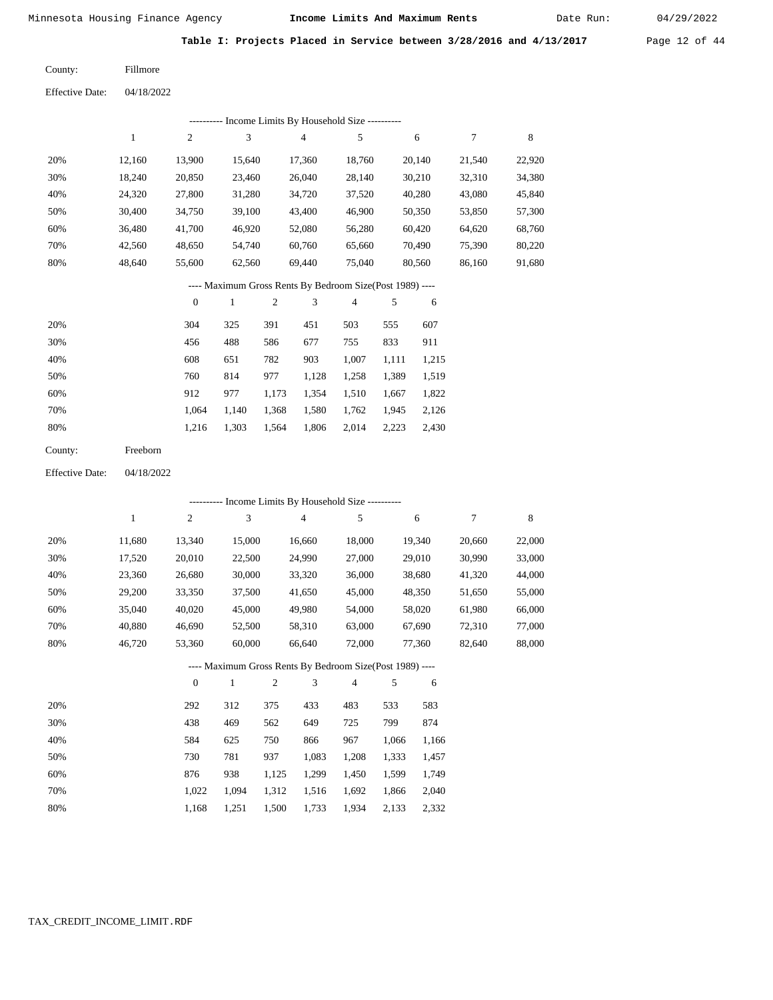Date Run:

**Table I: Projects Placed in Service between 3/28/2016 and 4/13/2017** Page 12 of 44

Fillmore County:

04/18/2022 Effective Date:

|                        |              |                  |                  |                  | ---------- Income Limits By Household Size ----------    |        |       |        |                  |             |
|------------------------|--------------|------------------|------------------|------------------|----------------------------------------------------------|--------|-------|--------|------------------|-------------|
|                        | $\mathbf{1}$ | $\boldsymbol{2}$ | $\mathfrak 3$    |                  | $\overline{4}$                                           | 5      |       | 6      | $\boldsymbol{7}$ | $\,$ 8 $\,$ |
| 20%                    | 12,160       | 13,900           | 15,640           |                  | 17,360                                                   | 18,760 |       | 20,140 | 21,540           | 22,920      |
| 30%                    | 18,240       | 20,850           | 23,460           |                  | 26,040                                                   | 28,140 |       | 30,210 | 32,310           | 34,380      |
| 40%                    | 24,320       | 27,800           |                  | 31,280<br>34,720 |                                                          | 37,520 |       | 40,280 | 43,080           | 45,840      |
| 50%                    | 30,400       | 34,750           | 39,100<br>43,400 |                  | 46,900                                                   | 50,350 |       | 53,850 | 57,300           |             |
| 60%                    | 36,480       | 41,700           |                  | 46,920<br>52,080 |                                                          | 56,280 |       | 60,420 | 64,620           | 68,760      |
| 70%                    | 42,560       | 48,650           | 54,740           |                  | 60,760                                                   | 65,660 |       | 70,490 | 75,390           | 80,220      |
| 80%                    | 48,640       | 55,600           | 62,560           |                  | 69,440                                                   | 75,040 |       | 80,560 | 86,160           | 91,680      |
|                        |              |                  |                  |                  | ---- Maximum Gross Rents By Bedroom Size(Post 1989) ---- |        |       |        |                  |             |
|                        |              | $\boldsymbol{0}$ | 1                | $\boldsymbol{2}$ | 3                                                        | 4      | 5     | 6      |                  |             |
| 20%                    |              | 304              | 325              | 391              | 451                                                      | 503    | 555   | 607    |                  |             |
| 30%                    |              | 456              | 488              | 586              | 677                                                      | 755    | 833   | 911    |                  |             |
| 40%                    |              | 608              | 651              | 782              | 903                                                      | 1,007  | 1,111 | 1,215  |                  |             |
| 50%                    |              | 760              | 814              | 977              | 1,128                                                    | 1,258  | 1,389 | 1,519  |                  |             |
| 60%                    |              | 912              | 977              | 1,173            | 1,354                                                    | 1,510  | 1,667 | 1,822  |                  |             |
| 70%                    |              | 1,064            | 1,140            | 1,368            | 1,580                                                    | 1,762  | 1,945 | 2,126  |                  |             |
| 80%                    |              | 1,216            | 1,303            | 1,564            | 1,806                                                    | 2,014  | 2,223 | 2,430  |                  |             |
| County:                | Freeborn     |                  |                  |                  |                                                          |        |       |        |                  |             |
| <b>Effective Date:</b> | 04/18/2022   |                  |                  |                  |                                                          |        |       |        |                  |             |
|                        |              |                  |                  |                  | --------- Income Limits By Household Size ---------      |        |       |        |                  |             |
|                        | $\mathbf{1}$ | $\boldsymbol{2}$ | 3                |                  | $\overline{4}$                                           | 5      |       | 6      | 7                | 8           |
| 20%                    | 11,680       | 13,340           | 15,000           |                  | 16,660                                                   | 18,000 |       | 19,340 | 20,660           | 22,000      |

| 30% | 17.520 | 20,010 | 22,500 | 24.990 | 27,000 | 29,010 | 30,990 | 33,000 |
|-----|--------|--------|--------|--------|--------|--------|--------|--------|
| 40% | 23.360 | 26.680 | 30,000 | 33.320 | 36,000 | 38,680 | 41.320 | 44,000 |
| 50% | 29,200 | 33.350 | 37,500 | 41.650 | 45,000 | 48.350 | 51.650 | 55,000 |
| 60% | 35,040 | 40,020 | 45,000 | 49.980 | 54,000 | 58,020 | 61.980 | 66,000 |
| 70% | 40.880 | 46,690 | 52,500 | 58.310 | 63,000 | 67.690 | 72.310 | 77,000 |
| 80% | 46.720 | 53.360 | 60,000 | 66.640 | 72,000 | 77.360 | 82.640 | 88,000 |

# ---- Maximum Gross Rents By Bedroom Size(Post 1989) ----

|     | $\mathbf{0}$ |       | $\overline{c}$ | 3     | 4     | 5     | 6     |
|-----|--------------|-------|----------------|-------|-------|-------|-------|
| 20% | 292          | 312   | 375            | 433   | 483   | 533   | 583   |
| 30% | 438          | 469   | 562            | 649   | 725   | 799   | 874   |
| 40% | 584          | 625   | 750            | 866   | 967   | 1,066 | 1,166 |
| 50% | 730          | 781   | 937            | 1,083 | 1,208 | 1,333 | 1,457 |
| 60% | 876          | 938   | 1,125          | 1,299 | 1,450 | 1,599 | 1,749 |
| 70% | 1,022        | 1,094 | 1,312          | 1,516 | 1,692 | 1,866 | 2,040 |
| 80% | 1,168        | 1,251 | 1,500          | 1,733 | 1,934 | 2,133 | 2,332 |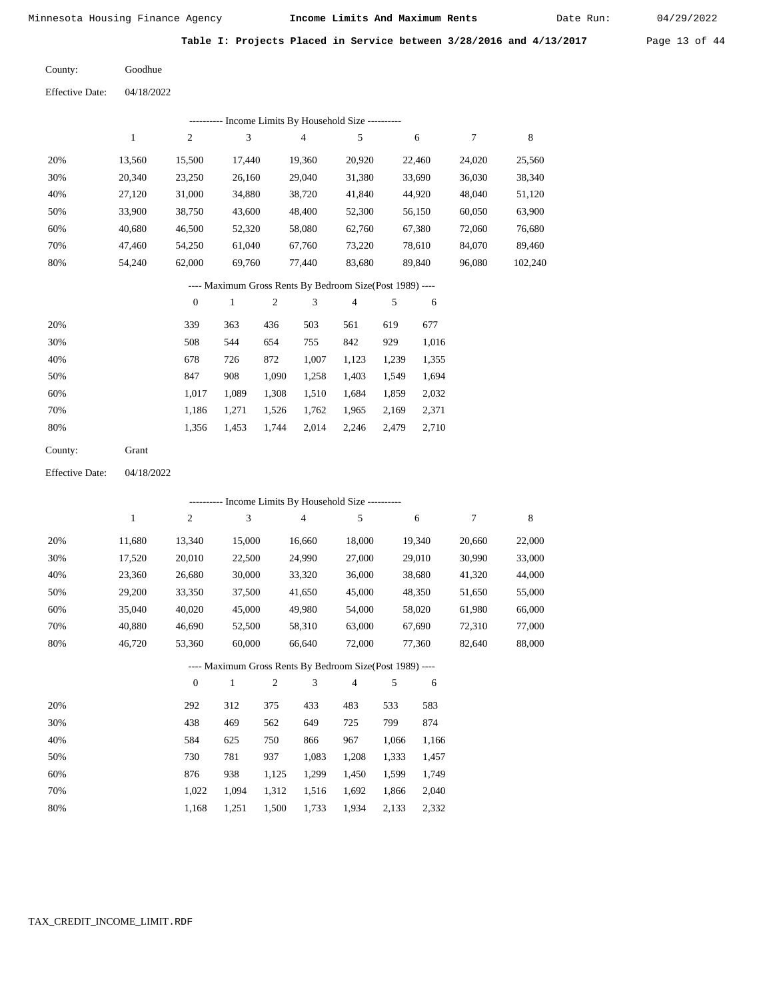Date Run:

**Table I: Projects Placed in Service between 3/28/2016 and 4/13/2017** Page 13 of 44

Goodhue County:

Effective Date: 04/18/2022

| ---------- Income Limits By Household Size ----------    |        |        |        |        |        |        |        |         |  |  |
|----------------------------------------------------------|--------|--------|--------|--------|--------|--------|--------|---------|--|--|
|                                                          | 1      | 2      | 3      | 4      | 5      | 6      |        | 8       |  |  |
| 20%                                                      | 13.560 | 15.500 | 17.440 | 19.360 | 20.920 | 22,460 | 24,020 | 25,560  |  |  |
| 30%                                                      | 20.340 | 23,250 | 26,160 | 29,040 | 31,380 | 33,690 | 36,030 | 38,340  |  |  |
| 40%                                                      | 27.120 | 31,000 | 34,880 | 38.720 | 41,840 | 44.920 | 48,040 | 51,120  |  |  |
| 50%                                                      | 33.900 | 38.750 | 43,600 | 48,400 | 52,300 | 56,150 | 60,050 | 63,900  |  |  |
| 60%                                                      | 40.680 | 46,500 | 52,320 | 58,080 | 62,760 | 67,380 | 72,060 | 76,680  |  |  |
| 70%                                                      | 47.460 | 54,250 | 61.040 | 67,760 | 73,220 | 78,610 | 84,070 | 89,460  |  |  |
| 80%                                                      | 54.240 | 62,000 | 69,760 | 77.440 | 83.680 | 89.840 | 96,080 | 102,240 |  |  |
| ---- Maximum Gross Rents By Bedroom Size(Post 1989) ---- |        |        |        |        |        |        |        |         |  |  |

|     | $\theta$ |       | $\overline{c}$ | 3     | 4     |       | 6     |
|-----|----------|-------|----------------|-------|-------|-------|-------|
| 20% | 339      | 363   | 436            | 503   | 561   | 619   | 677   |
| 30% | 508      | 544   | 654            | 755   | 842   | 929   | 1,016 |
| 40% | 678      | 726   | 872            | 1,007 | 1,123 | 1,239 | 1,355 |
| 50% | 847      | 908   | 1,090          | 1,258 | 1,403 | 1,549 | 1,694 |
| 60% | 1.017    | 1.089 | 1,308          | 1,510 | 1,684 | 1,859 | 2,032 |
| 70% | 1,186    | 1,271 | 1,526          | 1,762 | 1,965 | 2,169 | 2,371 |
| 80% | 1,356    | 1,453 | 1,744          | 2,014 | 2,246 | 2,479 | 2,710 |

| County: | Grant |
|---------|-------|
|---------|-------|

Effective Date: 04/18/2022

|     |              |                  |              |                |                | ---------- Income Limits By Household Size ----------    |       |        |        |        |
|-----|--------------|------------------|--------------|----------------|----------------|----------------------------------------------------------|-------|--------|--------|--------|
|     | $\mathbf{1}$ | $\boldsymbol{2}$ | 3            |                | $\overline{4}$ | 5                                                        |       | 6      | 7      | 8      |
| 20% | 11,680       | 13,340           | 15,000       |                | 16,660         | 18,000                                                   |       | 19,340 | 20,660 | 22,000 |
| 30% | 17,520       | 20,010           | 22,500       |                | 24,990         | 27,000                                                   |       | 29,010 | 30,990 | 33,000 |
| 40% | 23,360       | 26,680           | 30,000       |                | 33,320         | 36,000                                                   |       | 38,680 | 41,320 | 44,000 |
| 50% | 29,200       | 33,350           | 37,500       |                | 41,650         | 45,000                                                   |       | 48,350 | 51,650 | 55,000 |
| 60% | 35,040       | 40,020           | 45,000       |                | 49,980         | 54,000                                                   |       | 58,020 | 61,980 | 66,000 |
| 70% | 40,880       | 46,690           | 52,500       |                | 58,310         | 63,000                                                   |       | 67,690 | 72,310 | 77,000 |
| 80% | 46,720       | 53,360           | 60,000       |                | 66,640         | 72,000                                                   |       | 77,360 | 82,640 | 88,000 |
|     |              |                  |              |                |                | ---- Maximum Gross Rents By Bedroom Size(Post 1989) ---- |       |        |        |        |
|     |              | $\theta$         | $\mathbf{1}$ | $\overline{2}$ | 3              | 4                                                        | 5     | 6      |        |        |
| 20% |              | 292              | 312          | 375            | 433            | 483                                                      | 533   | 583    |        |        |
| 30% |              | 438              | 469          | 562            | 649            | 725                                                      | 799   | 874    |        |        |
| 40% |              | 584              | 625          | 750            | 866            | 967                                                      | 1,066 | 1,166  |        |        |
| 50% |              | 730              | 781          | 937            | 1,083          | 1,208                                                    | 1,333 | 1,457  |        |        |
| 60% |              | 876              | 938          | 1,125          | 1,299          | 1,450                                                    | 1,599 | 1,749  |        |        |
| 70% |              | 1,022            | 1,094        | 1,312          | 1,516          | 1,692                                                    | 1,866 | 2,040  |        |        |

1,168 1,251 1,500 1,733 1,934 2,133 2,332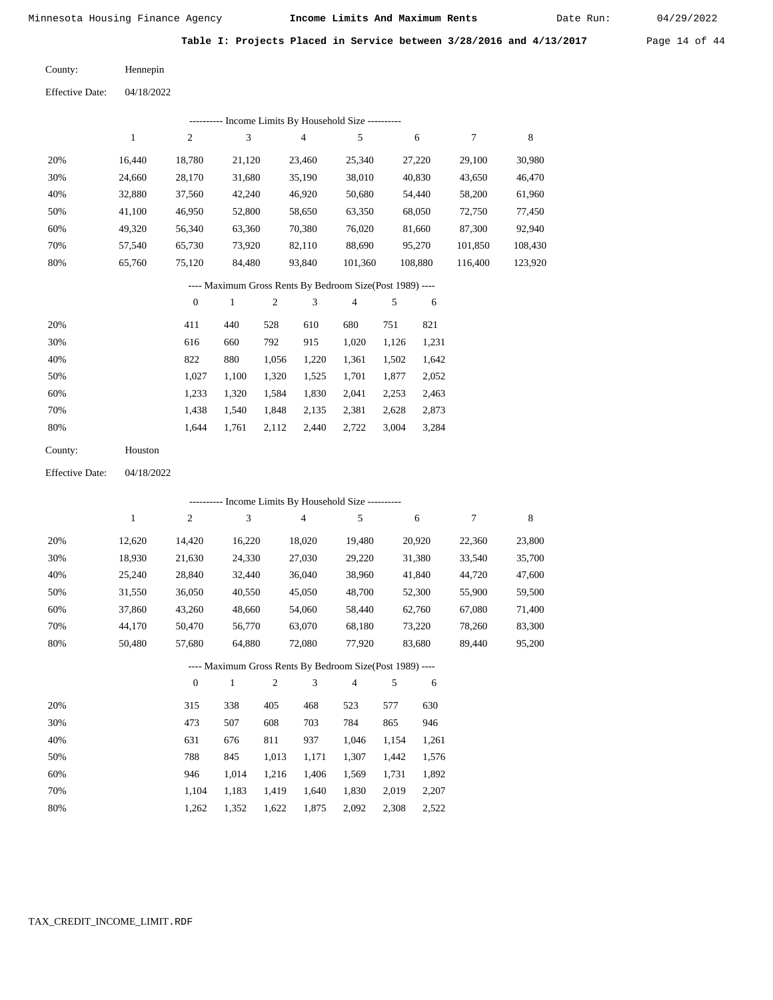Date Run:

**Table I: Projects Placed in Service between 3/28/2016 and 4/13/2017** Page 14 of 44

Hennepin County:

04/18/2022 Effective Date:

| Income Limits By Household Size ---------- |        |                |        |        |         |         |         |         |  |
|--------------------------------------------|--------|----------------|--------|--------|---------|---------|---------|---------|--|
|                                            |        | $\overline{2}$ | 3      | 4      | 5       | 6       | 7       | 8       |  |
| 20%                                        | 16.440 | 18.780         | 21.120 | 23,460 | 25.340  | 27,220  | 29.100  | 30,980  |  |
| 30%                                        | 24.660 | 28,170         | 31,680 | 35,190 | 38,010  | 40,830  | 43,650  | 46,470  |  |
| 40%                                        | 32,880 | 37,560         | 42,240 | 46,920 | 50,680  | 54.440  | 58,200  | 61,960  |  |
| 50%                                        | 41.100 | 46,950         | 52,800 | 58,650 | 63,350  | 68,050  | 72,750  | 77,450  |  |
| 60%                                        | 49.320 | 56.340         | 63.360 | 70,380 | 76,020  | 81.660  | 87,300  | 92,940  |  |
| 70%                                        | 57.540 | 65,730         | 73.920 | 82,110 | 88,690  | 95,270  | 101,850 | 108,430 |  |
| 80%                                        | 65,760 | 75,120         | 84,480 | 93.840 | 101.360 | 108,880 | 116.400 | 123,920 |  |
|                                            |        |                |        |        | ---     |         |         |         |  |

#### ---- Maximum Gross Rents By Bedroom Size(Post 1989) ----

|     | $\mathbf{0}$ |       | 2     | 3     | 4     | 5     | 6     |
|-----|--------------|-------|-------|-------|-------|-------|-------|
| 20% | 411          | 440   | 528   | 610   | 680   | 751   | 821   |
| 30% | 616          | 660   | 792   | 915   | 1,020 | 1,126 | 1,231 |
| 40% | 822          | 880   | 1,056 | 1,220 | 1,361 | 1,502 | 1,642 |
| 50% | 1.027        | 1,100 | 1,320 | 1,525 | 1,701 | 1,877 | 2,052 |
| 60% | 1,233        | 1,320 | 1,584 | 1,830 | 2,041 | 2,253 | 2,463 |
| 70% | 1,438        | 1,540 | 1,848 | 2,135 | 2,381 | 2,628 | 2,873 |
| 80% | 1,644        | 1,761 | 2,112 | 2,440 | 2,722 | 3,004 | 3,284 |
|     |              |       |       |       |       |       |       |

| Houston |
|---------|
|         |

04/18/2022 Effective Date:

|     |        |                  |        |                | ---------- Income Limits By Household Size ----------    |                |       |        |        |        |
|-----|--------|------------------|--------|----------------|----------------------------------------------------------|----------------|-------|--------|--------|--------|
|     | 1      | $\overline{c}$   | 3      |                | $\overline{4}$                                           | 5              |       | 6      | 7      | 8      |
| 20% | 12,620 | 14,420           | 16,220 |                | 18,020                                                   | 19,480         |       | 20,920 | 22,360 | 23,800 |
| 30% | 18,930 | 21,630           | 24,330 |                | 27,030                                                   | 29,220         |       | 31,380 | 33,540 | 35,700 |
| 40% | 25,240 | 28,840           | 32,440 |                | 36,040                                                   | 38,960         |       | 41,840 | 44,720 | 47,600 |
| 50% | 31,550 | 36,050           | 40,550 |                | 45,050                                                   | 48,700         |       | 52,300 | 55,900 | 59,500 |
| 60% | 37,860 | 43,260           | 48,660 |                | 54,060                                                   | 58,440         |       | 62,760 | 67,080 | 71,400 |
| 70% | 44,170 | 50,470           | 56,770 |                | 63,070                                                   | 68,180         |       | 73,220 | 78,260 | 83,300 |
| 80% | 50,480 | 57,680           | 64,880 |                | 72,080                                                   | 77,920         |       | 83,680 | 89,440 | 95,200 |
|     |        |                  |        |                | ---- Maximum Gross Rents By Bedroom Size(Post 1989) ---- |                |       |        |        |        |
|     |        | $\boldsymbol{0}$ | 1      | $\mathfrak{2}$ | 3                                                        | $\overline{4}$ | 5     | 6      |        |        |
| 20% |        | 315              | 338    | 405            | 468                                                      | 523            | 577   | 630    |        |        |
| 30% |        | 473              | 507    | 608            | 703                                                      | 784            | 865   | 946    |        |        |
| 40% |        | 631              | 676    | 811            | 937                                                      | 1,046          | 1,154 | 1,261  |        |        |
| 50% |        | 788              | 845    | 1,013          | 1,171                                                    | 1,307          | 1,442 | 1,576  |        |        |
| 60% |        | 946              | 1,014  | 1,216          | 1,406                                                    | 1,569          | 1,731 | 1,892  |        |        |

 1,104 1,262

 1,183 1,352  1,419 1,622

 1,640 1,875  1,830 2,092

 2,019 2,308

 2,207 2,522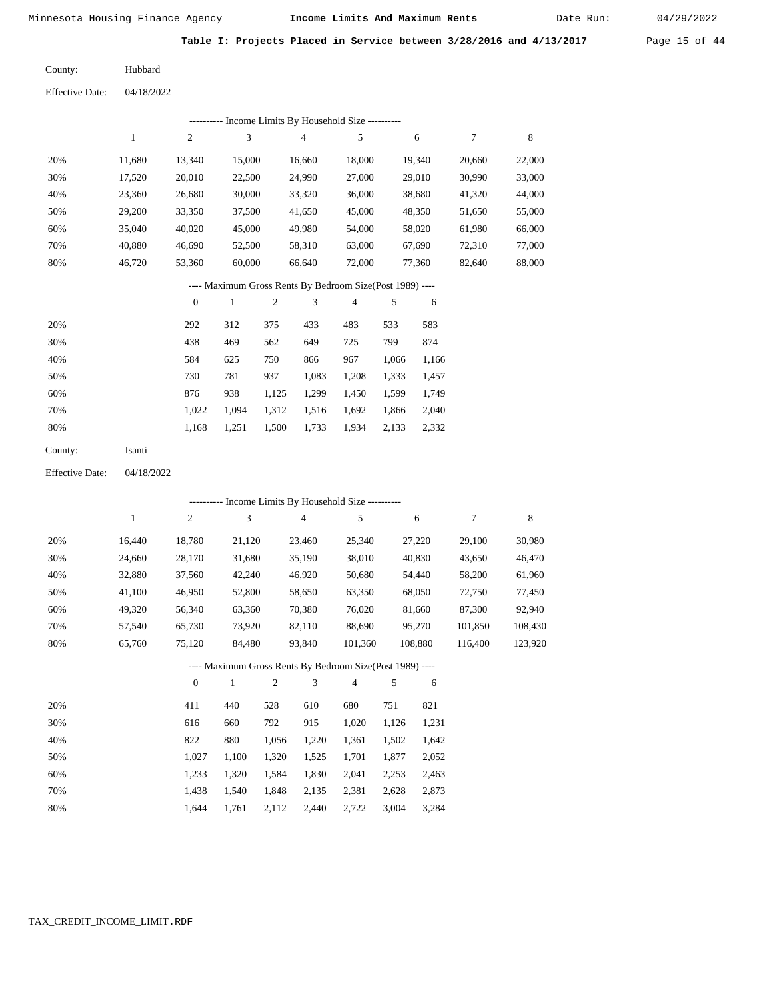Date Run:

Table I: Projects Placed in Service between 3/28/2016 and 4/13/2017 Page 15 of 44

Hubbard County:

Effective Date: 04/18/2022

|                                                          |              |                  |               |                | --------- Income Limits By Household Size ----------     |         |       |         |                  |         |
|----------------------------------------------------------|--------------|------------------|---------------|----------------|----------------------------------------------------------|---------|-------|---------|------------------|---------|
|                                                          | $\mathbf{1}$ | $\boldsymbol{2}$ | $\mathfrak 3$ |                | $\overline{4}$                                           | 5       |       | 6       | $\boldsymbol{7}$ | 8       |
| 20%                                                      | 11,680       | 13,340           | 15,000        |                | 16,660                                                   | 18,000  |       | 19,340  | 20,660           | 22,000  |
| 30%                                                      | 17,520       | 20,010           | 22,500        |                | 24,990                                                   | 27,000  |       | 29,010  | 30,990           | 33,000  |
| 40%                                                      | 23,360       | 26,680           | 30,000        |                | 33,320                                                   | 36,000  |       | 38,680  | 41,320           | 44,000  |
| 50%                                                      | 29,200       | 33,350           | 37,500        |                | 41,650                                                   | 45,000  |       | 48,350  | 51,650           | 55,000  |
| 60%                                                      | 35,040       | 40,020           | 45,000        |                | 49,980                                                   | 54,000  |       | 58,020  | 61,980           | 66,000  |
| 70%                                                      | 40,880       | 46,690           | 52,500        |                | 58,310                                                   | 63,000  |       | 67,690  | 72,310           | 77,000  |
| 80%                                                      | 46,720       | 53,360           | 60,000        |                | 66,640                                                   | 72,000  |       | 77,360  | 82,640           | 88,000  |
| ---- Maximum Gross Rents By Bedroom Size(Post 1989) ---- |              |                  |               |                |                                                          |         |       |         |                  |         |
|                                                          |              | $\boldsymbol{0}$ | $\mathbf{1}$  | $\overline{c}$ | 3                                                        | 4       | 5     | 6       |                  |         |
| 20%                                                      |              | 292              | 312           | 375            | 433                                                      | 483     | 533   | 583     |                  |         |
| 30%                                                      |              | 438              | 469           | 562            | 649                                                      | 725     | 799   | 874     |                  |         |
| 40%                                                      |              | 584              | 625           | 750            | 866                                                      | 967     | 1,066 | 1,166   |                  |         |
| 50%                                                      |              | 730              | 781           | 937            | 1,083                                                    | 1,208   | 1,333 | 1,457   |                  |         |
| 60%                                                      |              | 876              | 938           | 1,125          | 1,299                                                    | 1,450   | 1,599 | 1,749   |                  |         |
| 70%                                                      |              | 1,022            | 1,094         | 1,312          | 1,516                                                    | 1,692   | 1,866 | 2,040   |                  |         |
| 80%                                                      |              | 1,168            | 1,251         | 1,500          | 1,733                                                    | 1,934   | 2,133 | 2,332   |                  |         |
| County:                                                  | Isanti       |                  |               |                |                                                          |         |       |         |                  |         |
| <b>Effective Date:</b>                                   | 04/18/2022   |                  |               |                |                                                          |         |       |         |                  |         |
|                                                          |              |                  |               |                | --------- Income Limits By Household Size ----------     |         |       |         |                  |         |
|                                                          | $\mathbf{1}$ | $\mathbf{2}$     | 3             |                | $\overline{4}$                                           | 5       |       | 6       | 7                | $\,8\,$ |
| 20%                                                      | 16,440       | 18,780           | 21,120        |                | 23,460                                                   | 25,340  |       | 27,220  | 29,100           | 30,980  |
| 30%                                                      | 24,660       | 28,170           | 31,680        |                | 35,190                                                   | 38,010  |       | 40,830  | 43,650           | 46,470  |
| 40%                                                      | 32,880       | 37,560           | 42,240        |                | 46,920                                                   | 50,680  |       | 54,440  | 58,200           | 61,960  |
| 50%                                                      | 41,100       | 46,950           | 52,800        |                | 58,650                                                   | 63,350  |       | 68,050  | 72,750           | 77,450  |
| 60%                                                      | 49,320       | 56,340           | 63,360        |                | 70,380                                                   | 76,020  |       | 81,660  | 87,300           | 92,940  |
| 70%                                                      | 57,540       | 65,730           | 73,920        |                | 82,110                                                   | 88,690  |       | 95,270  | 101,850          | 108,430 |
| 80%                                                      | 65,760       | 75,120           | 84,480        |                | 93,840                                                   | 101,360 |       | 108,880 | 116,400          | 123,920 |
|                                                          |              |                  |               |                | ---- Maximum Gross Rents By Bedroom Size(Post 1989) ---- |         |       |         |                  |         |
|                                                          |              | $\boldsymbol{0}$ | $\mathbf{1}$  | 2              | 3                                                        | 4       | 5     | 6       |                  |         |
| 20%                                                      |              | 411              | 440           | 528            | 610                                                      | 680     | 751   | 821     |                  |         |
| 30%                                                      |              | 616              | 660           | 792            | 915                                                      | 1,020   | 1,126 | 1,231   |                  |         |
| 40%                                                      |              | 822              | 880           | 1,056          | 1,220                                                    | 1,361   | 1,502 | 1,642   |                  |         |
| 50%                                                      |              | 1,027            | 1,100         | 1,320          | 1,525                                                    | 1,701   | 1,877 | 2,052   |                  |         |
| 60%                                                      |              | 1,233            | 1,320         | 1,584          | 1,830                                                    | 2,041   | 2,253 | 2,463   |                  |         |
| 70%                                                      |              | 1,438            | 1,540         | 1,848          | 2,135                                                    | 2,381   | 2,628 | 2,873   |                  |         |
| 80%                                                      |              | 1,644            | 1,761         | 2,112          | 2,440                                                    | 2,722   | 3,004 | 3,284   |                  |         |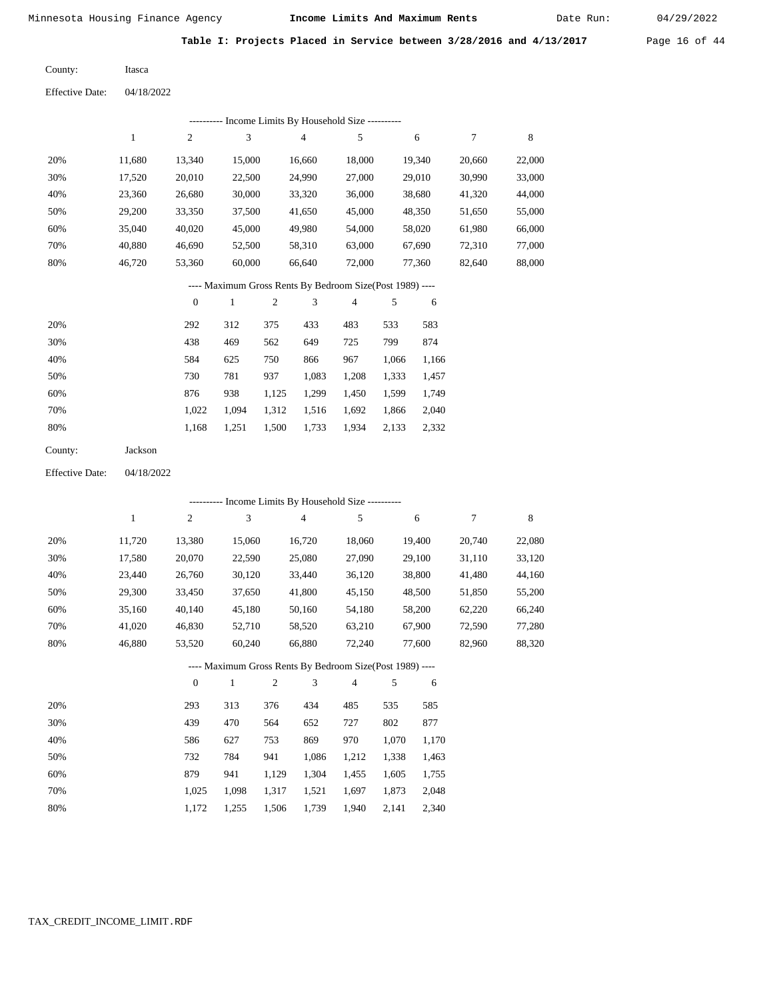Date Run:

**Table I: Projects Placed in Service between 3/28/2016 and 4/13/2017** Page 16 of 44

| County: | Itasca |
|---------|--------|
|---------|--------|

Effective Date: 04/18/2022

|     |        |        |        | ---------- Income Limits By Household Size ----------    |        |        |        |        |
|-----|--------|--------|--------|----------------------------------------------------------|--------|--------|--------|--------|
|     | 1      | 2      | 3      | $\overline{4}$                                           | 5      | 6      | 7      | 8      |
| 20% | 11.680 | 13,340 | 15,000 | 16.660                                                   | 18,000 | 19,340 | 20,660 | 22,000 |
| 30% | 17.520 | 20,010 | 22,500 | 24,990                                                   | 27,000 | 29,010 | 30,990 | 33,000 |
| 40% | 23,360 | 26,680 | 30,000 | 33,320                                                   | 36,000 | 38,680 | 41,320 | 44,000 |
| 50% | 29,200 | 33,350 | 37,500 | 41,650                                                   | 45,000 | 48,350 | 51,650 | 55,000 |
| 60% | 35,040 | 40,020 | 45,000 | 49,980                                                   | 54,000 | 58,020 | 61,980 | 66,000 |
| 70% | 40.880 | 46.690 | 52,500 | 58,310                                                   | 63,000 | 67.690 | 72,310 | 77,000 |
| 80% | 46,720 | 53,360 | 60,000 | 66,640                                                   | 72,000 | 77,360 | 82,640 | 88,000 |
|     |        |        |        | ---- Maximum Gross Rents By Bedroom Size(Post 1989) ---- |        |        |        |        |

|     | $\Omega$ |       | $\overline{c}$ | 3     | $\overline{4}$ |       | 6     |
|-----|----------|-------|----------------|-------|----------------|-------|-------|
| 20% | 292      | 312   | 375            | 433   | 483            | 533   | 583   |
| 30% | 438      | 469   | 562            | 649   | 725            | 799   | 874   |
| 40% | 584      | 625   | 750            | 866   | 967            | 1,066 | 1,166 |
| 50% | 730      | 781   | 937            | 1,083 | 1,208          | 1,333 | 1,457 |
| 60% | 876      | 938   | 1,125          | 1,299 | 1,450          | 1,599 | 1,749 |
| 70% | 1.022    | 1.094 | 1,312          | 1,516 | 1,692          | 1,866 | 2,040 |
| 80% | 1,168    | 1,251 | 1,500          | 1,733 | 1,934          | 2,133 | 2,332 |
|     |          |       |                |       |                |       |       |

| Jackson |
|---------|
|         |

Effective Date: 04/18/2022

|     |              |                |        |                | ---------- Income Limits By Household Size ----------    |                |       |        |        |        |
|-----|--------------|----------------|--------|----------------|----------------------------------------------------------|----------------|-------|--------|--------|--------|
|     | $\mathbf{1}$ | $\overline{c}$ | 3      |                | $\overline{4}$                                           | 5              |       | 6      | 7      | 8      |
| 20% | 11,720       | 13,380         | 15,060 |                | 16,720                                                   | 18,060         |       | 19,400 | 20,740 | 22,080 |
| 30% | 17,580       | 20,070         | 22,590 |                | 25,080                                                   | 27,090         |       | 29,100 | 31,110 | 33,120 |
| 40% | 23,440       | 26,760         | 30,120 |                | 33,440                                                   | 36,120         |       | 38,800 | 41,480 | 44,160 |
| 50% | 29,300       | 33,450         | 37,650 |                | 41,800                                                   | 45,150         |       | 48,500 | 51,850 | 55,200 |
| 60% | 35,160       | 40,140         | 45,180 |                | 50,160                                                   | 54,180         |       | 58,200 | 62,220 | 66,240 |
| 70% | 41,020       | 46,830         | 52,710 |                | 58,520                                                   | 63,210         |       | 67,900 | 72,590 | 77,280 |
| 80% | 46,880       | 53,520         | 60,240 |                | 66,880                                                   | 72,240         |       | 77,600 | 82,960 | 88,320 |
|     |              |                |        |                | ---- Maximum Gross Rents By Bedroom Size(Post 1989) ---- |                |       |        |        |        |
|     |              | $\theta$       | 1      | $\mathfrak{2}$ | 3                                                        | $\overline{4}$ | 5     | 6      |        |        |
| 20% |              | 293            | 313    | 376            | 434                                                      | 485            | 535   | 585    |        |        |
| 30% |              | 439            | 470    | 564            | 652                                                      | 727            | 802   | 877    |        |        |
| 40% |              | 586            | 627    | 753            | 869                                                      | 970            | 1,070 | 1,170  |        |        |
| 50% |              | 732            | 784    | 941            | 1,086                                                    | 1,212          | 1,338 | 1,463  |        |        |
| 60% |              | 879            | 941    | 1,129          | 1,304                                                    | 1,455          | 1,605 | 1,755  |        |        |

1,025 1,098 1,317 1,521 1,697 1,873 2,048

1,940 2,141 2,340

1,172 1,255 1,506 1,739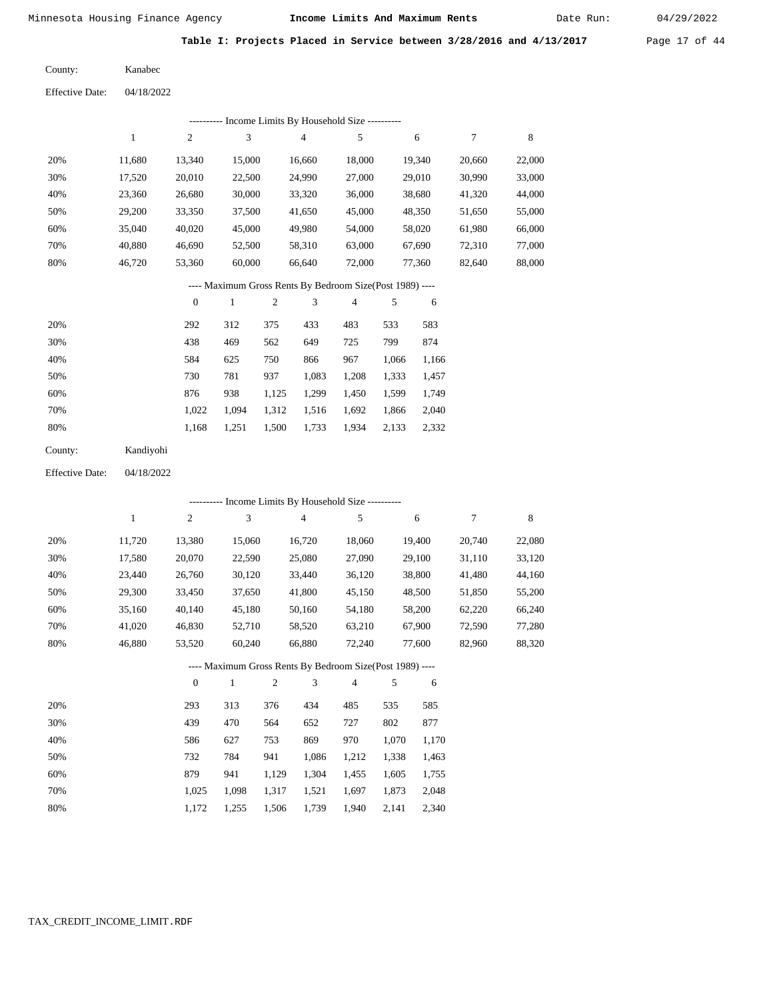Date Run:

Table I: Projects Placed in Service between 3/28/2016 and 4/13/2017 Page 17 of 44

Kanabec County:

Effective Date: 04/18/2022

|                        |              |                  |        |                | --------- Income Limits By Household Size ----------                                                                                                               |                |       |        |        |        |
|------------------------|--------------|------------------|--------|----------------|--------------------------------------------------------------------------------------------------------------------------------------------------------------------|----------------|-------|--------|--------|--------|
|                        | $\mathbf{1}$ | $\mathfrak{2}$   | 3      |                | $\overline{4}$                                                                                                                                                     | 5              |       | 6      | 7      | 8      |
| 20%                    | 11,680       | 13,340           | 15,000 |                | 16,660                                                                                                                                                             | 18,000         |       | 19,340 | 20,660 | 22,000 |
| 30%                    | 17,520       | 20,010           | 22,500 |                | 24,990                                                                                                                                                             | 27,000         |       | 29,010 | 30,990 | 33,000 |
| 40%                    | 23,360       | 26,680           | 30,000 |                | 33,320                                                                                                                                                             | 36,000         |       | 38,680 | 41,320 | 44,000 |
| 50%                    | 29,200       | 33,350           | 37,500 |                | 41,650                                                                                                                                                             | 45,000         |       | 48,350 | 51,650 | 55,000 |
| 60%                    | 35,040       | 40,020           | 45,000 |                | 49,980                                                                                                                                                             | 54,000         |       | 58,020 | 61,980 | 66,000 |
| 70%                    | 40,880       | 46,690           | 52,500 |                | 58,310                                                                                                                                                             | 63,000         |       | 67,690 | 72,310 | 77,000 |
| 80%                    | 46,720       | 53,360           | 60,000 |                | 66,640                                                                                                                                                             | 72,000         |       | 77,360 | 82,640 | 88,000 |
|                        |              |                  |        |                | ---- Maximum Gross Rents By Bedroom Size(Post 1989) ----                                                                                                           |                |       |        |        |        |
|                        |              | $\boldsymbol{0}$ | 1      | $\mathfrak{2}$ | 3                                                                                                                                                                  | $\overline{4}$ | 5     | 6      |        |        |
| 20%                    |              | 292              | 312    | 375            | 433                                                                                                                                                                | 483            | 533   | 583    |        |        |
| 30%                    |              | 438              | 469    | 562            | 649                                                                                                                                                                | 725            | 799   | 874    |        |        |
| 40%                    |              | 584              | 625    | 750            | 866                                                                                                                                                                | 967            | 1,066 | 1,166  |        |        |
| 50%                    |              | 730              | 781    | 937            | 1,083                                                                                                                                                              | 1,208          | 1,333 | 1,457  |        |        |
| 60%                    |              | 876              | 938    | 1,125          | 1,299                                                                                                                                                              | 1,450          | 1,599 | 1,749  |        |        |
| 70%                    |              | 1,022            | 1,094  | 1,312          | 1,516                                                                                                                                                              | 1,692          | 1,866 | 2,040  |        |        |
| 80%                    |              | 1,168            | 1,251  | 1,500          | 1,733                                                                                                                                                              | 1,934          | 2,133 | 2,332  |        |        |
| County:                | Kandiyohi    |                  |        |                |                                                                                                                                                                    |                |       |        |        |        |
| <b>Effective Date:</b> | 04/18/2022   |                  |        |                |                                                                                                                                                                    |                |       |        |        |        |
|                        |              |                  |        |                | $T_{\rm eff}$ = $\sim$ $\sim$ $T_{\rm eff}$ $\sim$ $T_{\rm eff}$ $T_{\rm eff}$ $T_{\rm eff}$ $T_{\rm eff}$ $T_{\rm eff}$ $T_{\rm eff}$ $T_{\rm eff}$ $T_{\rm eff}$ |                |       |        |        |        |

|     |        |                |        | Income Limits By Household Size ----------               |                |        |        |        |
|-----|--------|----------------|--------|----------------------------------------------------------|----------------|--------|--------|--------|
|     | 1      | $\overline{2}$ | 3      | $\overline{4}$                                           | 5              | 6      | 7      | 8      |
| 20% | 11,720 | 13,380         | 15,060 | 16,720                                                   | 18,060         | 19,400 | 20,740 | 22,080 |
| 30% | 17,580 | 20,070         | 22,590 | 25,080                                                   | 27,090         | 29,100 | 31,110 | 33,120 |
| 40% | 23,440 | 26,760         | 30,120 | 33,440                                                   | 36,120         | 38,800 | 41,480 | 44,160 |
| 50% | 29,300 | 33,450         | 37,650 | 41,800                                                   | 45,150         | 48,500 | 51,850 | 55,200 |
| 60% | 35.160 | 40.140         | 45,180 | 50,160                                                   | 54,180         | 58,200 | 62,220 | 66,240 |
| 70% | 41.020 | 46,830         | 52,710 | 58,520                                                   | 63,210         | 67,900 | 72,590 | 77,280 |
| 80% | 46.880 | 53,520         | 60,240 | 66,880                                                   | 72,240         | 77,600 | 82,960 | 88,320 |
|     |        |                |        | ---- Maximum Gross Rents By Bedroom Size(Post 1989) ---- |                |        |        |        |
|     |        | $\mathbf{0}$   | 1      | 3<br>2                                                   | $\overline{4}$ | 5<br>6 |        |        |
|     |        |                |        |                                                          |                |        |        |        |

| 20% | 293   | 313   | 376   | 434   | 485   | 535   | 585   |
|-----|-------|-------|-------|-------|-------|-------|-------|
| 30% | 439   | 470   | 564   | 652   | 727   | 802   | 877   |
| 40% | 586   | 627   | 753   | 869   | 970   | 1.070 | 1,170 |
| 50% | 732   | 784   | 941   | 1.086 | 1,212 | 1,338 | 1,463 |
| 60% | 879   | 941   | 1.129 | 1,304 | 1.455 | 1.605 | 1,755 |
| 70% | 1.025 | 1.098 | 1.317 | 1.521 | 1.697 | 1.873 | 2,048 |
| 80% | 1.172 | 1.255 | 1,506 | 1,739 | 1,940 | 2.141 | 2,340 |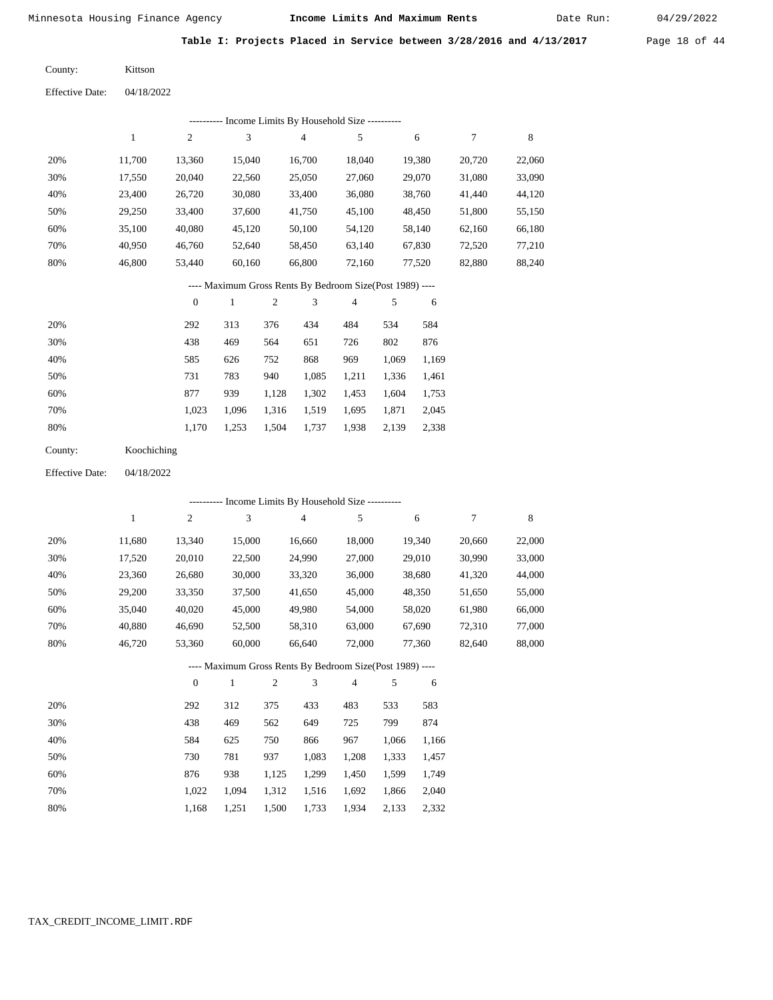Date Run:

**Table I: Projects Placed in Service between 3/28/2016 and 4/13/2017** Page 18 of 44

Kittson County:

04/18/2022 Effective Date:

|     | ---------- Income Limits By Household Size ---------- |        |        |        |        |        |        |        |  |  |
|-----|-------------------------------------------------------|--------|--------|--------|--------|--------|--------|--------|--|--|
|     |                                                       | 2      | 3      | 4      | 5      | 6      | 7      | 8      |  |  |
| 20% | 11.700                                                | 13,360 | 15.040 | 16.700 | 18.040 | 19,380 | 20.720 | 22,060 |  |  |
| 30% | 17,550                                                | 20,040 | 22,560 | 25,050 | 27,060 | 29,070 | 31,080 | 33,090 |  |  |
| 40% | 23,400                                                | 26,720 | 30,080 | 33,400 | 36,080 | 38,760 | 41,440 | 44,120 |  |  |
| 50% | 29,250                                                | 33,400 | 37,600 | 41,750 | 45,100 | 48,450 | 51,800 | 55,150 |  |  |
| 60% | 35,100                                                | 40,080 | 45,120 | 50,100 | 54,120 | 58,140 | 62,160 | 66,180 |  |  |
| 70% | 40,950                                                | 46,760 | 52,640 | 58,450 | 63,140 | 67,830 | 72,520 | 77,210 |  |  |
| 80% | 46,800                                                | 53,440 | 60,160 | 66,800 | 72,160 | 77,520 | 82,880 | 88,240 |  |  |
|     |                                                       |        |        |        |        |        |        |        |  |  |

---- Maximum Gross Rents By Bedroom Size(Post 1989) ----

|     | $\mathbf{0}$ |       | $\overline{c}$ | 3     | 4     | 5     | 6     |
|-----|--------------|-------|----------------|-------|-------|-------|-------|
| 20% | 292          | 313   | 376            | 434   | 484   | 534   | 584   |
| 30% | 438          | 469   | 564            | 651   | 726   | 802   | 876   |
| 40% | 585          | 626   | 752            | 868   | 969   | 1,069 | 1,169 |
| 50% | 731          | 783   | 940            | 1,085 | 1,211 | 1,336 | 1,461 |
| 60% | 877          | 939   | 1,128          | 1,302 | 1,453 | 1,604 | 1,753 |
| 70% | 1.023        | 1.096 | 1,316          | 1,519 | 1.695 | 1,871 | 2,045 |
| 80% | 1,170        | 1,253 | 1,504          | 1,737 | 1,938 | 2,139 | 2,338 |

| County: | Koochiching |
|---------|-------------|
|---------|-------------|

04/18/2022 Effective Date:

|     |        |                |              |                |                | ---------- Income Limits By Household Size ----------    |       |        |        |             |
|-----|--------|----------------|--------------|----------------|----------------|----------------------------------------------------------|-------|--------|--------|-------------|
|     | 1      | $\overline{c}$ | 3            |                | $\overline{4}$ | 5                                                        |       | 6      | 7      | $\,$ 8 $\,$ |
| 20% | 11,680 | 13,340         | 15,000       |                | 16,660         | 18,000                                                   |       | 19,340 | 20,660 | 22,000      |
| 30% | 17,520 | 20,010         | 22,500       |                | 24,990         | 27,000                                                   |       | 29,010 | 30,990 | 33,000      |
| 40% | 23,360 | 26,680         | 30,000       |                | 33,320         | 36,000                                                   |       | 38,680 | 41,320 | 44,000      |
| 50% | 29,200 | 33,350         | 37,500       |                | 41,650         | 45,000                                                   |       | 48,350 | 51,650 | 55,000      |
| 60% | 35,040 | 40,020         | 45,000       |                | 49,980         | 54,000                                                   |       | 58,020 | 61,980 | 66,000      |
| 70% | 40,880 | 46,690         | 52,500       |                | 58,310         | 63,000                                                   |       | 67,690 | 72,310 | 77,000      |
| 80% | 46,720 | 53,360         | 60,000       |                | 66,640         | 72,000                                                   |       | 77,360 | 82,640 | 88,000      |
|     |        |                |              |                |                | ---- Maximum Gross Rents By Bedroom Size(Post 1989) ---- |       |        |        |             |
|     |        | $\overline{0}$ | $\mathbf{1}$ | $\overline{2}$ | 3              | $\overline{4}$                                           | 5     | 6      |        |             |
| 20% |        | 292            | 312          | 375            | 433            | 483                                                      | 533   | 583    |        |             |
| 30% |        | 438            | 469          | 562            | 649            | 725                                                      | 799   | 874    |        |             |
| 40% |        | 584            | 625          | 750            | 866            | 967                                                      | 1,066 | 1,166  |        |             |
| 50% |        | 730            | 781          | 937            | 1,083          | 1,208                                                    | 1,333 | 1,457  |        |             |
| 60% |        | 876            | 938          | 1,125          | 1,299          | 1,450                                                    | 1,599 | 1,749  |        |             |
| 70% |        | 1,022          | 1,094        | 1,312          | 1,516          | 1,692                                                    | 1,866 | 2,040  |        |             |

1,500 1,733

1,934 2,133 2,332

1,168

1,251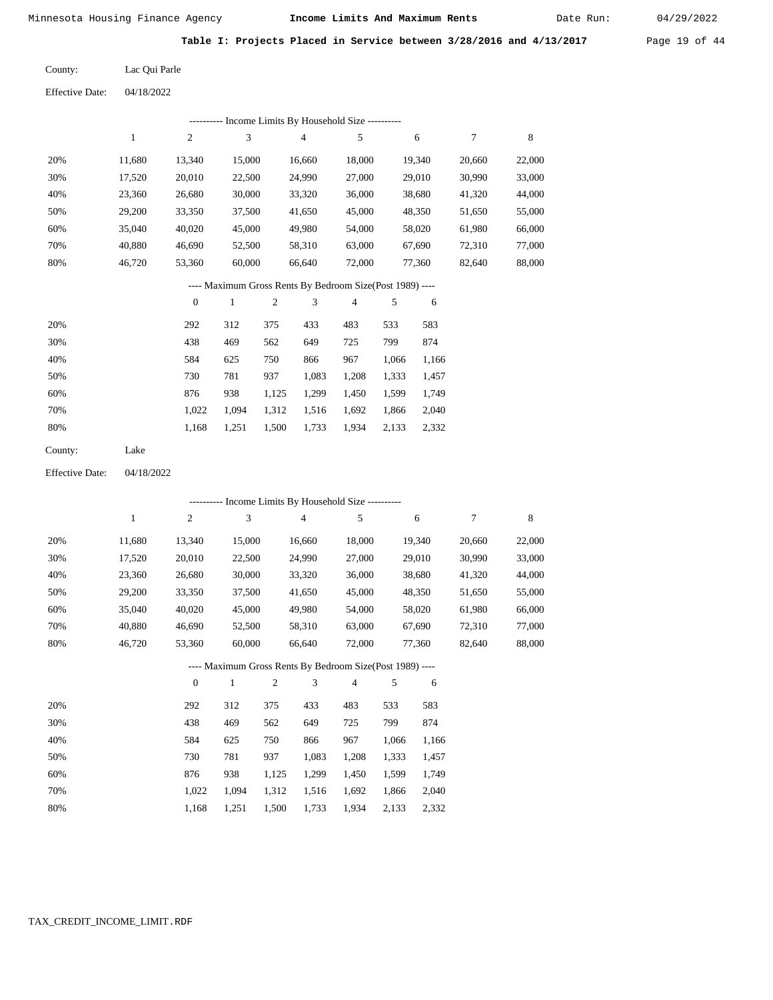Date Run:

Table I: Projects Placed in Service between 3/28/2016 and 4/13/2017 Page 19 of 44

| County: | Lac Qui Parle |
|---------|---------------|
|         |               |

Effective Date: 04/18/2022

|                                                          |              |                  |              |            | ---------- Income Limits By Household Size ----------    |        |       |        |                  |             |
|----------------------------------------------------------|--------------|------------------|--------------|------------|----------------------------------------------------------|--------|-------|--------|------------------|-------------|
|                                                          | $\mathbf{1}$ | $\sqrt{2}$       | 3            |            | 4                                                        | 5      |       | 6      | $\tau$           | $\,$ 8 $\,$ |
| 20%                                                      | 11,680       | 13,340           | 15,000       |            | 16,660                                                   | 18,000 |       | 19,340 | 20,660           | 22,000      |
| 30%                                                      | 17,520       | 20,010           | 22,500       |            | 24,990                                                   | 27,000 |       | 29,010 | 30,990           | 33,000      |
| 40%                                                      | 23,360       | 26,680           | 30,000       |            | 33,320                                                   | 36,000 |       | 38,680 | 41,320           | 44,000      |
| 50%                                                      | 29,200       | 33,350           | 37,500       |            | 41,650                                                   | 45,000 |       | 48,350 | 51,650           | 55,000      |
| 60%                                                      | 35,040       | 40,020           | 45,000       |            | 49,980                                                   | 54,000 |       | 58,020 | 61,980           | 66,000      |
| 70%                                                      | 40,880       | 46,690           | 52,500       |            | 58,310                                                   | 63,000 |       | 67,690 | 72,310           | 77,000      |
| 80%                                                      | 46,720       | 53,360           | 60,000       |            | 66,640                                                   | 72,000 |       | 77,360 | 82,640           | 88,000      |
| ---- Maximum Gross Rents By Bedroom Size(Post 1989) ---- |              |                  |              |            |                                                          |        |       |        |                  |             |
|                                                          |              | $\boldsymbol{0}$ | $\mathbf{1}$ | $\sqrt{2}$ | 3                                                        | 4      | 5     | 6      |                  |             |
| 20%                                                      |              | 292              | 312          | 375        | 433                                                      | 483    | 533   | 583    |                  |             |
| 30%                                                      |              | 438              | 469          | 562        | 649                                                      | 725    | 799   | 874    |                  |             |
| 40%                                                      |              | 584              | 625          | 750        | 866                                                      | 967    | 1,066 | 1,166  |                  |             |
| 50%                                                      |              | 730              | 781          | 937        | 1,083                                                    | 1,208  | 1,333 | 1,457  |                  |             |
| 60%                                                      |              | 876              | 938          | 1,125      | 1,299                                                    | 1,450  | 1,599 | 1,749  |                  |             |
| 70%                                                      |              | 1,022            | 1,094        | 1,312      | 1,516                                                    | 1,692  | 1,866 | 2,040  |                  |             |
| 80%                                                      |              | 1,168            | 1,251        | 1,500      | 1,733                                                    | 1,934  | 2,133 | 2,332  |                  |             |
| County:                                                  | Lake         |                  |              |            |                                                          |        |       |        |                  |             |
| <b>Effective Date:</b>                                   | 04/18/2022   |                  |              |            |                                                          |        |       |        |                  |             |
|                                                          |              |                  |              |            | ---------- Income Limits By Household Size ----------    |        |       |        |                  |             |
|                                                          | $\mathbf{1}$ | $\sqrt{2}$       | 3            |            | 4                                                        | 5      |       | 6      | $\boldsymbol{7}$ | 8           |
| 20%                                                      | 11,680       | 13,340           | 15,000       |            | 16,660                                                   | 18,000 |       | 19,340 | 20,660           | 22,000      |
| 30%                                                      | 17,520       | 20,010           | 22,500       |            | 24,990                                                   | 27,000 |       | 29,010 | 30,990           | 33,000      |
| 40%                                                      | 23,360       | 26,680           | 30,000       |            | 33,320                                                   | 36,000 |       | 38,680 | 41,320           | 44,000      |
| 50%                                                      | 29,200       | 33,350           | 37,500       |            | 41,650                                                   | 45,000 |       | 48,350 | 51,650           | 55,000      |
| 60%                                                      | 35,040       | 40,020           | 45,000       |            | 49,980                                                   | 54,000 |       | 58,020 | 61,980           | 66,000      |
| 70%                                                      | 40,880       | 46,690           | 52,500       |            | 58,310                                                   | 63,000 |       | 67,690 | 72,310           | 77,000      |
| 80%                                                      | 46,720       | 53,360           | 60,000       |            | 66,640                                                   | 72,000 |       | 77,360 | 82,640           | 88,000      |
|                                                          |              |                  |              |            | ---- Maximum Gross Rents By Bedroom Size(Post 1989) ---- |        |       |        |                  |             |
|                                                          |              | $\boldsymbol{0}$ | $\mathbf{1}$ | $\sqrt{2}$ | 3                                                        | 4      | 5     | 6      |                  |             |
| 20%                                                      |              | 292              | 312          | 375        | 433                                                      | 483    | 533   | 583    |                  |             |
| 30%                                                      |              | 438              | 469          | 562        | 649                                                      | 725    | 799   | 874    |                  |             |
| 40%                                                      |              | 584              | 625          | 750        | 866                                                      | 967    | 1,066 | 1,166  |                  |             |
| 50%                                                      |              | 730              | 781          | 937        | 1,083                                                    | 1,208  | 1,333 | 1,457  |                  |             |
| 60%                                                      |              | 876              | 938          | 1,125      | 1,299                                                    | 1,450  | 1,599 | 1,749  |                  |             |
| 70%                                                      |              | 1,022            | 1,094        | 1,312      | 1,516                                                    | 1,692  | 1,866 | 2,040  |                  |             |
| 80%                                                      |              | 1,168            | 1,251        | 1,500      | 1,733                                                    | 1,934  | 2,133 | 2,332  |                  |             |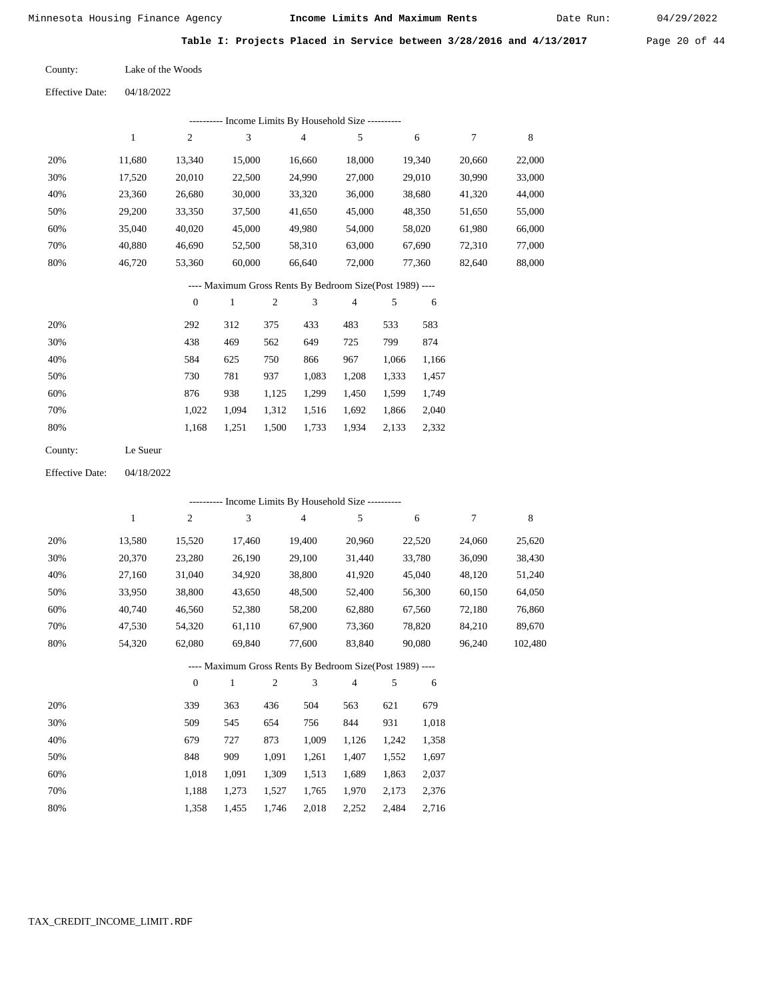Date Run:

**Table I: Projects Placed in Service between 3/28/2016 and 4/13/2017** Page 20 of 44

| County: | Lake of the Woods |
|---------|-------------------|
|         |                   |

04/18/2022 Effective Date:

|                                                          |            |                  |              |                | --------- Income Limits By Household Size --------- |                |       |        |        |        |
|----------------------------------------------------------|------------|------------------|--------------|----------------|-----------------------------------------------------|----------------|-------|--------|--------|--------|
|                                                          | 1          | $\mathfrak{2}$   | 3            |                | 4                                                   | 5              |       | 6      | 7      | 8      |
| 20%                                                      | 11,680     | 13,340           | 15,000       |                | 16,660                                              | 18,000         |       | 19,340 | 20,660 | 22,000 |
| 30%                                                      | 17,520     | 20,010           | 22,500       |                | 24,990                                              | 27,000         |       | 29,010 | 30,990 | 33,000 |
| 40%                                                      | 23,360     | 26,680           | 30,000       |                | 33,320                                              | 36,000         |       | 38,680 | 41,320 | 44,000 |
| 50%                                                      | 29,200     | 33,350           | 37,500       |                | 41,650                                              | 45,000         |       | 48,350 | 51,650 | 55,000 |
| 60%                                                      | 35,040     | 40,020           | 45,000       |                | 49,980                                              | 54,000         |       | 58,020 | 61,980 | 66,000 |
| 70%                                                      | 40,880     | 46,690           | 52,500       |                | 58,310                                              | 63,000         |       | 67,690 | 72,310 | 77,000 |
| 80%                                                      | 46,720     | 53,360           | 60,000       |                | 66,640                                              | 72,000         |       | 77,360 | 82,640 | 88,000 |
| ---- Maximum Gross Rents By Bedroom Size(Post 1989) ---- |            |                  |              |                |                                                     |                |       |        |        |        |
|                                                          |            | $\boldsymbol{0}$ | $\mathbf{1}$ | $\overline{c}$ | 3                                                   | $\overline{4}$ | 5     | 6      |        |        |
| 20%                                                      |            | 292              | 312          | 375            | 433                                                 | 483            | 533   | 583    |        |        |
| 30%                                                      |            | 438              | 469          | 562            | 649                                                 | 725            | 799   | 874    |        |        |
| 40%                                                      |            | 584              | 625          | 750            | 866                                                 | 967            | 1,066 | 1,166  |        |        |
| 50%                                                      |            | 730              | 781          | 937            | 1,083                                               | 1,208          | 1,333 | 1,457  |        |        |
| 60%                                                      |            | 876              | 938          | 1,125          | 1,299                                               | 1,450          | 1,599 | 1,749  |        |        |
| 70%                                                      |            | 1,022            | 1,094        | 1,312          | 1,516                                               | 1,692          | 1,866 | 2,040  |        |        |
| 80%                                                      |            | 1,168            | 1,251        | 1,500          | 1,733                                               | 1,934          | 2,133 | 2,332  |        |        |
| County:                                                  | Le Sueur   |                  |              |                |                                                     |                |       |        |        |        |
| <b>Effective Date:</b>                                   | 04/18/2022 |                  |              |                |                                                     |                |       |        |        |        |

 20% 30% 40% 50% 60% 70% 80% 13,580 20,370 27,160 33,950 40,740 47,530 54,320 15,520 23,280 31,040 38,800 46,560 54,320 62,080 17,460 26,190 34,920 43,650 52,380 61,110 69,840 19,400 29,100 38,800 48,500 58,200 67,900 77,600 20,960 31,440 41,920 52,400 62,880 73,360 83,840 22,520 33,780 45,040 56,300 67,560 78,820 90,080 24,060 36,090 48,120 60,150 72,180 84,210 96,240 25,620 38,430 51,240 64,050 76,860 89,670 102,480 20% 30% 40% 50% 339 509 679 848 363 545 727 909 436 654 873 1,091 504 756 1,009 1,261 563 844 1,126 1,407 621 931 1,242 1,552 679 1,018 1,358 1,697 1 2 3 4 5 6 7 8 0 1 2 3 4 5 6 ---------- Income Limits By Household Size ---------- ---- Maximum Gross Rents By Bedroom Size(Post 1989) ----

| 60% | 1,018 1,091 1,309 1,513 1,689 1,863 2,037 |  |  |  |
|-----|-------------------------------------------|--|--|--|
| 70% | 1,188 1,273 1,527 1,765 1,970 2,173 2,376 |  |  |  |
| 80% | 1,358 1,455 1,746 2,018 2,252 2,484 2,716 |  |  |  |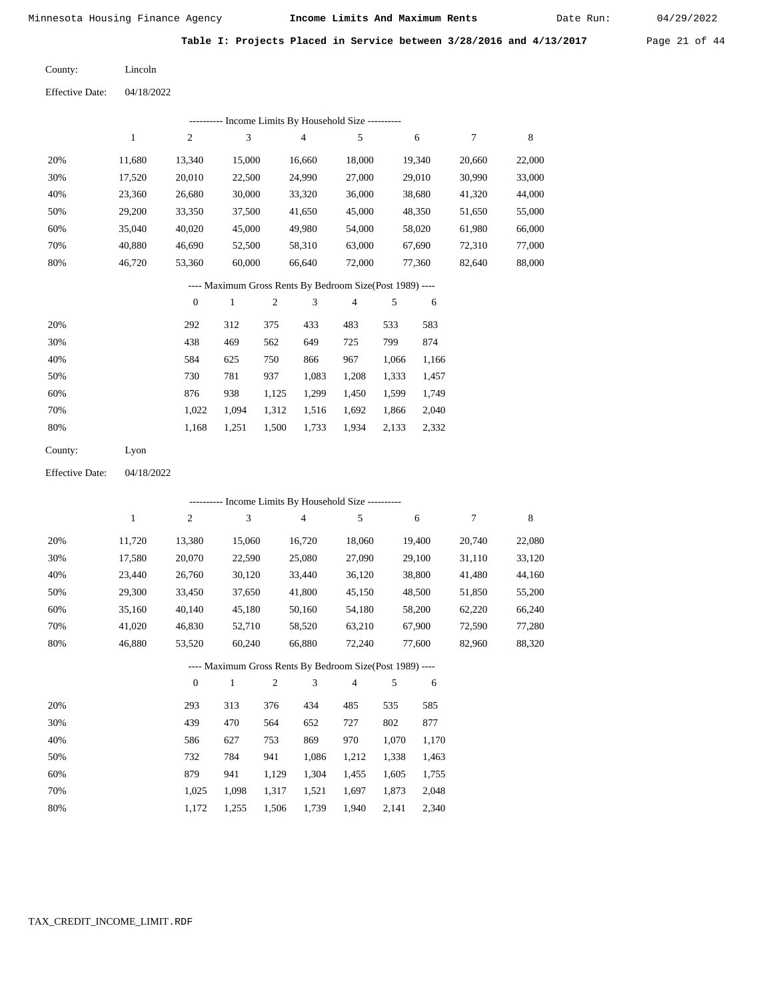Date Run:

**Table I: Projects Placed in Service between 3/28/2016 and 4/13/2017** Page 21 of 44

Lincoln County:

04/18/2022 Effective Date:

|     |        |                  | ---------- Income Limits By Household Size ----------    |     |                |        |       |        |        |        |
|-----|--------|------------------|----------------------------------------------------------|-----|----------------|--------|-------|--------|--------|--------|
|     | 1      | $\mathbf{2}$     | 3                                                        |     | $\overline{4}$ | 5      |       | 6      | $\tau$ | 8      |
| 20% | 11,680 | 13,340           | 15,000                                                   |     | 16,660         | 18,000 |       | 19,340 | 20,660 | 22,000 |
| 30% | 17,520 | 20,010           | 22,500                                                   |     | 24,990         | 27,000 |       | 29,010 | 30,990 | 33,000 |
| 40% | 23,360 | 26,680           | 30,000                                                   |     | 33,320         | 36,000 |       | 38,680 | 41,320 | 44,000 |
| 50% | 29,200 | 33,350           | 37,500                                                   |     | 41,650         | 45,000 |       | 48,350 | 51,650 | 55,000 |
| 60% | 35,040 | 40,020           | 45,000                                                   |     | 49,980         | 54,000 |       | 58,020 | 61,980 | 66,000 |
| 70% | 40,880 | 46,690           | 52,500                                                   |     | 58,310         | 63,000 |       | 67,690 | 72,310 | 77,000 |
| 80% | 46,720 | 53,360           | 60,000                                                   |     | 66,640         | 72,000 |       | 77,360 | 82,640 | 88,000 |
|     |        |                  | ---- Maximum Gross Rents By Bedroom Size(Post 1989) ---- |     |                |        |       |        |        |        |
|     |        | $\boldsymbol{0}$ | 1                                                        | 2   | 3              | 4      | 5     | 6      |        |        |
| 20% |        | 292              | 312                                                      | 375 | 433            | 483    | 533   | 583    |        |        |
| 30% |        | 438              | 469                                                      | 562 | 649            | 725    | 799   | 874    |        |        |
| 40% |        | 584              | 625                                                      | 750 | 866            | 967    | 1,066 | 1,166  |        |        |
| 50% |        | 730              | 781                                                      | 937 | 1,083          | 1,208  | 1,333 | 1,457  |        |        |

| 60% | 876 | 938                                       |  | 1,125 1,299 1,450 1,599 1,749 |  |
|-----|-----|-------------------------------------------|--|-------------------------------|--|
| 70% |     | 1.022 1.094 1.312 1.516 1.692 1.866 2.040 |  |                               |  |
| 80% |     | 1.168 1.251 1.500 1.733 1.934 2.133 2.332 |  |                               |  |

| County: | Lyon |
|---------|------|
|---------|------|

Effective Date: 04/18/2022

|     | ---------- Income Limits By Household Size ---------- |                |              |                |                                                          |                |       |        |        |        |
|-----|-------------------------------------------------------|----------------|--------------|----------------|----------------------------------------------------------|----------------|-------|--------|--------|--------|
|     | $\mathbf{1}$                                          | $\overline{c}$ | 3            |                | $\overline{4}$                                           | 5              |       | 6      | 7      | 8      |
| 20% | 11,720                                                | 13,380         | 15,060       |                | 16,720                                                   | 18,060         |       | 19,400 | 20,740 | 22,080 |
| 30% | 17,580                                                | 20,070         | 22,590       |                | 25,080                                                   | 27,090         |       | 29,100 | 31,110 | 33,120 |
| 40% | 23,440                                                | 26,760         | 30,120       |                | 33,440                                                   | 36,120         |       | 38,800 | 41,480 | 44,160 |
| 50% | 29,300                                                | 33,450         | 37,650       |                | 41,800                                                   | 45,150         |       | 48,500 | 51,850 | 55,200 |
| 60% | 35,160                                                | 40,140         | 45,180       |                | 50,160                                                   | 54,180         |       | 58,200 | 62,220 | 66,240 |
| 70% | 41,020                                                | 46,830         | 52,710       |                | 58,520                                                   | 63,210         |       | 67,900 | 72,590 | 77,280 |
| 80% | 46,880                                                | 53,520         | 60,240       |                | 66,880                                                   | 72,240         |       | 77,600 | 82,960 | 88,320 |
|     |                                                       |                |              |                | ---- Maximum Gross Rents By Bedroom Size(Post 1989) ---- |                |       |        |        |        |
|     |                                                       | $\mathbf{0}$   | $\mathbf{1}$ | $\mathfrak{2}$ | 3                                                        | $\overline{4}$ | 5     | 6      |        |        |
| 20% |                                                       | 293            | 313          | 376            | 434                                                      | 485            | 535   | 585    |        |        |
| 30% |                                                       | 439            | 470          | 564            | 652                                                      | 727            | 802   | 877    |        |        |
| 40% |                                                       | 586            | 627          | 753            | 869                                                      | 970            | 1,070 | 1,170  |        |        |
| 50% |                                                       | 732            | 784          | 941            | 1,086                                                    | 1,212          | 1,338 | 1,463  |        |        |
| 60% |                                                       | 879            | 941          | 1,129          | 1,304                                                    | 1,455          | 1,605 | 1,755  |        |        |

1,317 1,521 1,697 1,873

1,940 2,141

 2,048 2,340

1,739

 1,025 1,172

 1,098 1,255

1,506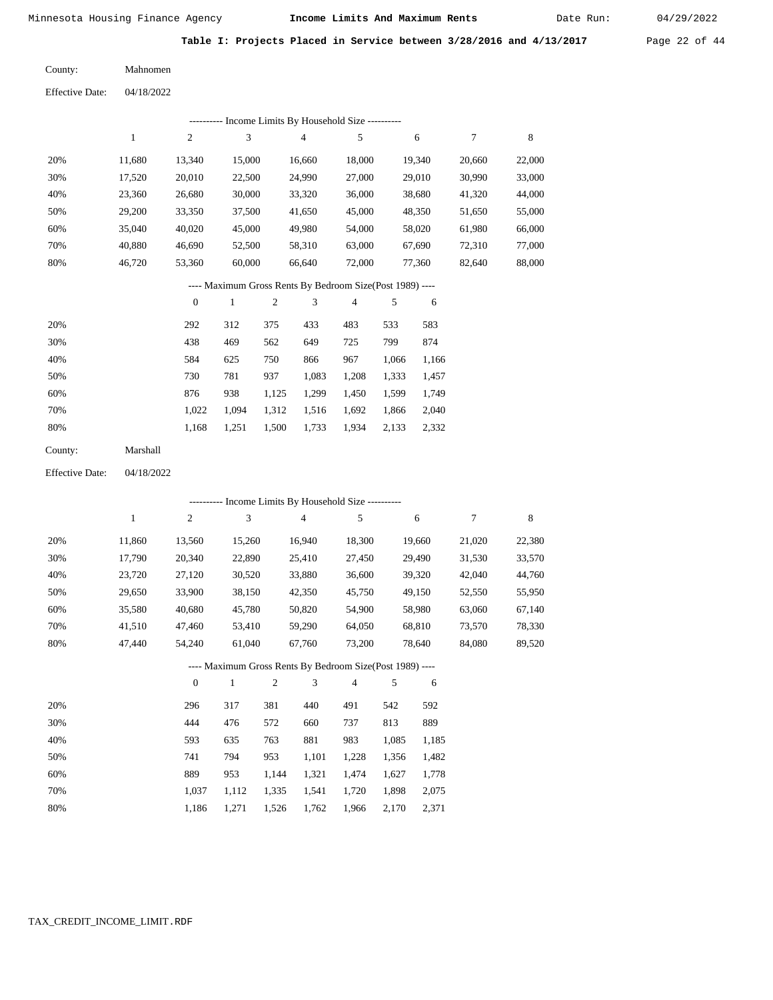Date Run:

**Table I: Projects Placed in Service between 3/28/2016 and 4/13/2017** Page 22 of 44

| County: | Mahnomen |
|---------|----------|
|         |          |

| ---------- Income Limits By Household Size ----------     |        |        |        |                |        |        |        |        |  |  |  |
|-----------------------------------------------------------|--------|--------|--------|----------------|--------|--------|--------|--------|--|--|--|
|                                                           | 1      | 2      | 3      | $\overline{4}$ | 5      | 6      | 7      | 8      |  |  |  |
| 20%                                                       | 11.680 | 13.340 | 15,000 | 16.660         | 18,000 | 19.340 | 20,660 | 22,000 |  |  |  |
| 30%                                                       | 17,520 | 20.010 | 22,500 | 24,990         | 27,000 | 29,010 | 30.990 | 33,000 |  |  |  |
| 40%                                                       | 23.360 | 26,680 | 30,000 | 33,320         | 36,000 | 38,680 | 41,320 | 44,000 |  |  |  |
| 50%                                                       | 29,200 | 33,350 | 37,500 | 41,650         | 45,000 | 48,350 | 51,650 | 55,000 |  |  |  |
| 60%                                                       | 35,040 | 40,020 | 45,000 | 49,980         | 54,000 | 58,020 | 61,980 | 66,000 |  |  |  |
| 70%                                                       | 40.880 | 46.690 | 52,500 | 58,310         | 63,000 | 67.690 | 72.310 | 77,000 |  |  |  |
| 80%                                                       | 46.720 | 53,360 | 60,000 | 66,640         | 72,000 | 77.360 | 82,640 | 88,000 |  |  |  |
| ---- Maximum Gross Rents By Bedroom Size (Post 1989) ---- |        |        |        |                |        |        |        |        |  |  |  |

|     | $\mathbf{0}$ |       | 2     | 3     | 4     |       | 6     |
|-----|--------------|-------|-------|-------|-------|-------|-------|
| 20% | 292          | 312   | 375   | 433   | 483   | 533   | 583   |
| 30% | 438          | 469   | 562   | 649   | 725   | 799   | 874   |
| 40% | 584          | 625   | 750   | 866   | 967   | 1,066 | 1,166 |
| 50% | 730          | 781   | 937   | 1,083 | 1,208 | 1,333 | 1,457 |
| 60% | 876          | 938   | 1,125 | 1,299 | 1,450 | 1,599 | 1,749 |
| 70% | 1.022        | 1.094 | 1,312 | 1,516 | 1,692 | 1,866 | 2,040 |
| 80% | 1,168        | 1,251 | 1,500 | 1,733 | 1,934 | 2,133 | 2,332 |
|     |              |       |       |       |       |       |       |

| Marshall |
|----------|
|          |

Effective Date: 04/18/2022

|     |              |                |              |              |                | ---------- Income Limits By Household Size ----------    |       |        |        |        |
|-----|--------------|----------------|--------------|--------------|----------------|----------------------------------------------------------|-------|--------|--------|--------|
|     | $\mathbf{1}$ | $\overline{c}$ | 3            |              | $\overline{4}$ | 5                                                        |       | 6      | 7      | 8      |
| 20% | 11,860       | 13,560         | 15,260       |              | 16,940         | 18,300                                                   |       | 19,660 | 21,020 | 22,380 |
| 30% | 17,790       | 20,340         | 22,890       |              | 25,410         | 27,450                                                   |       | 29,490 | 31,530 | 33,570 |
| 40% | 23,720       | 27,120         | 30,520       |              | 33,880         | 36,600                                                   |       | 39,320 | 42,040 | 44,760 |
| 50% | 29,650       | 33,900         | 38,150       |              | 42,350         | 45,750                                                   |       | 49,150 | 52,550 | 55,950 |
| 60% | 35,580       | 40,680         | 45,780       |              | 50,820         | 54,900                                                   |       | 58,980 | 63,060 | 67,140 |
| 70% | 41,510       | 47,460         | 53,410       |              | 59,290         | 64,050                                                   |       | 68,810 | 73,570 | 78,330 |
| 80% | 47,440       | 54,240         | 61,040       |              | 67,760         | 73,200                                                   |       | 78,640 | 84,080 | 89,520 |
|     |              |                |              |              |                | ---- Maximum Gross Rents By Bedroom Size(Post 1989) ---- |       |        |        |        |
|     |              | $\theta$       | $\mathbf{1}$ | $\mathbf{2}$ | 3              | $\overline{4}$                                           | 5     | 6      |        |        |
| 20% |              | 296            | 317          | 381          | 440            | 491                                                      | 542   | 592    |        |        |
| 30% |              | 444            | 476          | 572          | 660            | 737                                                      | 813   | 889    |        |        |
| 40% |              | 593            | 635          | 763          | 881            | 983                                                      | 1,085 | 1,185  |        |        |
| 50% |              | 741            | 794          | 953          | 1,101          | 1,228                                                    | 1,356 | 1,482  |        |        |
| 60% |              | 889            | 953          | 1,144        | 1,321          | 1,474                                                    | 1,627 | 1,778  |        |        |

 1,037 1,112 1,335 1,541 1,720 1,898 2,075 1,186 1,271 1,526 1,762 1,966 2,170 2,371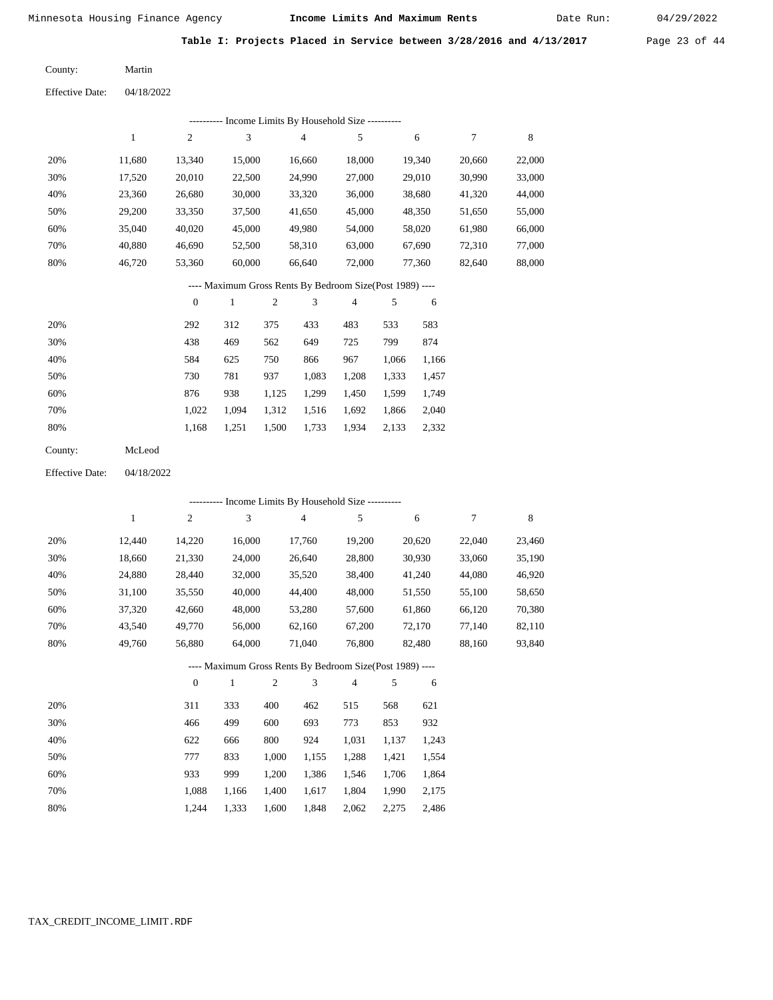Date Run:

**Table I: Projects Placed in Service between 3/28/2016 and 4/13/2017** Page 23 of 44

Martin County:

Effective Date: 04/18/2022

|                        |              |                  |                             |                | --------- Income Limits By Household Size ----------     |                |       |        |        |         |
|------------------------|--------------|------------------|-----------------------------|----------------|----------------------------------------------------------|----------------|-------|--------|--------|---------|
|                        | $\mathbf{1}$ | 2                | 3                           |                | 4                                                        | 5              |       | 6      | 7      | $\,8\,$ |
| 20%                    | 11,680       | 13,340           | 15,000                      |                | 16,660                                                   | 18,000         |       | 19,340 | 20,660 | 22,000  |
| 30%                    | 17,520       | 20,010           | 22,500                      |                | 24,990                                                   | 27,000         |       | 29,010 | 30,990 | 33,000  |
| 40%                    | 23,360       | 26,680           | 30,000                      |                | 33,320                                                   | 36,000         |       | 38,680 | 41,320 | 44,000  |
| 50%                    | 29,200       | 33,350           | 37,500                      |                | 41,650                                                   | 45,000         |       | 48,350 | 51,650 | 55,000  |
| 60%                    | 35,040       | 40,020           | 45,000                      |                | 49,980                                                   | 54,000         |       | 58,020 | 61,980 | 66,000  |
| 70%                    | 40,880       | 46,690           | 52,500                      |                | 58,310                                                   | 63,000         |       | 67,690 | 72,310 | 77,000  |
| 80%                    | 46,720       | 53,360           | 60,000                      |                | 66,640                                                   | 72,000         |       | 77,360 | 82,640 | 88,000  |
|                        |              |                  |                             |                | ---- Maximum Gross Rents By Bedroom Size(Post 1989) ---- |                |       |        |        |         |
|                        |              | $\boldsymbol{0}$ | $\mathbf{1}$                | $\mathfrak{2}$ | 3                                                        | 4              | 5     | 6      |        |         |
| 20%                    |              | 292              | 312                         | 375            | 433                                                      | 483            | 533   | 583    |        |         |
| 30%                    |              | 438              | 469                         | 562            | 649                                                      | 725            | 799   | 874    |        |         |
| 40%                    |              | 584              | 625                         | 750            | 866                                                      | 967            | 1,066 | 1,166  |        |         |
| 50%                    |              | 730              | 781                         | 937            | 1,083                                                    | 1,208          | 1,333 | 1,457  |        |         |
| 60%                    |              | 876              | 938                         | 1,125          | 1,299                                                    | 1,450          | 1,599 | 1,749  |        |         |
| 70%                    |              | 1,022            | 1,094                       | 1,312          | 1,516                                                    | 1,692          | 1,866 | 2,040  |        |         |
| 80%                    |              | 1,168            | 1,251                       | 1,500          | 1,733                                                    | 1,934          | 2,133 | 2,332  |        |         |
| County:                | McLeod       |                  |                             |                |                                                          |                |       |        |        |         |
| <b>Effective Date:</b> | 04/18/2022   |                  |                             |                |                                                          |                |       |        |        |         |
|                        |              |                  |                             |                | --------- Income Limits By Household Size ---------      |                |       |        |        |         |
|                        | $\mathbf{1}$ | $\mathfrak{2}$   | $\ensuremath{\mathfrak{Z}}$ |                | 4                                                        | 5              |       | 6      | 7      | 8       |
| 20%                    | 12,440       | 14,220           | 16,000                      |                | 17,760                                                   | 19,200         |       | 20,620 | 22,040 | 23,460  |
| 30%                    | 18,660       | 21,330           | 24,000                      |                | 26,640                                                   | 28,800         |       | 30,930 | 33,060 | 35,190  |
| 40%                    | 24,880       | 28,440           | 32,000                      |                | 35,520                                                   | 38,400         |       | 41,240 | 44,080 | 46,920  |
| 50%                    | 31,100       | 35,550           | 40,000                      |                | 44,400                                                   | 48,000         |       | 51,550 | 55,100 | 58,650  |
| 60%                    | 37,320       | 42,660           | 48,000                      |                | 53,280                                                   | 57,600         |       | 61,860 | 66,120 | 70,380  |
| 70%                    | 43,540       | 49,770           | 56,000                      |                | 62,160                                                   | 67,200         |       | 72,170 | 77,140 | 82,110  |
| 80%                    | 49,760       | 56,880           | 64,000                      |                | 71,040                                                   | 76,800         |       | 82,480 | 88,160 | 93,840  |
|                        |              |                  |                             |                | ---- Maximum Gross Rents By Bedroom Size(Post 1989) ---- |                |       |        |        |         |
|                        |              | $\boldsymbol{0}$ | $\mathbf{1}$                | 2              | 3                                                        | $\overline{4}$ | 5     | 6      |        |         |
| 20%                    |              | 311              | 333                         | 400            | 462                                                      | 515            | 568   | 621    |        |         |
| 30%                    |              | 466              | 499                         | 600            | 693                                                      | 773            | 853   | 932    |        |         |
|                        |              |                  |                             |                |                                                          |                |       |        |        |         |
| 40%                    |              | 622              | 666                         | 800            | 924                                                      | 1,031          | 1,137 | 1,243  |        |         |
| 50%                    |              | 777              | 833                         | 1,000          | 1,155                                                    | 1,288          | 1,421 | 1,554  |        |         |

 1,088 1,166 1,400 1,617 1,804 1,990 2,175 1,244 1,333 1,600 1,848 2,062 2,275 2,486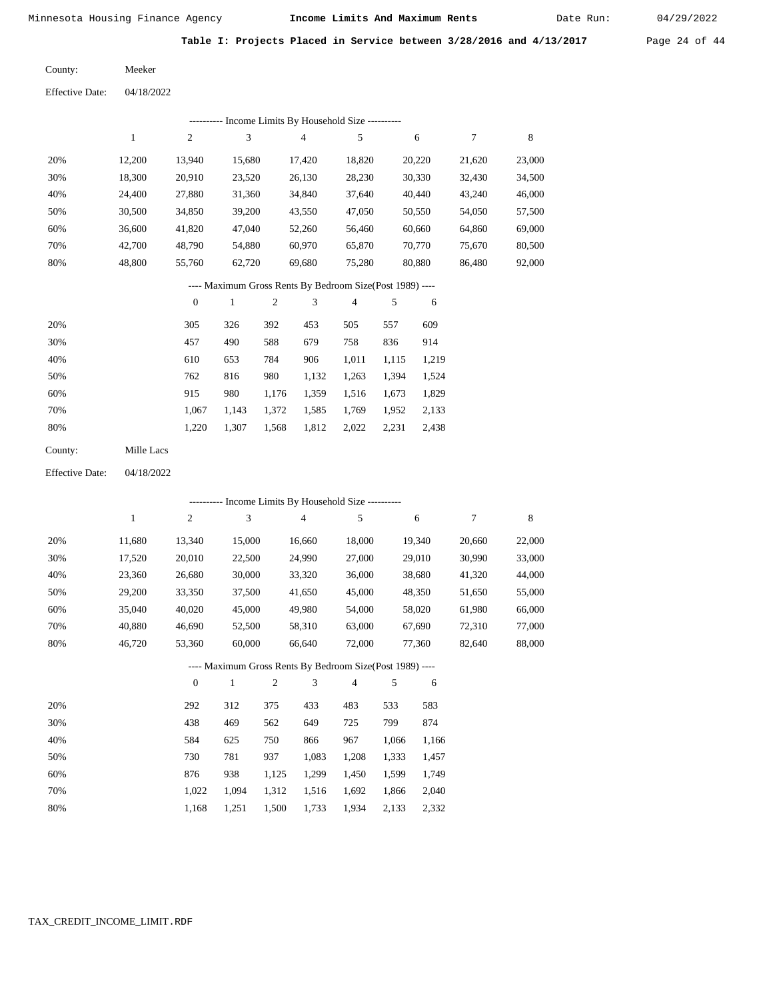Date Run:

**Table I: Projects Placed in Service between 3/28/2016 and 4/13/2017** Page 24 of 44

Meeker County:

04/18/2022 Effective Date:

|     | Income Limits By Household Size ----------<br>----------- |                |        |        |        |        |        |        |  |  |
|-----|-----------------------------------------------------------|----------------|--------|--------|--------|--------|--------|--------|--|--|
|     |                                                           | $\overline{2}$ | 3      | 4      | 5      | 6      | 7      | 8      |  |  |
| 20% | 12,200                                                    | 13.940         | 15.680 | 17.420 | 18,820 | 20,220 | 21,620 | 23,000 |  |  |
| 30% | 18,300                                                    | 20,910         | 23,520 | 26,130 | 28,230 | 30,330 | 32,430 | 34,500 |  |  |
| 40% | 24,400                                                    | 27,880         | 31,360 | 34,840 | 37,640 | 40,440 | 43,240 | 46,000 |  |  |
| 50% | 30,500                                                    | 34,850         | 39,200 | 43,550 | 47,050 | 50,550 | 54,050 | 57,500 |  |  |
| 60% | 36,600                                                    | 41,820         | 47,040 | 52,260 | 56,460 | 60,660 | 64,860 | 69,000 |  |  |
| 70% | 42,700                                                    | 48,790         | 54,880 | 60,970 | 65,870 | 70,770 | 75,670 | 80,500 |  |  |
| 80% | 48,800                                                    | 55,760         | 62,720 | 69,680 | 75,280 | 80,880 | 86,480 | 92,000 |  |  |

---- Maximum Gross Rents By Bedroom Size(Post 1989) ----

|     | $\mathbf{0}$ |       | 2     | 3     | 4     | 5     | 6     |
|-----|--------------|-------|-------|-------|-------|-------|-------|
| 20% | 305          | 326   | 392   | 453   | 505   | 557   | 609   |
| 30% | 457          | 490   | 588   | 679   | 758   | 836   | 914   |
| 40% | 610          | 653   | 784   | 906   | 1,011 | 1,115 | 1,219 |
| 50% | 762          | 816   | 980   | 1,132 | 1,263 | 1,394 | 1,524 |
| 60% | 915          | 980   | 1.176 | 1,359 | 1,516 | 1,673 | 1,829 |
| 70% | 1.067        | 1.143 | 1,372 | 1,585 | 1,769 | 1,952 | 2,133 |
| 80% | 1,220        | 1,307 | 1,568 | 1,812 | 2,022 | 2,231 | 2,438 |
|     |              |       |       |       |       |       |       |

Mille Lacs County:

04/18/2022 Effective Date:

|     |        |              |              |                |        | ---------- Income Limits By Household Size ----------    |       |        |        |             |
|-----|--------|--------------|--------------|----------------|--------|----------------------------------------------------------|-------|--------|--------|-------------|
|     | 1      | 2            | 3            |                | 4      | 5                                                        |       | 6      | 7      | $\,$ 8 $\,$ |
| 20% | 11,680 | 13,340       | 15,000       |                | 16,660 | 18,000                                                   |       | 19,340 | 20,660 | 22,000      |
| 30% | 17,520 | 20,010       | 22,500       |                | 24,990 | 27,000                                                   |       | 29,010 | 30,990 | 33,000      |
| 40% | 23,360 | 26,680       | 30,000       |                | 33,320 | 36,000                                                   |       | 38,680 | 41,320 | 44,000      |
| 50% | 29,200 | 33,350       | 37,500       |                | 41,650 | 45,000                                                   |       | 48,350 | 51,650 | 55,000      |
| 60% | 35,040 | 40,020       | 45,000       |                | 49,980 | 54,000                                                   |       | 58,020 | 61,980 | 66,000      |
| 70% | 40,880 | 46,690       | 52,500       |                | 58,310 | 63,000                                                   |       | 67,690 | 72,310 | 77,000      |
| 80% | 46,720 | 53,360       | 60,000       |                | 66,640 | 72,000                                                   |       | 77,360 | 82,640 | 88,000      |
|     |        |              |              |                |        | ---- Maximum Gross Rents By Bedroom Size(Post 1989) ---- |       |        |        |             |
|     |        | $\mathbf{0}$ | $\mathbf{1}$ | $\overline{2}$ | 3      | 4                                                        | 5     | 6      |        |             |
| 20% |        | 292          | 312          | 375            | 433    | 483                                                      | 533   | 583    |        |             |
| 30% |        | 438          | 469          | 562            | 649    | 725                                                      | 799   | 874    |        |             |
| 40% |        | 584          | 625          | 750            | 866    | 967                                                      | 1,066 | 1,166  |        |             |
| 50% |        | 730          | 781          | 937            | 1,083  | 1,208                                                    | 1,333 | 1,457  |        |             |
| 60% |        | 876          | 938          | 1,125          | 1,299  | 1,450                                                    | 1,599 | 1,749  |        |             |
| 70% |        | 1,022        | 1,094        | 1,312          | 1,516  | 1,692                                                    | 1,866 | 2,040  |        |             |

1,168

1,251

1,500

1,733

1,934

2,133

2,332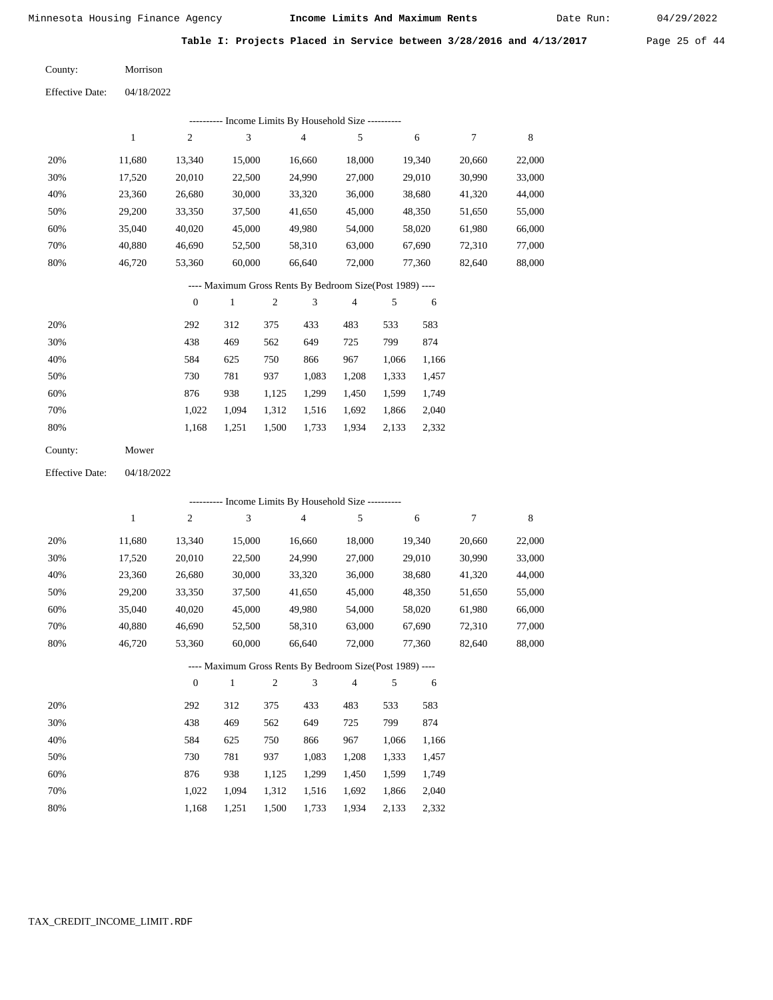Date Run:

**Table I: Projects Placed in Service between 3/28/2016 and 4/13/2017** Page 25 of 44

| County: | Morrison |
|---------|----------|
|         |          |

| 04/18/2022 |
|------------|
|            |

|     | Income Limits By Household Size --- |                |        |        |        |        |        |        |  |  |  |
|-----|-------------------------------------|----------------|--------|--------|--------|--------|--------|--------|--|--|--|
|     |                                     | $\overline{c}$ | 3      | 4      | 5      | 6      |        | 8      |  |  |  |
| 20% | 11.680                              | 13,340         | 15,000 | 16,660 | 18,000 | 19,340 | 20,660 | 22,000 |  |  |  |
| 30% | 17,520                              | 20,010         | 22,500 | 24,990 | 27,000 | 29,010 | 30,990 | 33,000 |  |  |  |
| 40% | 23,360                              | 26,680         | 30,000 | 33,320 | 36,000 | 38,680 | 41,320 | 44,000 |  |  |  |
| 50% | 29,200                              | 33,350         | 37,500 | 41,650 | 45,000 | 48,350 | 51,650 | 55,000 |  |  |  |
| 60% | 35,040                              | 40,020         | 45,000 | 49,980 | 54,000 | 58,020 | 61,980 | 66,000 |  |  |  |
| 70% | 40,880                              | 46,690         | 52,500 | 58,310 | 63,000 | 67,690 | 72,310 | 77,000 |  |  |  |
| 80% | 46,720                              | 53,360         | 60,000 | 66,640 | 72,000 | 77,360 | 82,640 | 88,000 |  |  |  |
|     |                                     |                |        |        |        |        |        |        |  |  |  |

## ---- Maximum Gross Rents By Bedroom Size(Post 1989) ----

|     | $\mathbf{0}$ |       | $\overline{c}$ | 3     | $\overline{4}$ | 5     | 6     |
|-----|--------------|-------|----------------|-------|----------------|-------|-------|
| 20% | 292          | 312   | 375            | 433   | 483            | 533   | 583   |
| 30% | 438          | 469   | 562            | 649   | 725            | 799   | 874   |
| 40% | 584          | 625   | 750            | 866   | 967            | 1,066 | 1,166 |
| 50% | 730          | 781   | 937            | 1,083 | 1,208          | 1,333 | 1,457 |
| 60% | 876          | 938   | 1,125          | 1,299 | 1,450          | 1,599 | 1,749 |
| 70% | 1,022        | 1.094 | 1,312          | 1,516 | 1,692          | 1,866 | 2,040 |
| 80% | 1,168        | 1,251 | 1,500          | 1,733 | 1,934          | 2,133 | 2,332 |
|     |              |       |                |       |                |       |       |

| County: | Mower |
|---------|-------|
|---------|-------|

Effective Date: 04/18/2022

|     | ---------- Income Limits By Household Size ---------- |                |              |                |                |                                                          |       |        |        |             |
|-----|-------------------------------------------------------|----------------|--------------|----------------|----------------|----------------------------------------------------------|-------|--------|--------|-------------|
|     | 1                                                     | $\overline{c}$ | 3            |                | $\overline{4}$ | 5                                                        |       | 6      | 7      | $\,$ 8 $\,$ |
| 20% | 11,680                                                | 13,340         | 15,000       |                | 16,660         | 18,000                                                   |       | 19,340 | 20,660 | 22,000      |
| 30% | 17,520                                                | 20,010         | 22,500       |                | 24,990         | 27,000                                                   |       | 29,010 | 30,990 | 33,000      |
| 40% | 23,360                                                | 26,680         | 30,000       |                | 33,320         | 36,000                                                   |       | 38,680 | 41,320 | 44,000      |
| 50% | 29,200                                                | 33,350         | 37,500       |                | 41,650         | 45,000                                                   |       | 48,350 | 51,650 | 55,000      |
| 60% | 35,040                                                | 40,020         | 45,000       |                | 49,980         | 54,000                                                   |       | 58,020 | 61,980 | 66,000      |
| 70% | 40,880                                                | 46,690         | 52,500       |                | 58,310         | 63,000                                                   |       | 67,690 | 72,310 | 77,000      |
| 80% | 46,720                                                | 53,360         | 60,000       |                | 66,640         | 72,000                                                   |       | 77,360 | 82,640 | 88,000      |
|     |                                                       |                |              |                |                | ---- Maximum Gross Rents By Bedroom Size(Post 1989) ---- |       |        |        |             |
|     |                                                       | $\overline{0}$ | $\mathbf{1}$ | $\overline{2}$ | 3              | $\overline{4}$                                           | 5     | 6      |        |             |
| 20% |                                                       | 292            | 312          | 375            | 433            | 483                                                      | 533   | 583    |        |             |
| 30% |                                                       | 438            | 469          | 562            | 649            | 725                                                      | 799   | 874    |        |             |
| 40% |                                                       | 584            | 625          | 750            | 866            | 967                                                      | 1,066 | 1,166  |        |             |
| 50% |                                                       | 730            | 781          | 937            | 1,083          | 1,208                                                    | 1,333 | 1,457  |        |             |
| 60% |                                                       | 876            | 938          | 1,125          | 1,299          | 1,450                                                    | 1,599 | 1,749  |        |             |
| 70% |                                                       | 1,022          | 1,094        | 1,312          | 1,516          | 1,692                                                    | 1,866 | 2,040  |        |             |

1,500 1,733

1,934 2,133 2,332

1,168

1,251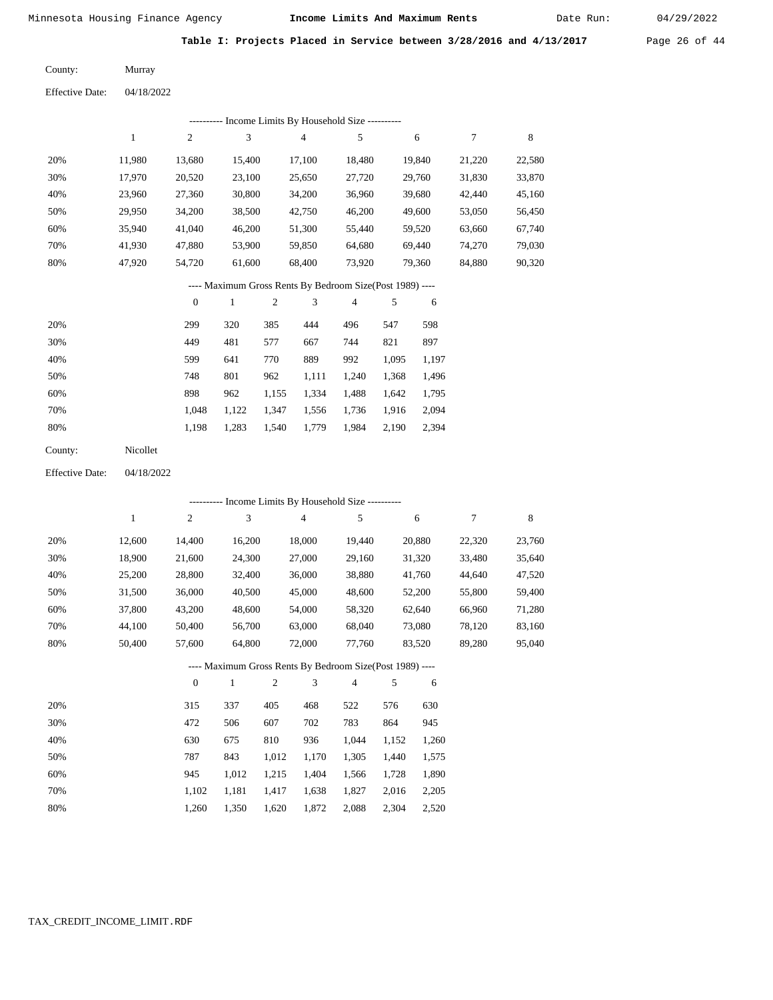Date Run:

**Table I: Projects Placed in Service between 3/28/2016 and 4/13/2017** Page 26 of 44

| County: | Murray |
|---------|--------|

04/18/2022 Effective Date:

|                        |              |                  | ---------- Income Limits By Household Size ----------    |                  |                |                |       |        |                  |             |
|------------------------|--------------|------------------|----------------------------------------------------------|------------------|----------------|----------------|-------|--------|------------------|-------------|
|                        | 1            | $\mathfrak{2}$   | 3                                                        |                  | $\overline{4}$ | 5              |       | 6      | $\boldsymbol{7}$ | $\,$ 8 $\,$ |
| 20%                    | 11,980       | 13,680           | 15,400                                                   |                  | 17,100         | 18,480         |       | 19,840 | 21,220           | 22,580      |
| 30%                    | 17,970       | 20,520           | 23,100                                                   |                  | 25,650         | 27,720         |       | 29,760 | 31,830           | 33,870      |
| 40%                    | 23,960       | 27,360           | 30,800                                                   |                  | 34,200         | 36,960         |       | 39,680 | 42,440           | 45,160      |
| 50%                    | 29,950       | 34,200           | 38,500                                                   |                  | 42,750         | 46,200         |       | 49,600 | 53,050           | 56,450      |
| 60%                    | 35,940       | 41,040           | 46,200                                                   |                  | 51,300         | 55,440         |       | 59,520 | 63,660           | 67,740      |
| 70%                    | 41,930       | 47,880           | 53,900                                                   |                  | 59,850         | 64,680         |       | 69,440 | 74,270           | 79,030      |
| 80%                    | 47,920       | 54,720           | 61,600                                                   |                  | 68,400         | 73,920         |       | 79,360 | 84,880           | 90,320      |
|                        |              |                  | ---- Maximum Gross Rents By Bedroom Size(Post 1989) ---- |                  |                |                |       |        |                  |             |
|                        |              | $\boldsymbol{0}$ | $\mathbf{1}$                                             | $\boldsymbol{2}$ | 3              | $\overline{4}$ | 5     | 6      |                  |             |
| 20%                    |              | 299              | 320                                                      | 385              | 444            | 496            | 547   | 598    |                  |             |
| 30%                    |              | 449              | 481                                                      | 577              | 667            | 744            | 821   | 897    |                  |             |
| 40%                    |              | 599              | 641                                                      | 770              | 889            | 992            | 1,095 | 1,197  |                  |             |
| 50%                    |              | 748              | 801                                                      | 962              | 1,111          | 1,240          | 1,368 | 1,496  |                  |             |
| 60%                    |              | 898              | 962                                                      | 1,155            | 1,334          | 1,488          | 1,642 | 1,795  |                  |             |
| 70%                    |              | 1,048            | 1,122                                                    | 1,347            | 1,556          | 1,736          | 1,916 | 2,094  |                  |             |
| 80%                    |              | 1,198            | 1,283                                                    | 1,540            | 1,779          | 1,984          | 2,190 | 2,394  |                  |             |
| County:                | Nicollet     |                  |                                                          |                  |                |                |       |        |                  |             |
| <b>Effective Date:</b> | 04/18/2022   |                  |                                                          |                  |                |                |       |        |                  |             |
|                        |              |                  | --------- Income Limits By Household Size ---------      |                  |                |                |       |        |                  |             |
|                        | $\mathbf{1}$ | $\overline{c}$   | 3                                                        |                  | 4              | 5              |       | 6      | $\tau$           | 8           |
| 20%                    | 12,600       | 14,400           | 16,200                                                   |                  | 18,000         | 19,440         |       | 20,880 | 22,320           | 23,760      |
| 30%                    | 18,900       | 21,600           | 24,300                                                   |                  | 27,000         | 29,160         |       | 31,320 | 33,480           | 35,640      |
| 40%                    | 25,200       | 28,800           | 32,400                                                   |                  | 36,000         | 38,880         |       | 41,760 | 44,640           | 47,520      |
| 50%                    | 31,500       | 36,000           | 40,500                                                   |                  | 45,000         | 48,600         |       | 52,200 | 55,800           | 59,400      |
| 60%                    | 37,800       | 43,200           | 48,600                                                   |                  | 54,000         | 58,320         |       | 62,640 | 66,960           | 71,280      |

# 72,000 ---- Maximum Gross Rents By Bedroom Size(Post 1989) ----

63,000

 68,040 77,760  73,080 83,520  78,120 89,280  83,160 95,040

|     | $\mathbf{0}$ |       | $\overline{c}$ | 3     | 4     | 5     | 6     |
|-----|--------------|-------|----------------|-------|-------|-------|-------|
| 20% | 315          | 337   | 405            | 468   | 522   | 576   | 630   |
| 30% | 472          | 506   | 607            | 702   | 783   | 864   | 945   |
| 40% | 630          | 675   | 810            | 936   | 1,044 | 1,152 | 1,260 |
| 50% | 787          | 843   | 1,012          | 1,170 | 1,305 | 1.440 | 1,575 |
| 60% | 945          | 1,012 | 1,215          | 1,404 | 1,566 | 1,728 | 1,890 |
| 70% | 1,102        | 1,181 | 1,417          | 1,638 | 1,827 | 2,016 | 2,205 |
| 80% | 1,260        | 1,350 | 1,620          | 1,872 | 2,088 | 2,304 | 2,520 |

 56,700 64,800

 70% 80%  44,100 50,400  50,400 57,600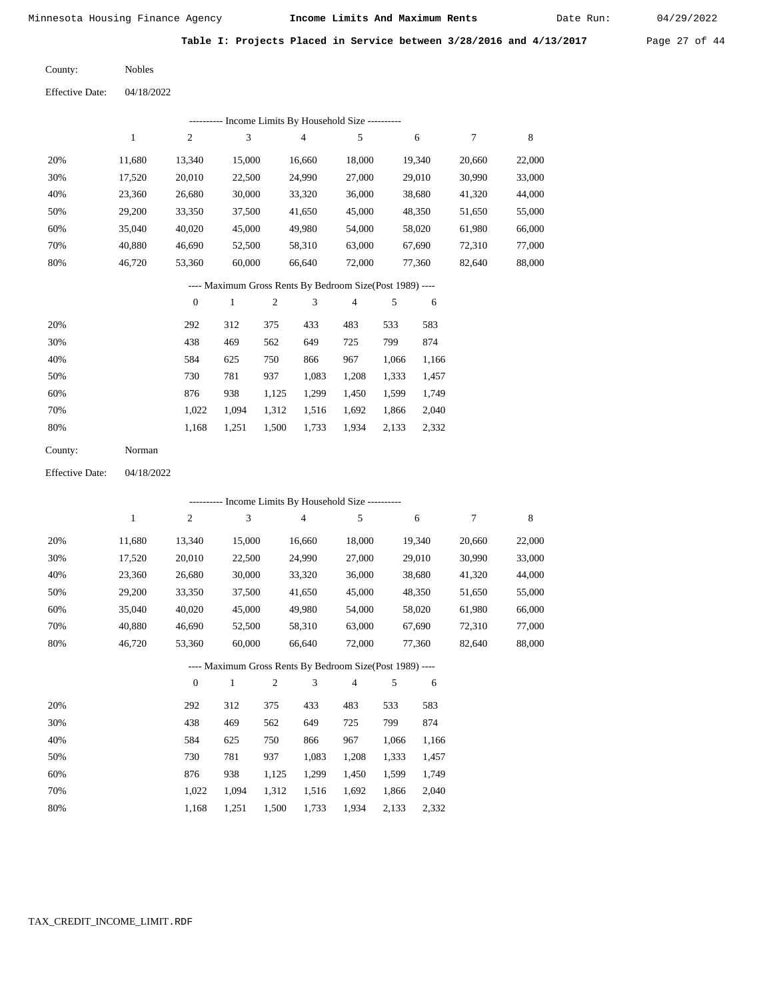Date Run:

**Table I: Projects Placed in Service between 3/28/2016 and 4/13/2017** Page 27 of 44

| County: | <b>Nobles</b> |
|---------|---------------|
|         |               |

Effective Date: 04/18/2022

| ---------- Income Limits By Household Size ---------- |        |        |        |        |        |        |        |        |  |  |
|-------------------------------------------------------|--------|--------|--------|--------|--------|--------|--------|--------|--|--|
|                                                       |        | 2      | 3      | 4      | 5      | 6      |        | 8      |  |  |
| 20%                                                   | 11,680 | 13,340 | 15,000 | 16.660 | 18.000 | 19,340 | 20,660 | 22,000 |  |  |
| 30%                                                   | 17,520 | 20,010 | 22,500 | 24,990 | 27,000 | 29,010 | 30,990 | 33,000 |  |  |
| 40%                                                   | 23,360 | 26,680 | 30,000 | 33,320 | 36,000 | 38,680 | 41,320 | 44,000 |  |  |
| 50%                                                   | 29,200 | 33,350 | 37,500 | 41,650 | 45,000 | 48,350 | 51,650 | 55,000 |  |  |
| 60%                                                   | 35,040 | 40,020 | 45,000 | 49,980 | 54,000 | 58,020 | 61,980 | 66,000 |  |  |
| 70%                                                   | 40.880 | 46,690 | 52,500 | 58,310 | 63,000 | 67,690 | 72,310 | 77,000 |  |  |
| 80%                                                   | 46,720 | 53,360 | 60,000 | 66.640 | 72,000 | 77,360 | 82,640 | 88,000 |  |  |
|                                                       |        |        |        |        |        |        |        |        |  |  |

#### ---- Maximum Gross Rents By Bedroom Size(Post 1989) ----

|     | $\mathbf{0}$ |       | $\overline{c}$ | 3     | 4     | 5     | 6     |
|-----|--------------|-------|----------------|-------|-------|-------|-------|
| 20% | 292          | 312   | 375            | 433   | 483   | 533   | 583   |
| 30% | 438          | 469   | 562            | 649   | 725   | 799   | 874   |
| 40% | 584          | 625   | 750            | 866   | 967   | 1,066 | 1,166 |
| 50% | 730          | 781   | 937            | 1,083 | 1,208 | 1,333 | 1,457 |
| 60% | 876          | 938   | 1,125          | 1,299 | 1,450 | 1,599 | 1,749 |
| 70% | 1.022        | 1.094 | 1,312          | 1,516 | 1,692 | 1,866 | 2,040 |
| 80% | 1,168        | 1,251 | 1,500          | 1,733 | 1,934 | 2,133 | 2,332 |
|     |              |       |                |       |       |       |       |

| County: | Norman |
|---------|--------|
|---------|--------|

Effective Date: 04/18/2022

|     | ---------- Income Limits By Household Size ---------- |                |              |                |                |                                                          |       |        |        |             |  |  |
|-----|-------------------------------------------------------|----------------|--------------|----------------|----------------|----------------------------------------------------------|-------|--------|--------|-------------|--|--|
|     | 1                                                     | $\overline{c}$ | 3            |                | $\overline{4}$ | 5                                                        |       | 6      | 7      | $\,$ 8 $\,$ |  |  |
| 20% | 11,680                                                | 13,340         | 15,000       |                | 16,660         | 18,000                                                   |       | 19,340 | 20,660 | 22,000      |  |  |
| 30% | 17,520                                                | 20,010         | 22,500       |                | 24,990         | 27,000                                                   |       | 29,010 | 30,990 | 33,000      |  |  |
| 40% | 23,360                                                | 26,680         | 30,000       |                | 33,320         | 36,000                                                   |       | 38,680 | 41,320 | 44,000      |  |  |
| 50% | 29,200                                                | 33,350         | 37,500       |                | 41,650         | 45,000                                                   |       | 48,350 | 51,650 | 55,000      |  |  |
| 60% | 35,040                                                | 40,020         | 45,000       |                | 49,980         | 54,000                                                   |       | 58,020 | 61,980 | 66,000      |  |  |
| 70% | 40,880                                                | 46,690         | 52,500       |                | 58,310         | 63,000                                                   |       | 67,690 | 72,310 | 77,000      |  |  |
| 80% | 46,720                                                | 53,360         | 60,000       |                | 66,640         | 72,000                                                   |       | 77,360 | 82,640 | 88,000      |  |  |
|     |                                                       |                |              |                |                | ---- Maximum Gross Rents By Bedroom Size(Post 1989) ---- |       |        |        |             |  |  |
|     |                                                       | $\overline{0}$ | $\mathbf{1}$ | $\overline{2}$ | 3              | $\overline{4}$                                           | 5     | 6      |        |             |  |  |
| 20% |                                                       | 292            | 312          | 375            | 433            | 483                                                      | 533   | 583    |        |             |  |  |
| 30% |                                                       | 438            | 469          | 562            | 649            | 725                                                      | 799   | 874    |        |             |  |  |
| 40% |                                                       | 584            | 625          | 750            | 866            | 967                                                      | 1,066 | 1,166  |        |             |  |  |
| 50% |                                                       | 730            | 781          | 937            | 1,083          | 1,208                                                    | 1,333 | 1,457  |        |             |  |  |
| 60% |                                                       | 876            | 938          | 1,125          | 1,299          | 1,450                                                    | 1,599 | 1,749  |        |             |  |  |
| 70% |                                                       | 1,022          | 1,094        | 1,312          | 1,516          | 1,692                                                    | 1,866 | 2,040  |        |             |  |  |

1,168 1,251 1,500 1,733 1,934 2,133 2,332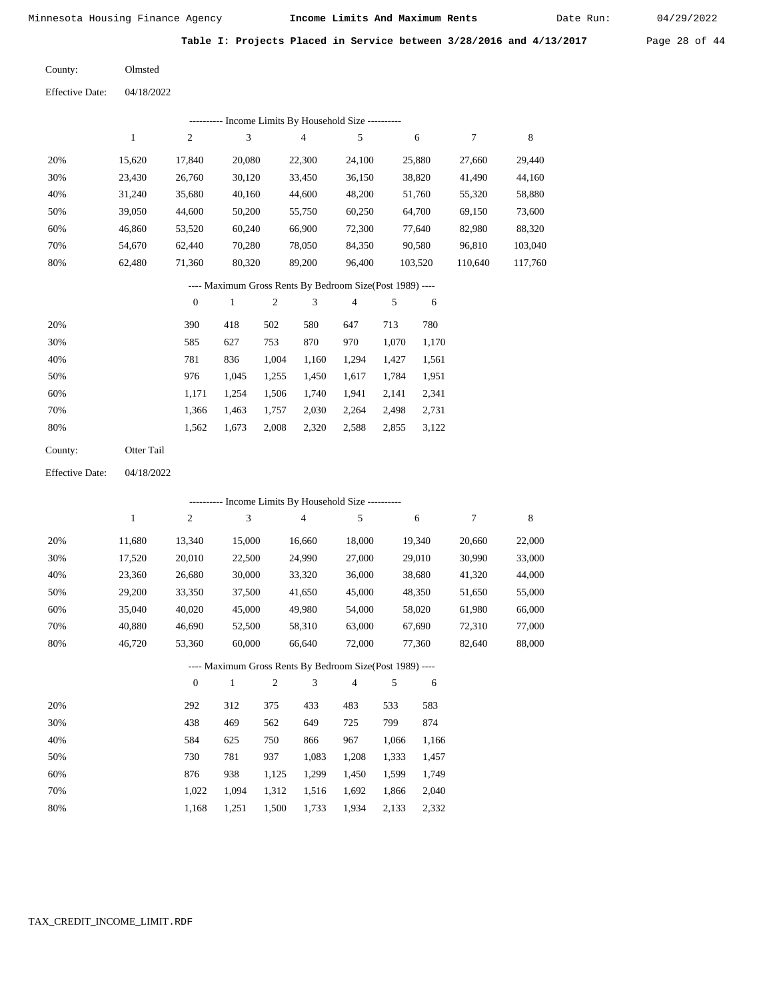Date Run:

**Table I: Projects Placed in Service between 3/28/2016 and 4/13/2017** Page 28 of 44

Olmsted County:

04/18/2022 Effective Date:

| Income Limits By Household Size ---------- |        |                |        |        |        |         |         |         |  |  |  |
|--------------------------------------------|--------|----------------|--------|--------|--------|---------|---------|---------|--|--|--|
|                                            |        | $\overline{c}$ | 3      | 4      | 5      | 6       |         | 8       |  |  |  |
| 20%                                        | 15.620 | 17,840         | 20,080 | 22,300 | 24,100 | 25,880  | 27,660  | 29,440  |  |  |  |
| 30%                                        | 23.430 | 26,760         | 30,120 | 33,450 | 36,150 | 38,820  | 41.490  | 44,160  |  |  |  |
| 40%                                        | 31.240 | 35,680         | 40,160 | 44,600 | 48,200 | 51,760  | 55,320  | 58,880  |  |  |  |
| 50%                                        | 39,050 | 44,600         | 50,200 | 55,750 | 60,250 | 64,700  | 69,150  | 73,600  |  |  |  |
| 60%                                        | 46.860 | 53,520         | 60,240 | 66,900 | 72,300 | 77,640  | 82,980  | 88,320  |  |  |  |
| 70%                                        | 54.670 | 62.440         | 70,280 | 78,050 | 84,350 | 90,580  | 96,810  | 103,040 |  |  |  |
| 80%                                        | 62,480 | 71,360         | 80,320 | 89,200 | 96,400 | 103,520 | 110,640 | 117,760 |  |  |  |
|                                            |        |                |        |        |        |         |         |         |  |  |  |

---- Maximum Gross Rents By Bedroom Size(Post 1989) ----

|     | $\mathbf{0}$ |       | $\overline{c}$ | 3     | 4     | 5     | 6     |
|-----|--------------|-------|----------------|-------|-------|-------|-------|
| 20% | 390          | 418   | 502            | 580   | 647   | 713   | 780   |
| 30% | 585          | 627   | 753            | 870   | 970   | 1,070 | 1,170 |
| 40% | 781          | 836   | 1,004          | 1,160 | 1.294 | 1.427 | 1,561 |
| 50% | 976          | 1,045 | 1,255          | 1,450 | 1,617 | 1,784 | 1,951 |
| 60% | 1,171        | 1.254 | 1,506          | 1,740 | 1,941 | 2,141 | 2,341 |
| 70% | 1.366        | 1,463 | 1,757          | 2,030 | 2,264 | 2,498 | 2,731 |
| 80% | 1,562        | 1,673 | 2,008          | 2,320 | 2,588 | 2,855 | 3,122 |
|     |              |       |                |       |       |       |       |

| County: | Otter Tail |
|---------|------------|
|         |            |

04/18/2022 Effective Date:

|                                                          | ---------- Income Limits By Household Size ---------- |                |              |                |                |                |       |        |        |             |  |
|----------------------------------------------------------|-------------------------------------------------------|----------------|--------------|----------------|----------------|----------------|-------|--------|--------|-------------|--|
|                                                          | 1                                                     | $\overline{c}$ | 3            |                | $\overline{4}$ | 5              |       | 6      | 7      | $\,$ 8 $\,$ |  |
| 20%                                                      | 11,680                                                | 13,340         | 15,000       |                | 16,660         | 18,000         |       | 19,340 | 20,660 | 22,000      |  |
| 30%                                                      | 17,520                                                | 20,010         | 22,500       |                | 24,990         | 27,000         |       | 29,010 | 30,990 | 33,000      |  |
| 40%                                                      | 23,360                                                | 26,680         | 30,000       |                | 33,320         | 36,000         |       | 38,680 | 41,320 | 44,000      |  |
| 50%                                                      | 29,200                                                | 33,350         | 37,500       |                | 41,650         | 45,000         |       | 48,350 | 51,650 | 55,000      |  |
| 60%                                                      | 35,040                                                | 40,020         | 45,000       |                | 49,980         | 54,000         |       | 58,020 | 61,980 | 66,000      |  |
| 70%                                                      | 40,880                                                | 46,690         | 52,500       |                | 58,310         | 63,000         |       | 67,690 | 72,310 | 77,000      |  |
| 80%                                                      | 46,720                                                | 53,360         | 60,000       |                | 66,640         | 72,000         |       | 77,360 | 82,640 | 88,000      |  |
| ---- Maximum Gross Rents By Bedroom Size(Post 1989) ---- |                                                       |                |              |                |                |                |       |        |        |             |  |
|                                                          |                                                       | $\theta$       | $\mathbf{1}$ | $\overline{c}$ | 3              | $\overline{4}$ | 5     | 6      |        |             |  |
| 20%                                                      |                                                       | 292            | 312          | 375            | 433            | 483            | 533   | 583    |        |             |  |
| 30%                                                      |                                                       | 438            | 469          | 562            | 649            | 725            | 799   | 874    |        |             |  |
| 40%                                                      |                                                       | 584            | 625          | 750            | 866            | 967            | 1,066 | 1,166  |        |             |  |
| 50%                                                      |                                                       | 730            | 781          | 937            | 1,083          | 1,208          | 1,333 | 1,457  |        |             |  |
| 60%                                                      |                                                       | 876            | 938          | 1,125          | 1,299          | 1,450          | 1,599 | 1,749  |        |             |  |
| 70%                                                      |                                                       | 1,022          | 1,094        | 1,312          | 1,516          | 1,692          | 1,866 | 2,040  |        |             |  |

1,168 1,251 1,500 1,733 1,934 2,133 2,332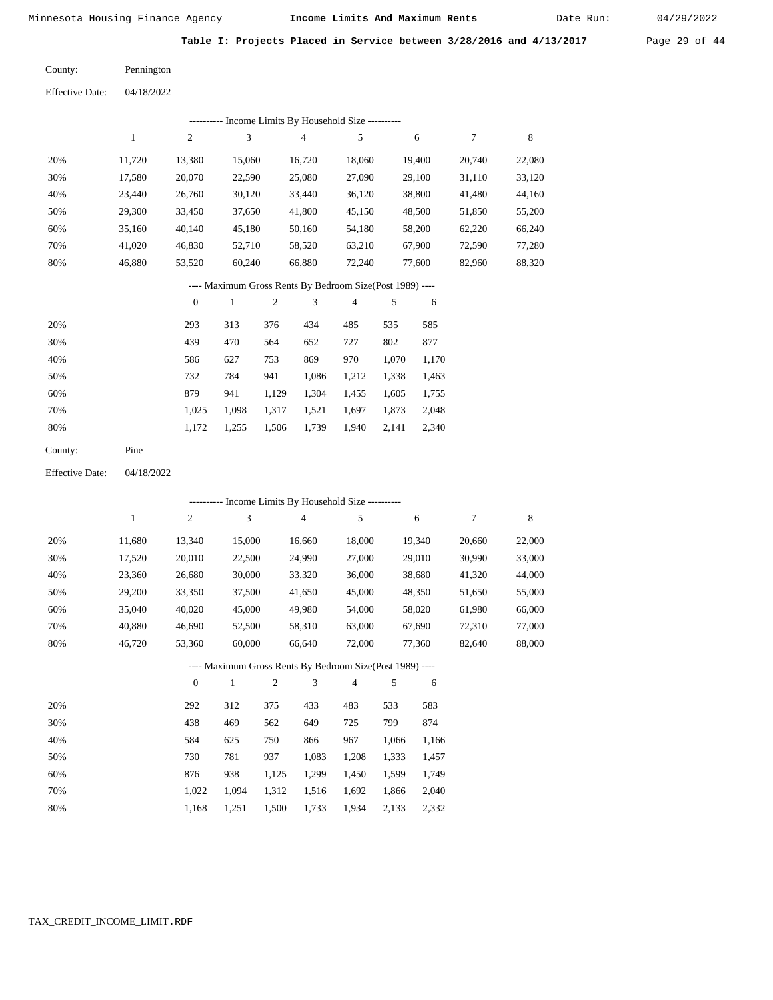Date Run:

**Table I: Projects Placed in Service between 3/28/2016 and 4/13/2017** Page 29 of 44

| County: | Pennington |
|---------|------------|
|         |            |

| <b>Effective Date:</b> | 04/18/2022 |
|------------------------|------------|
|                        |            |

|     | ---------- Income Limits By Household Size ---------- |        |        |        |        |        |        |        |  |  |  |
|-----|-------------------------------------------------------|--------|--------|--------|--------|--------|--------|--------|--|--|--|
|     |                                                       | 2      | 3      | 4      | 5      | 6      |        | 8      |  |  |  |
| 20% | 11.720                                                | 13,380 | 15,060 | 16,720 | 18,060 | 19,400 | 20,740 | 22,080 |  |  |  |
| 30% | 17,580                                                | 20,070 | 22,590 | 25,080 | 27,090 | 29,100 | 31,110 | 33,120 |  |  |  |
| 40% | 23.440                                                | 26,760 | 30,120 | 33,440 | 36,120 | 38,800 | 41,480 | 44,160 |  |  |  |
| 50% | 29,300                                                | 33,450 | 37,650 | 41,800 | 45,150 | 48,500 | 51,850 | 55,200 |  |  |  |
| 60% | 35,160                                                | 40,140 | 45,180 | 50,160 | 54,180 | 58,200 | 62,220 | 66,240 |  |  |  |
| 70% | 41.020                                                | 46,830 | 52,710 | 58,520 | 63,210 | 67,900 | 72,590 | 77,280 |  |  |  |
| 80% | 46,880                                                | 53,520 | 60,240 | 66,880 | 72,240 | 77,600 | 82,960 | 88,320 |  |  |  |
|     |                                                       |        |        |        |        |        |        |        |  |  |  |

## ---- Maximum Gross Rents By Bedroom Size(Post 1989) ----

|     | $\mathbf{0}$ |       | $\overline{2}$ | 3     | 4     | 5     | 6     |
|-----|--------------|-------|----------------|-------|-------|-------|-------|
| 20% | 293          | 313   | 376            | 434   | 485   | 535   | 585   |
| 30% | 439          | 470   | 564            | 652   | 727   | 802   | 877   |
| 40% | 586          | 627   | 753            | 869   | 970   | 1,070 | 1,170 |
| 50% | 732          | 784   | 941            | 1,086 | 1,212 | 1,338 | 1,463 |
| 60% | 879          | 941   | 1,129          | 1,304 | 1,455 | 1,605 | 1,755 |
| 70% | 1,025        | 1,098 | 1,317          | 1,521 | 1,697 | 1,873 | 2,048 |
| 80% | 1,172        | 1,255 | 1,506          | 1,739 | 1,940 | 2,141 | 2,340 |
|     |              |       |                |       |       |       |       |

| County: | Pine |
|---------|------|
|---------|------|

04/18/2022 Effective Date:

|     |              |                  |        |                |                | ---------- Income Limits By Household Size ----------    |       |        |        |        |
|-----|--------------|------------------|--------|----------------|----------------|----------------------------------------------------------|-------|--------|--------|--------|
|     | $\mathbf{1}$ | $\boldsymbol{2}$ | 3      |                | $\overline{4}$ | 5                                                        |       | 6      | 7      | 8      |
| 20% | 11,680       | 13,340           | 15,000 |                | 16,660         | 18,000                                                   |       | 19,340 | 20,660 | 22,000 |
| 30% | 17,520       | 20,010           | 22,500 |                | 24,990         | 27,000                                                   |       | 29,010 | 30,990 | 33,000 |
| 40% | 23,360       | 26,680           | 30,000 |                | 33,320         | 36,000                                                   |       | 38,680 | 41,320 | 44,000 |
| 50% | 29,200       | 33,350           | 37,500 |                | 41,650         | 45,000                                                   |       | 48,350 | 51,650 | 55,000 |
| 60% | 35,040       | 40,020           | 45,000 |                | 49,980         | 54,000                                                   |       | 58,020 | 61,980 | 66,000 |
| 70% | 40,880       | 46,690           | 52,500 |                | 58,310         | 63,000                                                   |       | 67,690 | 72,310 | 77,000 |
| 80% | 46,720       | 53,360           | 60,000 |                | 66,640         | 72,000                                                   |       | 77,360 | 82,640 | 88,000 |
|     |              |                  |        |                |                | ---- Maximum Gross Rents By Bedroom Size(Post 1989) ---- |       |        |        |        |
|     |              | $\overline{0}$   | 1      | $\overline{2}$ | 3              | 4                                                        | 5     | 6      |        |        |
| 20% |              | 292              | 312    | 375            | 433            | 483                                                      | 533   | 583    |        |        |
| 30% |              | 438              | 469    | 562            | 649            | 725                                                      | 799   | 874    |        |        |
| 40% |              | 584              | 625    | 750            | 866            | 967                                                      | 1,066 | 1,166  |        |        |
| 50% |              | 730              | 781    | 937            | 1,083          | 1,208                                                    | 1,333 | 1,457  |        |        |
| 60% |              | 876              | 938    | 1,125          | 1,299          | 1,450                                                    | 1,599 | 1,749  |        |        |
| 70% |              | 1,022            | 1,094  | 1,312          | 1,516          | 1,692                                                    | 1,866 | 2,040  |        |        |

1,934 2,133 2,332

1,168 1,251 1,500 1,733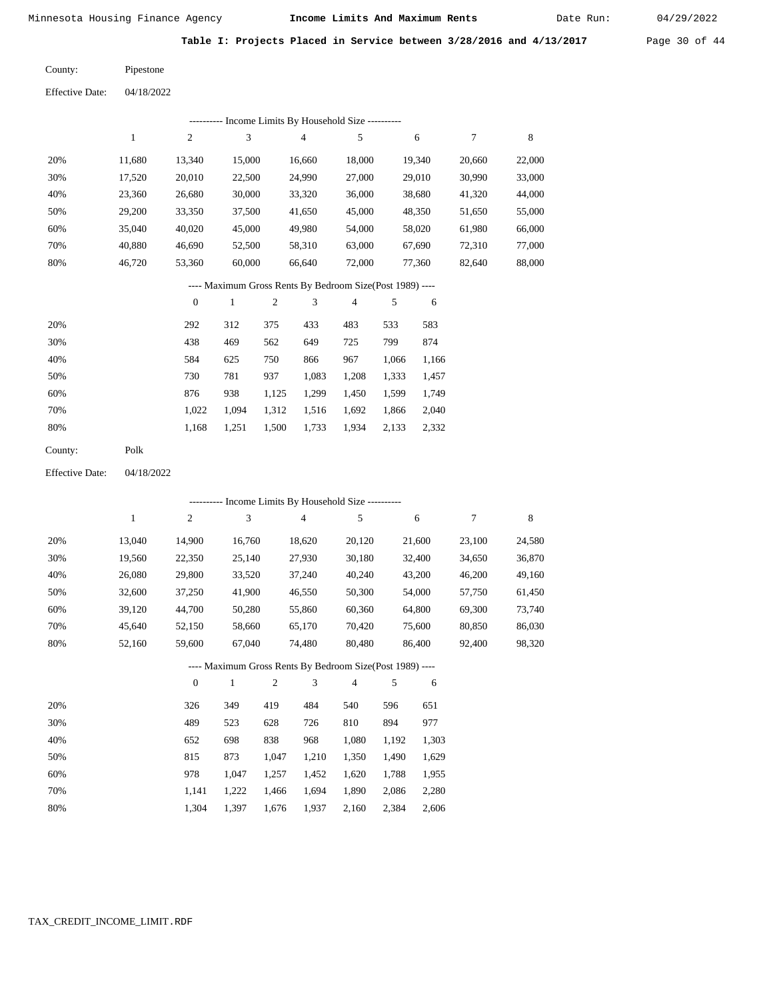Date Run:

**Table I: Projects Placed in Service between 3/28/2016 and 4/13/2017** Page 30 of 44

 $04/18/2022$ Pipestone County:

| <b>Effective Date:</b> | 04/18/2022 |
|------------------------|------------|
|------------------------|------------|

| Income Limits By Household Size ---------- |        |                |        |        |        |        |        |        |  |  |  |
|--------------------------------------------|--------|----------------|--------|--------|--------|--------|--------|--------|--|--|--|
|                                            |        | $\overline{2}$ | 3      | 4      | 5      | 6      | 7      | 8      |  |  |  |
| 20%                                        | 11.680 | 13.340         | 15,000 | 16.660 | 18.000 | 19.340 | 20,660 | 22,000 |  |  |  |
| 30%                                        | 17,520 | 20,010         | 22,500 | 24,990 | 27,000 | 29,010 | 30,990 | 33,000 |  |  |  |
| 40%                                        | 23,360 | 26,680         | 30,000 | 33,320 | 36,000 | 38,680 | 41,320 | 44,000 |  |  |  |
| 50%                                        | 29,200 | 33,350         | 37,500 | 41,650 | 45,000 | 48,350 | 51,650 | 55,000 |  |  |  |
| 60%                                        | 35,040 | 40,020         | 45,000 | 49.980 | 54,000 | 58,020 | 61,980 | 66,000 |  |  |  |
| 70%                                        | 40.880 | 46.690         | 52,500 | 58,310 | 63,000 | 67.690 | 72,310 | 77,000 |  |  |  |
| 80%                                        | 46.720 | 53,360         | 60,000 | 66,640 | 72,000 | 77.360 | 82,640 | 88,000 |  |  |  |

#### ---- Maximum Gross Rents By Bedroom Size(Post 1989) ----

|     | $\mathbf{0}$ |       | 2     | 3     | 4     | 5     | 6     |
|-----|--------------|-------|-------|-------|-------|-------|-------|
| 20% | 292          | 312   | 375   | 433   | 483   | 533   | 583   |
| 30% | 438          | 469   | 562   | 649   | 725   | 799   | 874   |
| 40% | 584          | 625   | 750   | 866   | 967   | 1,066 | 1,166 |
| 50% | 730          | 781   | 937   | 1,083 | 1,208 | 1,333 | 1,457 |
| 60% | 876          | 938   | 1,125 | 1,299 | 1,450 | 1,599 | 1,749 |
| 70% | 1.022        | 1,094 | 1,312 | 1,516 | 1,692 | 1,866 | 2,040 |
| 80% | 1,168        | 1,251 | 1,500 | 1,733 | 1,934 | 2,133 | 2,332 |
|     |              |       |       |       |       |       |       |

| Polk |
|------|
|      |

04/18/2022 Effective Date:

|     |        |                |        |                |                | --------- Income Limits By Household Size ----------     |       |        |        |        |
|-----|--------|----------------|--------|----------------|----------------|----------------------------------------------------------|-------|--------|--------|--------|
|     | 1      | 2              | 3      |                | $\overline{4}$ | 5                                                        |       | 6      | 7      | 8      |
| 20% | 13,040 | 14,900         | 16,760 |                | 18,620         | 20,120                                                   |       | 21,600 | 23,100 | 24,580 |
| 30% | 19,560 | 22,350         | 25,140 |                | 27,930         | 30,180                                                   |       | 32,400 | 34,650 | 36,870 |
| 40% | 26,080 | 29,800         | 33,520 |                | 37,240         | 40,240                                                   |       | 43,200 | 46,200 | 49,160 |
| 50% | 32,600 | 37,250         | 41,900 |                | 46,550         | 50,300                                                   |       | 54,000 | 57,750 | 61,450 |
| 60% | 39,120 | 44,700         | 50,280 |                | 55,860         | 60,360                                                   |       | 64,800 | 69,300 | 73,740 |
| 70% | 45,640 | 52,150         | 58,660 |                | 65,170         | 70,420                                                   |       | 75,600 | 80,850 | 86,030 |
| 80% | 52,160 | 59,600         | 67,040 |                | 74,480         | 80,480                                                   |       | 86,400 | 92,400 | 98,320 |
|     |        |                |        |                |                | ---- Maximum Gross Rents By Bedroom Size(Post 1989) ---- |       |        |        |        |
|     |        | $\overline{0}$ | 1      | $\overline{2}$ | 3              | $\overline{4}$                                           | 5     | 6      |        |        |
| 20% |        | 326            | 349    | 419            | 484            | 540                                                      | 596   | 651    |        |        |
| 30% |        | 489            | 523    | 628            | 726            | 810                                                      | 894   | 977    |        |        |
| 40% |        | 652            | 698    | 838            | 968            | 1,080                                                    | 1,192 | 1,303  |        |        |
| 50% |        | 815            | 873    | 1,047          | 1,210          | 1,350                                                    | 1,490 | 1,629  |        |        |
| 60% |        | 978            | 1,047  | 1,257          | 1,452          | 1,620                                                    | 1,788 | 1,955  |        |        |
| 70% |        | 1,141          | 1,222  | 1,466          | 1,694          | 1,890                                                    | 2,086 | 2,280  |        |        |

1,304

1,397

1,676

1,937

2,160

2,384

2,606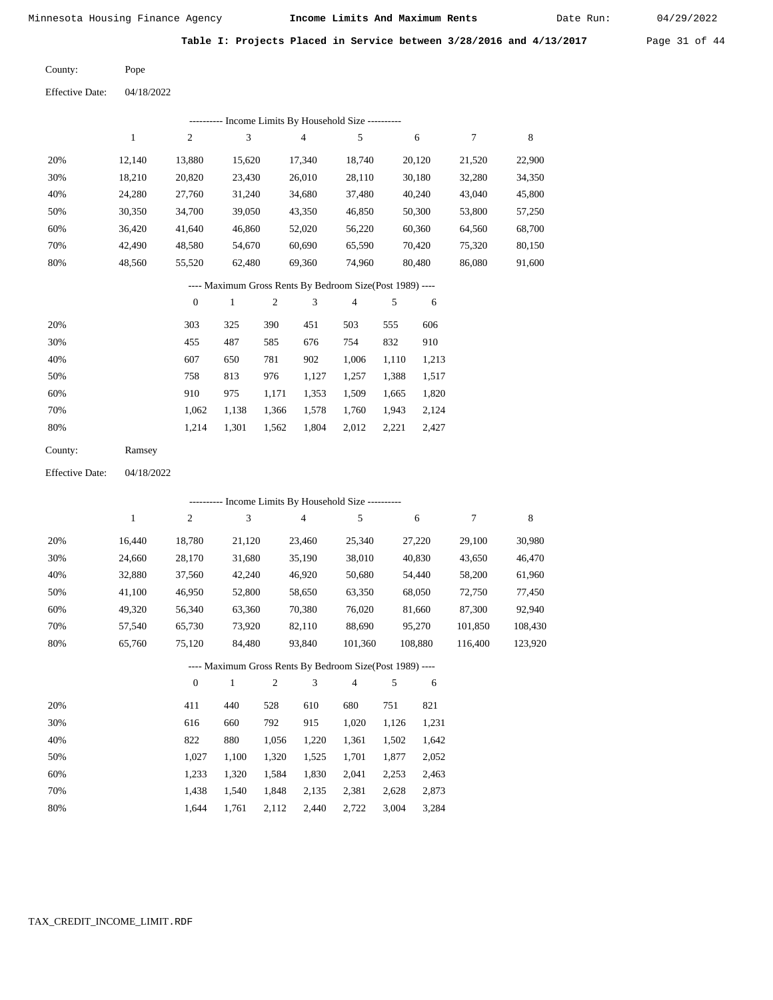Date Run:

**Table I: Projects Placed in Service between 3/28/2016 and 4/13/2017** Page 31 of 44

Pope County:

Effective Date: 04/18/2022

|     | ---------- Income Limits By Household Size ---------- |          |        |                                                          |                |        |        |        |  |  |  |
|-----|-------------------------------------------------------|----------|--------|----------------------------------------------------------|----------------|--------|--------|--------|--|--|--|
|     | 1                                                     | 2        | 3      | 4                                                        | 5              | 6      | 7      | 8      |  |  |  |
| 20% | 12.140                                                | 13,880   | 15,620 | 17,340                                                   | 18,740         | 20,120 | 21,520 | 22,900 |  |  |  |
| 30% | 18,210                                                | 20,820   | 23,430 | 26,010                                                   | 28,110         | 30,180 | 32,280 | 34,350 |  |  |  |
| 40% | 24,280                                                | 27,760   | 31,240 | 34,680                                                   | 37,480         | 40,240 | 43,040 | 45,800 |  |  |  |
| 50% | 30,350                                                | 34,700   | 39,050 | 43,350                                                   | 46,850         | 50,300 | 53,800 | 57,250 |  |  |  |
| 60% | 36,420                                                | 41,640   | 46,860 | 52,020                                                   | 56,220         | 60,360 | 64,560 | 68,700 |  |  |  |
| 70% | 42.490                                                | 48,580   | 54,670 | 60,690                                                   | 65,590         | 70,420 | 75,320 | 80,150 |  |  |  |
| 80% | 48,560                                                | 55,520   | 62,480 | 69,360                                                   | 74,960         | 80,480 | 86,080 | 91,600 |  |  |  |
|     |                                                       |          |        | ---- Maximum Gross Rents By Bedroom Size(Post 1989) ---- |                |        |        |        |  |  |  |
|     |                                                       | $\theta$ |        | 3<br>2                                                   | $\overline{4}$ | 5<br>6 |        |        |  |  |  |

|     | $\mathbf{v}$ | . .   | ∼     | $\cdot$ $\cdot$ |       | $\cdot$ | v     |
|-----|--------------|-------|-------|-----------------|-------|---------|-------|
| 20% | 303          | 325   | 390   | 451             | 503   | 555     | 606   |
| 30% | 455          | 487   | 585   | 676             | 754   | 832     | 910   |
| 40% | 607          | 650   | 781   | 902             | 1,006 | 1,110   | 1,213 |
| 50% | 758          | 813   | 976   | 1,127           | 1,257 | 1,388   | 1,517 |
| 60% | 910          | 975   | 1,171 | 1,353           | 1,509 | 1,665   | 1,820 |
| 70% | 1,062        | 1,138 | 1,366 | 1,578           | 1,760 | 1,943   | 2,124 |
| 80% | 1.214        | 1,301 | 1,562 | 1,804           | 2,012 | 2,221   | 2,427 |

| County: | Ramsey |
|---------|--------|
|---------|--------|

Effective Date: 04/18/2022

|     | ---------- Income Limits By Household Size ---------- |                |              |                |        |                                                          |     |         |         |         |  |  |
|-----|-------------------------------------------------------|----------------|--------------|----------------|--------|----------------------------------------------------------|-----|---------|---------|---------|--|--|
|     | 1                                                     | $\mathfrak{2}$ | 3            |                | 4      | 5                                                        |     | 6       | 7       | 8       |  |  |
| 20% | 16,440                                                | 18,780         | 21,120       |                | 23,460 | 25,340                                                   |     | 27,220  | 29,100  | 30,980  |  |  |
| 30% | 24,660                                                | 28,170         | 31,680       |                | 35,190 | 38,010                                                   |     | 40,830  | 43,650  | 46,470  |  |  |
| 40% | 32,880                                                | 37,560         | 42,240       |                | 46,920 | 50,680                                                   |     | 54,440  | 58,200  | 61,960  |  |  |
| 50% | 41,100                                                | 46,950         | 52,800       |                | 58,650 | 63,350                                                   |     | 68,050  | 72,750  | 77,450  |  |  |
| 60% | 49,320                                                | 56,340         | 63,360       |                | 70,380 | 76,020                                                   |     | 81,660  | 87,300  | 92,940  |  |  |
| 70% | 57,540                                                | 65,730         | 73,920       |                | 82,110 | 88,690                                                   |     | 95,270  | 101,850 | 108,430 |  |  |
| 80% | 65,760                                                | 75,120         | 84,480       |                | 93,840 | 101,360                                                  |     | 108,880 | 116,400 | 123,920 |  |  |
|     |                                                       |                |              |                |        | ---- Maximum Gross Rents By Bedroom Size(Post 1989) ---- |     |         |         |         |  |  |
|     |                                                       | $\mathbf{0}$   | $\mathbf{1}$ | $\overline{c}$ | 3      | $\overline{4}$                                           | 5   | 6       |         |         |  |  |
| 20% |                                                       | 411            | 440          | 528            | 610    | 680                                                      | 751 | 821     |         |         |  |  |

| $\sim$ 0 | — <b>1</b> | $-$   |       | ,,,,, | vov   | .     | $0 - 1$ |
|----------|------------|-------|-------|-------|-------|-------|---------|
| 30%      | 616        | 660   | 792   | 915   | 1.020 | 1.126 | 1,231   |
| 40%      | 822        | 880   | 1.056 | 1.220 | 1,361 | 1.502 | 1,642   |
| 50%      | 1.027      | 1.100 | 1.320 | 1.525 | 1.701 | 1.877 | 2,052   |
| 60%      | 1.233      | 1.320 | 1.584 | 1,830 | 2.041 | 2.253 | 2,463   |
| 70%      | 1.438      | 1.540 | 1.848 | 2.135 | 2,381 | 2.628 | 2,873   |
| 80%      | 1.644      | 1.761 | 2,112 | 2,440 | 2,722 | 3,004 | 3,284   |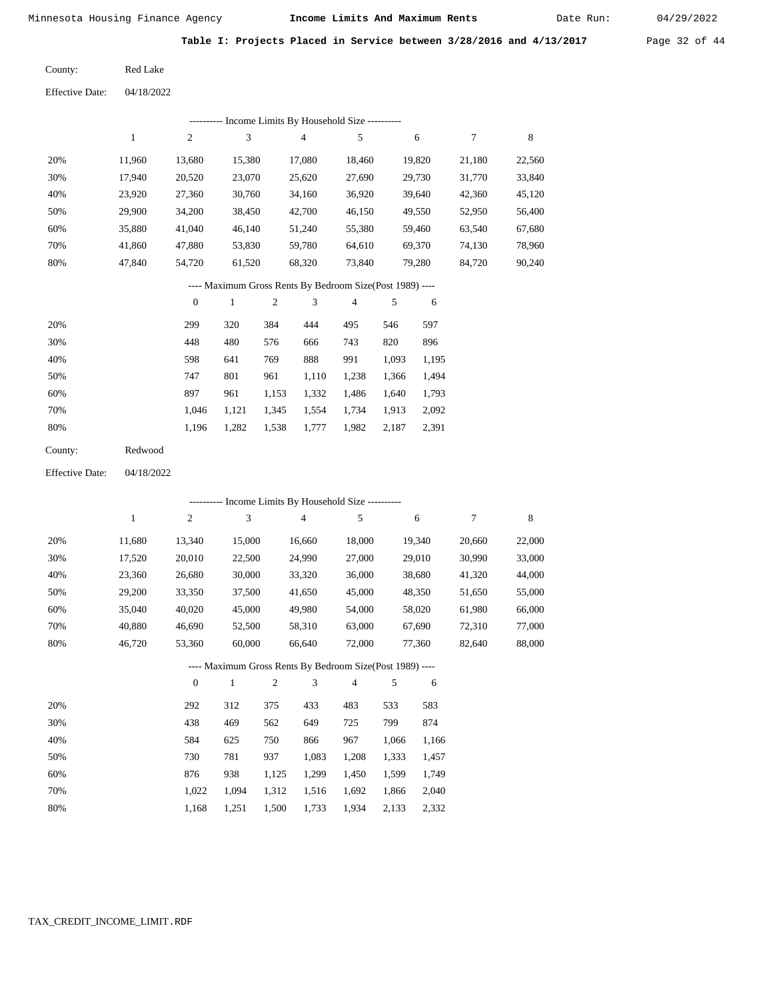Date Run:

**Table I: Projects Placed in Service between 3/28/2016 and 4/13/2017** Page 32 of 44

04/18/2022 Effective Date:

| ---------- Income Limits By Household Size ---------- |        |        |        |        |        |        |        |        |  |  |  |
|-------------------------------------------------------|--------|--------|--------|--------|--------|--------|--------|--------|--|--|--|
|                                                       |        | 2      | 3      | 4      | 5      | 6      | 7      | 8      |  |  |  |
| 20%                                                   | 11.960 | 13,680 | 15,380 | 17.080 | 18.460 | 19,820 | 21,180 | 22,560 |  |  |  |
| 30%                                                   | 17,940 | 20,520 | 23,070 | 25,620 | 27,690 | 29,730 | 31,770 | 33,840 |  |  |  |
| 40%                                                   | 23,920 | 27,360 | 30,760 | 34,160 | 36,920 | 39,640 | 42,360 | 45,120 |  |  |  |
| 50%                                                   | 29,900 | 34,200 | 38,450 | 42,700 | 46,150 | 49,550 | 52,950 | 56,400 |  |  |  |
| 60%                                                   | 35,880 | 41,040 | 46,140 | 51,240 | 55,380 | 59.460 | 63,540 | 67,680 |  |  |  |
| 70%                                                   | 41.860 | 47,880 | 53,830 | 59,780 | 64,610 | 69,370 | 74,130 | 78,960 |  |  |  |
| 80%                                                   | 47,840 | 54,720 | 61,520 | 68,320 | 73,840 | 79,280 | 84,720 | 90,240 |  |  |  |
|                                                       |        |        |        |        |        |        |        |        |  |  |  |

#### ---- Maximum Gross Rents By Bedroom Size(Post 1989) ----

|     | $\mathbf{0}$ |       | $\overline{2}$ | 3     | 4     | 5     | 6     |
|-----|--------------|-------|----------------|-------|-------|-------|-------|
| 20% | 299          | 320   | 384            | 444   | 495   | 546   | 597   |
| 30% | 448          | 480   | 576            | 666   | 743   | 820   | 896   |
| 40% | 598          | 641   | 769            | 888   | 991   | 1,093 | 1,195 |
| 50% | 747          | 801   | 961            | 1,110 | 1,238 | 1,366 | 1,494 |
| 60% | 897          | 961   | 1,153          | 1,332 | 1,486 | 1,640 | 1,793 |
| 70% | 1.046        | 1,121 | 1,345          | 1,554 | 1,734 | 1,913 | 2,092 |
| 80% | 1,196        | 1,282 | 1,538          | 1,777 | 1,982 | 2,187 | 2,391 |
|     |              |       |                |       |       |       |       |

| County: | Redwood |
|---------|---------|
|         |         |

04/18/2022 Effective Date:

|     |        |          | ---------- Income Limits By Household Size ---------- |                |                |                                                          |       |        |        |        |  |  |  |  |
|-----|--------|----------|-------------------------------------------------------|----------------|----------------|----------------------------------------------------------|-------|--------|--------|--------|--|--|--|--|
|     | 1      | 2        | 3                                                     |                | $\overline{4}$ | 5                                                        |       | 6      | 7      | 8      |  |  |  |  |
| 20% | 11,680 | 13,340   | 15,000                                                |                | 16,660         | 18,000                                                   |       | 19,340 | 20,660 | 22,000 |  |  |  |  |
| 30% | 17,520 | 20,010   | 22,500                                                |                | 24,990         | 27,000                                                   |       | 29,010 | 30,990 | 33,000 |  |  |  |  |
| 40% | 23,360 | 26,680   | 30,000                                                |                | 33,320         | 36,000                                                   |       | 38,680 | 41,320 | 44,000 |  |  |  |  |
| 50% | 29,200 | 33,350   | 37,500                                                |                | 41,650         | 45,000                                                   |       | 48,350 | 51,650 | 55,000 |  |  |  |  |
| 60% | 35,040 | 40,020   | 45,000                                                |                | 49,980         | 54,000                                                   |       | 58,020 | 61,980 | 66,000 |  |  |  |  |
| 70% | 40,880 | 46,690   | 52,500                                                |                | 58,310         | 63,000                                                   |       | 67,690 | 72,310 | 77,000 |  |  |  |  |
| 80% | 46,720 | 53,360   | 60,000                                                |                | 66,640         | 72,000                                                   |       | 77,360 | 82,640 | 88,000 |  |  |  |  |
|     |        |          |                                                       |                |                | ---- Maximum Gross Rents By Bedroom Size(Post 1989) ---- |       |        |        |        |  |  |  |  |
|     |        | $\theta$ | 1                                                     | $\overline{2}$ | 3              | $\overline{4}$                                           | 5     | 6      |        |        |  |  |  |  |
| 20% |        | 292      | 312                                                   | 375            | 433            | 483                                                      | 533   | 583    |        |        |  |  |  |  |
| 30% |        | 438      | 469                                                   | 562            | 649            | 725                                                      | 799   | 874    |        |        |  |  |  |  |
| 40% |        | 584      | 625                                                   | 750            | 866            | 967                                                      | 1,066 | 1,166  |        |        |  |  |  |  |
| 50% |        | 730      | 781                                                   | 937            | 1,083          | 1,208                                                    | 1,333 | 1,457  |        |        |  |  |  |  |
| 60% |        | 876      | 938                                                   | 1,125          | 1,299          | 1,450                                                    | 1,599 | 1,749  |        |        |  |  |  |  |
| 70% |        | 1,022    | 1,094                                                 | 1,312          | 1,516          | 1,692                                                    | 1,866 | 2,040  |        |        |  |  |  |  |

1,168

1,251

1,500

1,733

1,934

2,133

2,332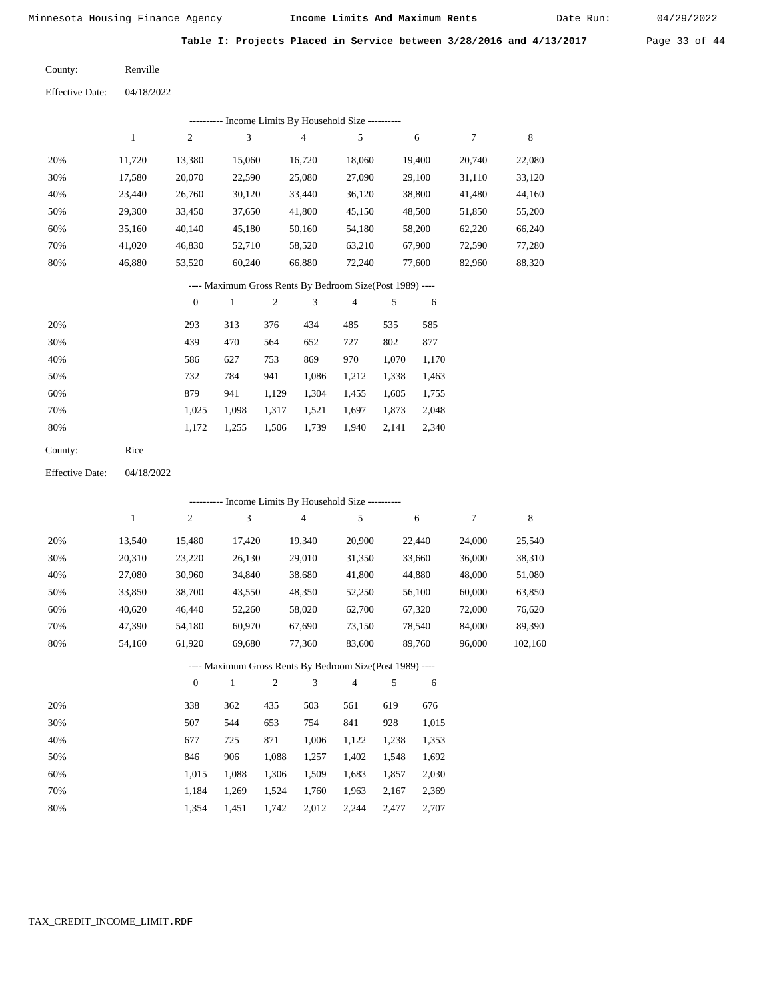Date Run:

**Table I: Projects Placed in Service between 3/28/2016 and 4/13/2017** Page 33 of 44

Renville County:

04/18/2022 Effective Date:

| ---------- Income Limits By Household Size ---------- |        |        |        |  |  |  |  |  |  |  |  |
|-------------------------------------------------------|--------|--------|--------|--|--|--|--|--|--|--|--|
| 5                                                     | 6      | 7      | 8      |  |  |  |  |  |  |  |  |
| 18,060                                                | 19.400 | 20,740 | 22,080 |  |  |  |  |  |  |  |  |
| 27,090                                                | 29,100 | 31,110 | 33,120 |  |  |  |  |  |  |  |  |
| 36,120                                                | 38,800 | 41,480 | 44,160 |  |  |  |  |  |  |  |  |
| 45,150                                                | 48,500 | 51,850 | 55,200 |  |  |  |  |  |  |  |  |
| 54,180                                                | 58,200 | 62,220 | 66,240 |  |  |  |  |  |  |  |  |
| 63,210                                                | 67,900 | 72,590 | 77,280 |  |  |  |  |  |  |  |  |
| 72,240                                                | 77,600 | 82,960 | 88,320 |  |  |  |  |  |  |  |  |
|                                                       |        |        |        |  |  |  |  |  |  |  |  |

---- Maximum Gross Rents By Bedroom Size(Post 1989) ----

|     | $\mathbf{0}$ |       | $\overline{c}$ | 3     | 4     | 5     | 6     |
|-----|--------------|-------|----------------|-------|-------|-------|-------|
| 20% | 293          | 313   | 376            | 434   | 485   | 535   | 585   |
| 30% | 439          | 470   | 564            | 652   | 727   | 802   | 877   |
| 40% | 586          | 627   | 753            | 869   | 970   | 1,070 | 1,170 |
| 50% | 732          | 784   | 941            | 1,086 | 1,212 | 1,338 | 1,463 |
| 60% | 879          | 941   | 1,129          | 1,304 | 1,455 | 1,605 | 1,755 |
| 70% | 1.025        | 1.098 | 1,317          | 1,521 | 1,697 | 1,873 | 2,048 |
| 80% | 1,172        | 1,255 | 1,506          | 1,739 | 1,940 | 2,141 | 2,340 |
|     |              |       |                |       |       |       |       |

Rice County:

04/18/2022 Effective Date:

|     |              |              | ---------- Income Limits By Household Size ----------    |       |                |                |       |        |        |         |
|-----|--------------|--------------|----------------------------------------------------------|-------|----------------|----------------|-------|--------|--------|---------|
|     | $\mathbf{1}$ | 2            | 3                                                        |       | $\overline{4}$ | 5              |       | 6      | 7      | 8       |
| 20% | 13,540       | 15,480       | 17,420                                                   |       | 19,340         | 20,900         |       | 22,440 | 24,000 | 25,540  |
| 30% | 20,310       | 23,220       | 26,130                                                   |       | 29,010         | 31,350         |       | 33,660 | 36,000 | 38,310  |
| 40% | 27,080       | 30,960       | 34,840                                                   |       | 38,680         | 41,800         |       | 44,880 | 48,000 | 51,080  |
| 50% | 33,850       | 38,700       | 43,550                                                   |       | 48,350         | 52,250         |       | 56,100 | 60,000 | 63,850  |
| 60% | 40,620       | 46,440       | 52,260                                                   |       | 58,020         | 62,700         |       | 67,320 | 72,000 | 76,620  |
| 70% | 47,390       | 54,180       | 60,970                                                   |       | 67,690         | 73,150         |       | 78,540 | 84,000 | 89,390  |
| 80% | 54,160       | 61,920       | 69,680                                                   |       | 77,360         | 83,600         |       | 89,760 | 96,000 | 102,160 |
|     |              |              | ---- Maximum Gross Rents By Bedroom Size(Post 1989) ---- |       |                |                |       |        |        |         |
|     |              | $\mathbf{0}$ | 1                                                        | 2     | 3              | $\overline{4}$ | 5     | 6      |        |         |
| 20% |              | 338          | 362                                                      | 435   | 503            | 561            | 619   | 676    |        |         |
| 30% |              | 507          | 544                                                      | 653   | 754            | 841            | 928   | 1,015  |        |         |
| 40% |              | 677          | 725                                                      | 871   | 1,006          | 1,122          | 1,238 | 1,353  |        |         |
| 50% |              | 846          | 906                                                      | 1,088 | 1,257          | 1,402          | 1,548 | 1,692  |        |         |

| 70%  | 1,184 1,269 1,524 1,760 1,963 2,167 2,369 |  |  |  |
|------|-------------------------------------------|--|--|--|
| -80% | 1,354 1,451 1,742 2,012 2,244 2,477 2,707 |  |  |  |

1,306

1,509

1,683

1,857

2,030

1,088

1,015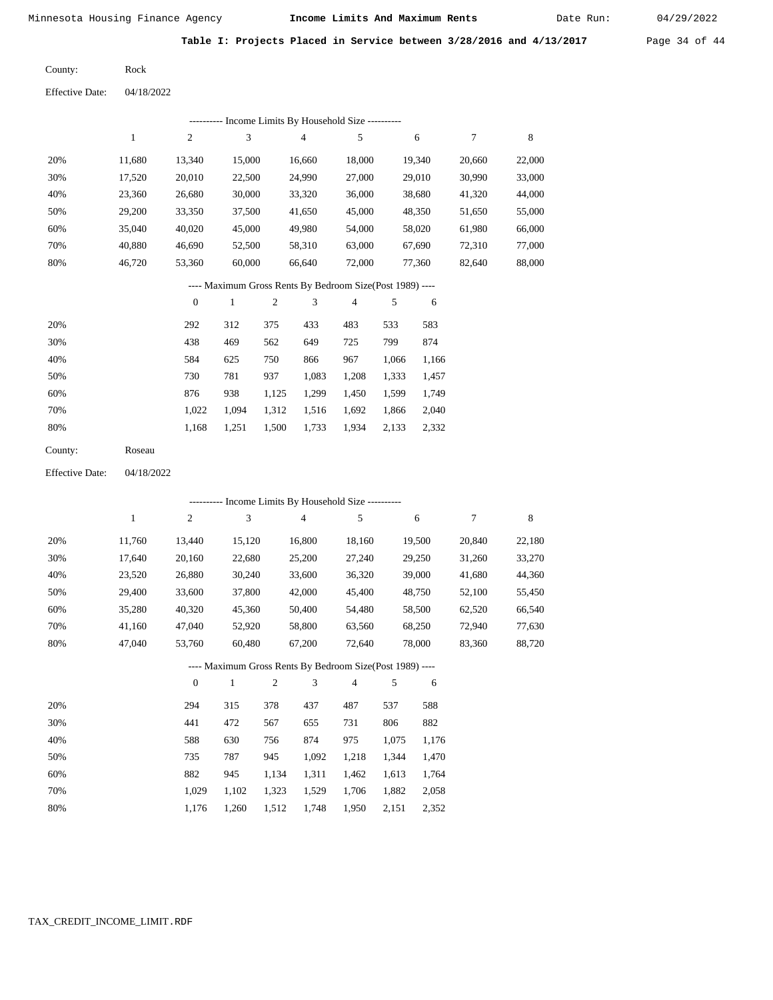Date Run:

**Table I: Projects Placed in Service between 3/28/2016 and 4/13/2017** Page 34 of 44

Rock County:

Effective Date: 04/18/2022

|     |        |                  |        |                | ---------- Income Limits By Household Size ----------    |        |       |        |        |        |
|-----|--------|------------------|--------|----------------|----------------------------------------------------------|--------|-------|--------|--------|--------|
|     | 1      | $\overline{2}$   | 3      |                | 4                                                        | 5      |       | 6      | $\tau$ | 8      |
| 20% | 11,680 | 13,340           | 15,000 |                | 16,660                                                   | 18,000 |       | 19,340 | 20,660 | 22,000 |
| 30% | 17,520 | 20,010           | 22,500 |                | 24,990                                                   | 27,000 |       | 29,010 | 30,990 | 33,000 |
| 40% | 23,360 | 26,680           | 30,000 |                | 33,320                                                   | 36,000 |       | 38,680 | 41,320 | 44,000 |
| 50% | 29,200 | 33,350           | 37,500 |                | 41,650                                                   | 45,000 |       | 48,350 | 51,650 | 55,000 |
| 60% | 35,040 | 40,020           | 45,000 |                | 49,980                                                   | 54,000 |       | 58,020 | 61,980 | 66,000 |
| 70% | 40,880 | 46,690           | 52,500 |                | 58,310                                                   | 63,000 |       | 67,690 | 72,310 | 77,000 |
| 80% | 46,720 | 53,360           | 60,000 |                | 66,640                                                   | 72,000 |       | 77,360 | 82,640 | 88,000 |
|     |        |                  |        |                | ---- Maximum Gross Rents By Bedroom Size(Post 1989) ---- |        |       |        |        |        |
|     |        | $\boldsymbol{0}$ | 1      | $\overline{c}$ | 3                                                        | 4      | 5     | 6      |        |        |
| 20% |        | 292              | 312    | 375            | 433                                                      | 483    | 533   | 583    |        |        |
| 30% |        | 438              | 469    | 562            | 649                                                      | 725    | 799   | 874    |        |        |
| 40% |        | 584              | 625    | 750            | 866                                                      | 967    | 1,066 | 1,166  |        |        |
| 50% |        | 730              | 781    | 937            | 1,083                                                    | 1,208  | 1,333 | 1,457  |        |        |
| 60% |        | 876              | 938    | 1,125          | 1,299                                                    | 1,450  | 1,599 | 1,749  |        |        |

| 60% | 876 |  |  | 938 1.125 1.299 1.450 1.599 1.749         |  |
|-----|-----|--|--|-------------------------------------------|--|
| 70% |     |  |  | 1,022 1,094 1,312 1,516 1,692 1,866 2,040 |  |
| 80% |     |  |  | 1,168 1,251 1,500 1,733 1,934 2,133 2,332 |  |

| County: | Roseau |
|---------|--------|
|---------|--------|

Effective Date: 04/18/2022

|     | ---------- Income Limits By Household Size ---------- |                |              |                |                |                                                          |       |        |        |             |  |  |
|-----|-------------------------------------------------------|----------------|--------------|----------------|----------------|----------------------------------------------------------|-------|--------|--------|-------------|--|--|
|     | 1                                                     | $\overline{c}$ | 3            |                | $\overline{4}$ | 5                                                        |       | 6      | 7      | $\,$ 8 $\,$ |  |  |
| 20% | 11,760                                                | 13,440         | 15,120       |                | 16,800         | 18,160                                                   |       | 19,500 | 20,840 | 22,180      |  |  |
| 30% | 17,640                                                | 20,160         | 22,680       |                | 25,200         | 27,240                                                   |       | 29,250 | 31,260 | 33,270      |  |  |
| 40% | 23,520                                                | 26,880         | 30,240       |                | 33,600         | 36,320                                                   |       | 39,000 | 41,680 | 44,360      |  |  |
| 50% | 29,400                                                | 33,600         | 37,800       |                | 42,000         | 45,400                                                   |       | 48,750 | 52,100 | 55,450      |  |  |
| 60% | 35,280                                                | 40,320         | 45,360       |                | 50,400         | 54,480                                                   |       | 58,500 | 62,520 | 66,540      |  |  |
| 70% | 41,160                                                | 47,040         | 52,920       |                | 58,800         | 63,560                                                   |       | 68,250 | 72,940 | 77,630      |  |  |
| 80% | 47,040                                                | 53,760         | 60,480       |                | 67,200         | 72,640                                                   |       | 78,000 | 83,360 | 88,720      |  |  |
|     |                                                       |                |              |                |                | ---- Maximum Gross Rents By Bedroom Size(Post 1989) ---- |       |        |        |             |  |  |
|     |                                                       | $\overline{0}$ | $\mathbf{1}$ | $\overline{2}$ | 3              | $\overline{4}$                                           | 5     | 6      |        |             |  |  |
| 20% |                                                       | 294            | 315          | 378            | 437            | 487                                                      | 537   | 588    |        |             |  |  |
| 30% |                                                       | 441            | 472          | 567            | 655            | 731                                                      | 806   | 882    |        |             |  |  |
| 40% |                                                       | 588            | 630          | 756            | 874            | 975                                                      | 1,075 | 1,176  |        |             |  |  |
| 50% |                                                       | 735            | 787          | 945            | 1,092          | 1,218                                                    | 1,344 | 1,470  |        |             |  |  |
| 60% |                                                       | 882            | 945          | 1,134          | 1,311          | 1,462                                                    | 1,613 | 1,764  |        |             |  |  |
| 70% |                                                       | 1,029          | 1,102        | 1,323          | 1,529          | 1,706                                                    | 1,882 | 2,058  |        |             |  |  |

1,176 1,260 1,512 1,748 1,950 2,151 2,352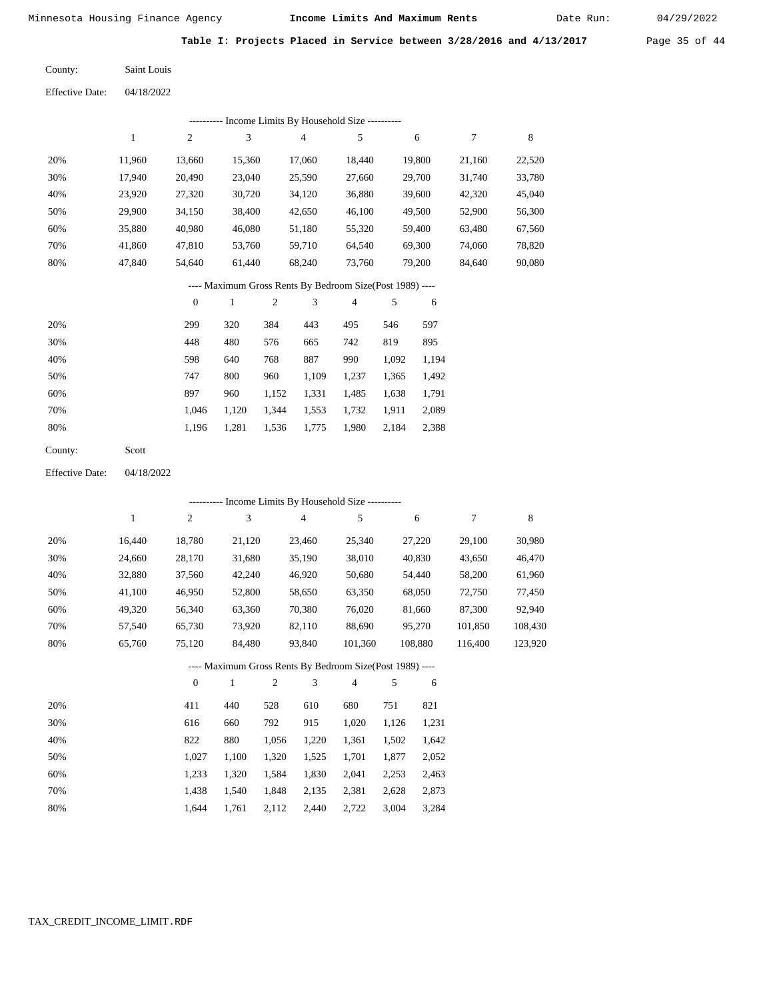Date Run:

**Table I: Projects Placed in Service between 3/28/2016 and 4/13/2017** Page 35 of 44

Saint Louis County:

Effective Date: 04/18/2022

|     | ---------- Income Limits By Household Size ---------- |          |        |                                                          |                |        |        |        |  |  |
|-----|-------------------------------------------------------|----------|--------|----------------------------------------------------------|----------------|--------|--------|--------|--|--|
|     | 1                                                     | 2        | 3      | $\overline{4}$                                           | 5              | 6      | 7      | 8      |  |  |
| 20% | 11,960                                                | 13,660   | 15,360 | 17,060                                                   | 18,440         | 19,800 | 21,160 | 22,520 |  |  |
| 30% | 17,940                                                | 20,490   | 23,040 | 25,590                                                   | 27,660         | 29,700 | 31,740 | 33,780 |  |  |
| 40% | 23,920                                                | 27,320   | 30,720 | 34,120                                                   | 36,880         | 39,600 | 42,320 | 45,040 |  |  |
| 50% | 29,900                                                | 34,150   | 38,400 | 42,650                                                   | 46,100         | 49,500 | 52,900 | 56,300 |  |  |
| 60% | 35,880                                                | 40,980   | 46,080 | 51,180                                                   | 55,320         | 59,400 | 63,480 | 67,560 |  |  |
| 70% | 41,860                                                | 47,810   | 53,760 | 59,710                                                   | 64,540         | 69,300 | 74,060 | 78,820 |  |  |
| 80% | 47,840                                                | 54,640   | 61,440 | 68,240                                                   | 73,760         | 79,200 | 84,640 | 90,080 |  |  |
|     |                                                       |          |        | ---- Maximum Gross Rents By Bedroom Size(Post 1989) ---- |                |        |        |        |  |  |
|     |                                                       | $\theta$ | 1      | 2<br>3                                                   | $\overline{4}$ | 5<br>6 |        |        |  |  |
|     |                                                       |          |        |                                                          |                |        |        |        |  |  |

| 20% | 299   | 320   | 384   | 443   | 495   | 546   | 597   |
|-----|-------|-------|-------|-------|-------|-------|-------|
| 30% | 448   | 480   | 576   | 665   | 742   | 819   | 895   |
| 40% | 598   | 640   | 768   | 887   | 990   | 1,092 | 1,194 |
| 50% | 747   | 800   | 960   | 1.109 | 1,237 | 1.365 | 1,492 |
| 60% | 897   | 960   | 1,152 | 1,331 | 1,485 | 1,638 | 1,791 |
| 70% | 1.046 | 1.120 | 1.344 | 1,553 | 1,732 | 1.911 | 2,089 |
| 80% | 1.196 | 1.281 | 1,536 | 1,775 | 1,980 | 2.184 | 2,388 |
|     |       |       |       |       |       |       |       |

Scott County:

Effective Date: 04/18/2022

|     | --------- Income Limits By Household Size ---------- |                |        |                                                          |                |         |         |         |  |  |
|-----|------------------------------------------------------|----------------|--------|----------------------------------------------------------|----------------|---------|---------|---------|--|--|
|     | 1                                                    | $\overline{c}$ | 3      | 4                                                        | 5              | 6       | 7       | 8       |  |  |
| 20% | 16.440                                               | 18,780         | 21,120 | 23,460                                                   | 25,340         | 27,220  | 29,100  | 30,980  |  |  |
| 30% | 24,660                                               | 28,170         | 31,680 | 35,190                                                   | 38,010         | 40,830  | 43,650  | 46,470  |  |  |
| 40% | 32,880                                               | 37,560         | 42,240 | 46,920                                                   | 50,680         | 54,440  | 58,200  | 61,960  |  |  |
| 50% | 41.100                                               | 46,950         | 52,800 | 58,650                                                   | 63,350         | 68,050  | 72,750  | 77,450  |  |  |
| 60% | 49,320                                               | 56,340         | 63,360 | 70,380                                                   | 76,020         | 81,660  | 87,300  | 92,940  |  |  |
| 70% | 57,540                                               | 65,730         | 73,920 | 82,110                                                   | 88,690         | 95,270  | 101,850 | 108,430 |  |  |
| 80% | 65,760                                               | 75,120         | 84,480 | 93,840                                                   | 101,360        | 108,880 | 116,400 | 123,920 |  |  |
|     |                                                      |                |        | ---- Maximum Gross Rents By Bedroom Size(Post 1989) ---- |                |         |         |         |  |  |
|     |                                                      | $\mathbf{0}$   |        | 3<br>2                                                   | $\overline{4}$ | 5<br>6  |         |         |  |  |

| 20% | 411   | 440   | 528   | 610   | 680   | 751   | 821   |
|-----|-------|-------|-------|-------|-------|-------|-------|
| 30% | 616   | 660   | 792   | 915   | 1.020 | 1.126 | 1,231 |
| 40% | 822   | 880   | 1.056 | 1,220 | 1.361 | 1,502 | 1,642 |
| 50% | 1.027 | 1.100 | 1.320 | 1,525 | 1,701 | 1.877 | 2,052 |
| 60% | 1.233 | 1.320 | 1.584 | 1,830 | 2.041 | 2,253 | 2,463 |
| 70% | 1.438 | 1.540 | 1,848 | 2,135 | 2,381 | 2,628 | 2,873 |
| 80% | 1.644 | 1.761 | 2,112 | 2.440 | 2,722 | 3,004 | 3,284 |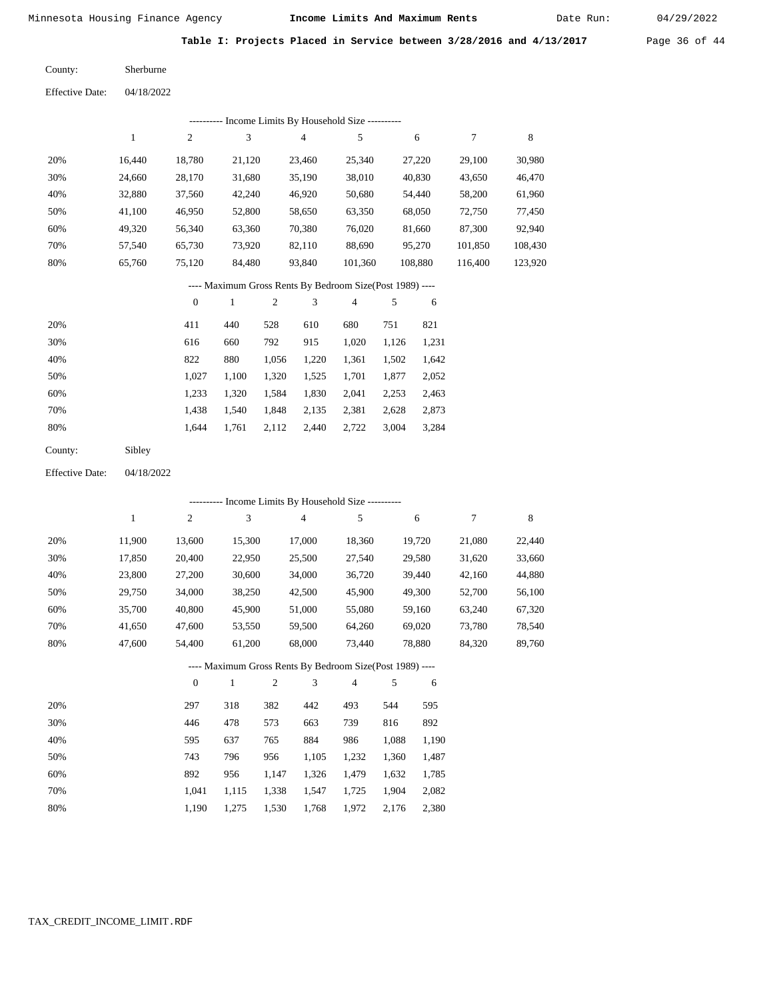Date Run:

**Table I: Projects Placed in Service between 3/28/2016 and 4/13/2017** Page 36 of 44

| County: | Sherburne |
|---------|-----------|
|         |           |

| <b>Effective Date:</b> | 04/18/2022 |
|------------------------|------------|
|                        |            |

|     | Income Limits By Household Size ---------- |        |        |        |         |         |         |         |  |  |  |
|-----|--------------------------------------------|--------|--------|--------|---------|---------|---------|---------|--|--|--|
|     |                                            | 2      | 3      | 4      | 5       | 6       | 7       | 8       |  |  |  |
| 20% | 16.440                                     | 18.780 | 21,120 | 23.460 | 25,340  | 27,220  | 29,100  | 30,980  |  |  |  |
| 30% | 24,660                                     | 28,170 | 31,680 | 35,190 | 38,010  | 40,830  | 43,650  | 46,470  |  |  |  |
| 40% | 32,880                                     | 37,560 | 42,240 | 46,920 | 50,680  | 54,440  | 58,200  | 61,960  |  |  |  |
| 50% | 41,100                                     | 46,950 | 52,800 | 58,650 | 63,350  | 68,050  | 72,750  | 77,450  |  |  |  |
| 60% | 49,320                                     | 56,340 | 63,360 | 70,380 | 76,020  | 81,660  | 87,300  | 92,940  |  |  |  |
| 70% | 57,540                                     | 65,730 | 73,920 | 82,110 | 88,690  | 95,270  | 101,850 | 108,430 |  |  |  |
| 80% | 65,760                                     | 75,120 | 84,480 | 93,840 | 101,360 | 108,880 | 116.400 | 123,920 |  |  |  |

## ---- Maximum Gross Rents By Bedroom Size(Post 1989) ----

|     | $\mathbf{0}$ |       | $\overline{c}$ | 3     | 4     | 5     | 6     |
|-----|--------------|-------|----------------|-------|-------|-------|-------|
| 20% | 411          | 440   | 528            | 610   | 680   | 751   | 821   |
| 30% | 616          | 660   | 792            | 915   | 1,020 | 1,126 | 1,231 |
| 40% | 822          | 880   | 1,056          | 1,220 | 1,361 | 1,502 | 1,642 |
| 50% | 1,027        | 1,100 | 1,320          | 1,525 | 1,701 | 1,877 | 2,052 |
| 60% | 1,233        | 1,320 | 1,584          | 1,830 | 2,041 | 2,253 | 2,463 |
| 70% | 1,438        | 1,540 | 1,848          | 2,135 | 2,381 | 2,628 | 2,873 |
| 80% | 1.644        | 1,761 | 2,112          | 2,440 | 2,722 | 3,004 | 3,284 |
|     |              |       |                |       |       |       |       |

| County: | Sibley |
|---------|--------|
|---------|--------|

04/18/2022 Effective Date:

|     |              |                |              |       |                | ---------- Income Limits By Household Size ----------    |       |        |        |             |
|-----|--------------|----------------|--------------|-------|----------------|----------------------------------------------------------|-------|--------|--------|-------------|
|     | $\mathbf{1}$ | 2              | 3            |       | $\overline{4}$ | 5                                                        |       | 6      | $\tau$ | $\,$ 8 $\,$ |
| 20% | 11,900       | 13,600         | 15,300       |       | 17,000         | 18,360                                                   |       | 19,720 | 21,080 | 22,440      |
| 30% | 17,850       | 20,400         | 22,950       |       | 25,500         | 27,540                                                   |       | 29,580 | 31,620 | 33,660      |
| 40% | 23,800       | 27,200         | 30,600       |       | 34,000         | 36,720                                                   |       | 39,440 | 42,160 | 44,880      |
| 50% | 29,750       | 34,000         | 38,250       |       | 42,500         | 45,900                                                   |       | 49,300 | 52,700 | 56,100      |
| 60% | 35,700       | 40,800         | 45,900       |       | 51,000         | 55,080                                                   |       | 59,160 | 63,240 | 67,320      |
| 70% | 41,650       | 47,600         | 53,550       |       | 59,500         | 64,260                                                   |       | 69,020 | 73,780 | 78,540      |
| 80% | 47,600       | 54,400         | 61,200       |       | 68,000         | 73,440                                                   |       | 78,880 | 84,320 | 89,760      |
|     |              |                |              |       |                | ---- Maximum Gross Rents By Bedroom Size(Post 1989) ---- |       |        |        |             |
|     |              | $\overline{0}$ | $\mathbf{1}$ | 2     | 3              | 4                                                        | 5     | 6      |        |             |
| 20% |              | 297            | 318          | 382   | 442            | 493                                                      | 544   | 595    |        |             |
| 30% |              | 446            | 478          | 573   | 663            | 739                                                      | 816   | 892    |        |             |
| 40% |              | 595            | 637          | 765   | 884            | 986                                                      | 1,088 | 1,190  |        |             |
| 50% |              | 743            | 796          | 956   | 1,105          | 1,232                                                    | 1,360 | 1,487  |        |             |
| 60% |              | 892            | 956          | 1,147 | 1,326          | 1,479                                                    | 1,632 | 1,785  |        |             |
| 70% |              | 1,041          | 1,115        | 1,338 | 1,547          | 1,725                                                    | 1,904 | 2,082  |        |             |

1,190 1,275 1,530 1,768 1,972 2,176 2,380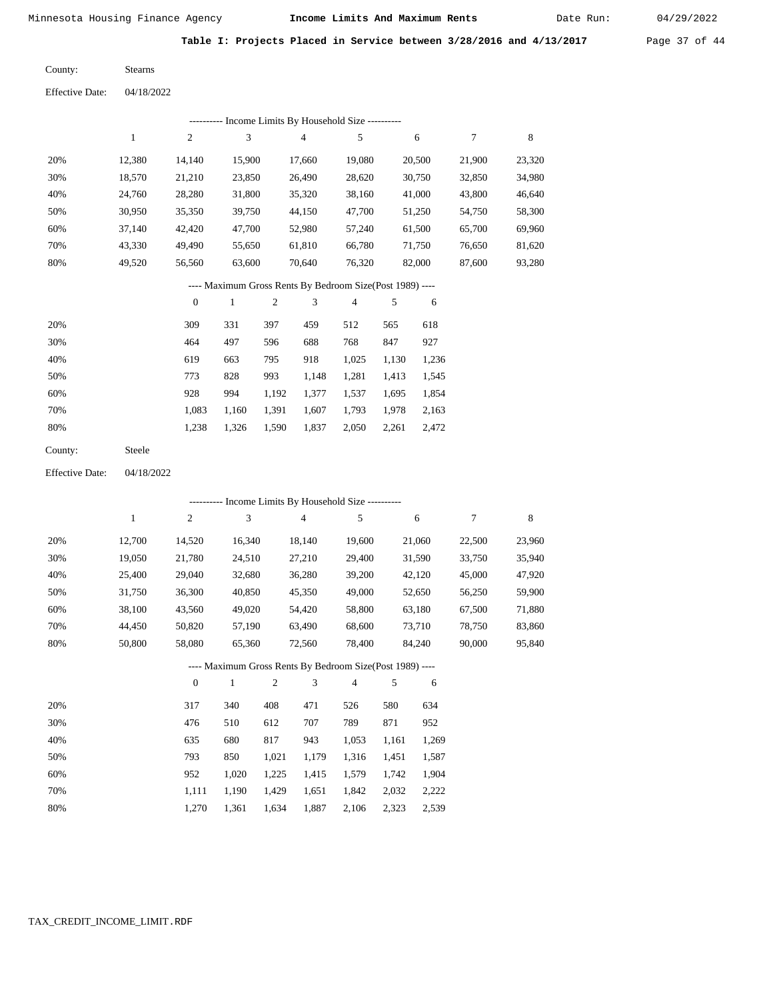Date Run:

**Table I: Projects Placed in Service between 3/28/2016 and 4/13/2017** Page 37 of 44

Stearns County:

04/18/2022 Effective Date:

|     |        |                  | ---------- Income Limits By Household Size ----------    |     |        |                |       |        |        |        |
|-----|--------|------------------|----------------------------------------------------------|-----|--------|----------------|-------|--------|--------|--------|
|     | 1      | 2                | 3                                                        |     | 4      | 5              |       | 6      | 7      | 8      |
| 20% | 12,380 | 14,140           | 15,900                                                   |     | 17,660 | 19,080         |       | 20,500 | 21,900 | 23,320 |
| 30% | 18,570 | 21,210           | 23,850                                                   |     | 26,490 | 28,620         |       | 30,750 | 32,850 | 34,980 |
| 40% | 24,760 | 28,280           | 31,800                                                   |     | 35,320 | 38,160         |       | 41,000 | 43,800 | 46,640 |
| 50% | 30,950 | 35,350           | 39,750                                                   |     | 44,150 | 47,700         |       | 51,250 | 54,750 | 58,300 |
| 60% | 37,140 | 42,420           | 47,700                                                   |     | 52,980 | 57,240         |       | 61,500 | 65,700 | 69,960 |
| 70% | 43,330 | 49,490           | 55,650                                                   |     | 61,810 | 66,780         |       | 71,750 | 76,650 | 81,620 |
| 80% | 49,520 | 56,560           | 63,600                                                   |     | 70,640 | 76,320         |       | 82,000 | 87,600 | 93,280 |
|     |        |                  | ---- Maximum Gross Rents By Bedroom Size(Post 1989) ---- |     |        |                |       |        |        |        |
|     |        | $\boldsymbol{0}$ | 1                                                        | 2   | 3      | $\overline{4}$ | 5     | 6      |        |        |
| 20% |        | 309              | 331                                                      | 397 | 459    | 512            | 565   | 618    |        |        |
| 30% |        | 464              | 497                                                      | 596 | 688    | 768            | 847   | 927    |        |        |
| 40% |        | 619              | 663                                                      | 795 | 918    | 1,025          | 1,130 | 1,236  |        |        |
| 50% |        | 773              | 828                                                      | 993 | 1,148  | 1,281          | 1,413 | 1,545  |        |        |

| $SU\%$ |     | $1/3$ $8/8$ $993$ $1,148$ $1,281$ $1,413$ $1,343$ |  |  |  |
|--------|-----|---------------------------------------------------|--|--|--|
| 60%    | 928 | 994 1,192 1,377 1,537 1,695 1,854                 |  |  |  |
| 70%    |     | 1,083 1,160 1,391 1,607 1,793 1,978 2,163         |  |  |  |
| 80%    |     | 1,238 1,326 1,590 1,837 2,050 2,261 2,472         |  |  |  |
|        |     |                                                   |  |  |  |

Steele County:

04/18/2022 Effective Date:

|     |        |                |              |                |                | --------- Income Limits By Household Size ----------     |       |        |        |        |
|-----|--------|----------------|--------------|----------------|----------------|----------------------------------------------------------|-------|--------|--------|--------|
|     | 1      | $\overline{c}$ | 3            |                | $\overline{4}$ | 5                                                        |       | 6      | 7      | 8      |
| 20% | 12,700 | 14,520         | 16,340       |                | 18,140         | 19,600                                                   |       | 21,060 | 22,500 | 23,960 |
| 30% | 19,050 | 21,780         | 24,510       |                | 27,210         | 29,400                                                   |       | 31,590 | 33,750 | 35,940 |
| 40% | 25,400 | 29,040         | 32,680       |                | 36,280         | 39,200                                                   |       | 42,120 | 45,000 | 47,920 |
| 50% | 31,750 | 36,300         | 40,850       |                | 45,350         | 49,000                                                   |       | 52,650 | 56,250 | 59,900 |
| 60% | 38,100 | 43,560         | 49,020       |                | 54,420         | 58,800                                                   |       | 63,180 | 67,500 | 71,880 |
| 70% | 44,450 | 50,820         | 57,190       |                | 63,490         | 68,600                                                   |       | 73,710 | 78,750 | 83,860 |
| 80% | 50,800 | 58,080         | 65,360       |                | 72,560         | 78,400                                                   |       | 84,240 | 90,000 | 95,840 |
|     |        |                |              |                |                | ---- Maximum Gross Rents By Bedroom Size(Post 1989) ---- |       |        |        |        |
|     |        | $\mathbf{0}$   | $\mathbf{1}$ | $\mathfrak{2}$ | 3              | $\overline{4}$                                           | 5     | 6      |        |        |
| 20% |        | 317            | 340          | 408            | 471            | 526                                                      | 580   | 634    |        |        |
| 30% |        | 476            | 510          | 612            | 707            | 789                                                      | 871   | 952    |        |        |
| 40% |        | 635            | 680          | 817            | 943            | 1,053                                                    | 1,161 | 1,269  |        |        |
| 50% |        | 793            | 850          | 1,021          | 1,179          | 1,316                                                    | 1,451 | 1,587  |        |        |
| 60% |        | 952            | 1,020        | 1,225          | 1,415          | 1,579                                                    | 1,742 | 1,904  |        |        |

 1,111 1,270

 1,190 1,361

 1,429 1,634

 1,651 1,887 2,222

2,106 2,323 2,539

1,842 2,032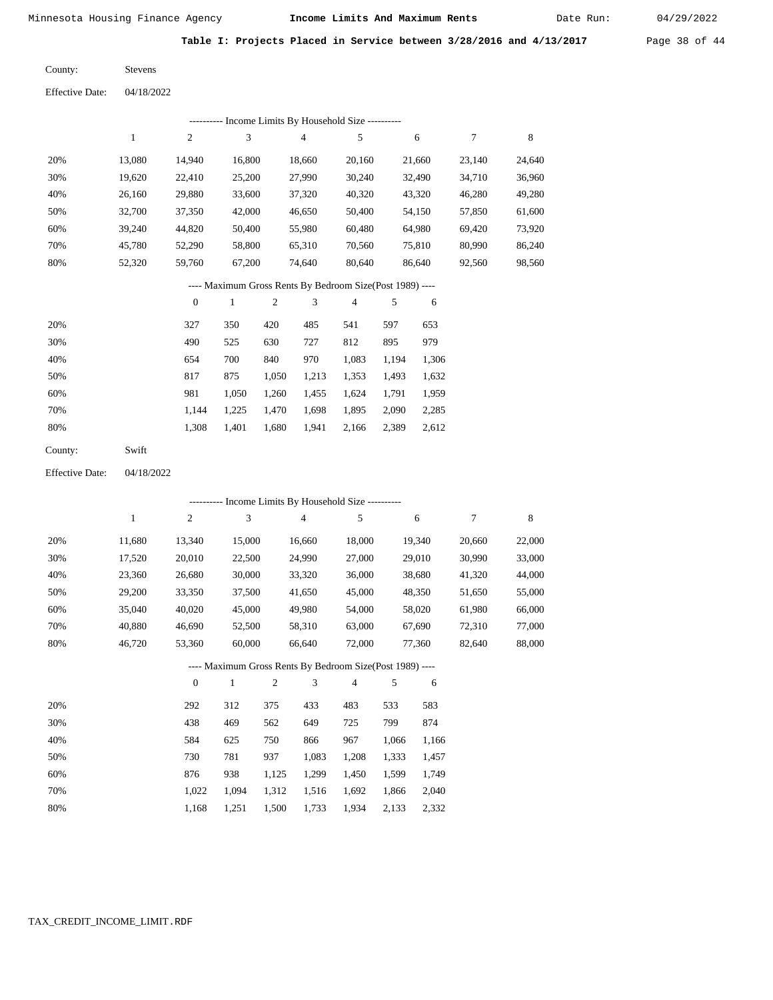Date Run:

**Table I: Projects Placed in Service between 3/28/2016 and 4/13/2017** Page 38 of 44

| County: | <b>Stevens</b> |
|---------|----------------|
|         |                |

| <b>Effective Date:</b> | 04/18/2022 |
|------------------------|------------|
|                        |            |

|     | Income Limits By Household Size ---------- |                |        |        |        |        |        |        |  |  |  |  |  |
|-----|--------------------------------------------|----------------|--------|--------|--------|--------|--------|--------|--|--|--|--|--|
|     |                                            | $\overline{c}$ | 3      | 4      | 5      | 6      |        | 8      |  |  |  |  |  |
| 20% | 13.080                                     | 14.940         | 16.800 | 18.660 | 20.160 | 21,660 | 23.140 | 24,640 |  |  |  |  |  |
| 30% | 19,620                                     | 22,410         | 25,200 | 27,990 | 30,240 | 32,490 | 34,710 | 36,960 |  |  |  |  |  |
| 40% | 26,160                                     | 29,880         | 33,600 | 37,320 | 40,320 | 43,320 | 46,280 | 49,280 |  |  |  |  |  |
| 50% | 32,700                                     | 37,350         | 42,000 | 46,650 | 50,400 | 54,150 | 57,850 | 61,600 |  |  |  |  |  |
| 60% | 39.240                                     | 44,820         | 50,400 | 55,980 | 60,480 | 64,980 | 69,420 | 73,920 |  |  |  |  |  |
| 70% | 45,780                                     | 52,290         | 58,800 | 65,310 | 70,560 | 75,810 | 80,990 | 86,240 |  |  |  |  |  |
| 80% | 52,320                                     | 59,760         | 67,200 | 74,640 | 80,640 | 86,640 | 92,560 | 98,560 |  |  |  |  |  |

## ---- Maximum Gross Rents By Bedroom Size(Post 1989) ----

|     | 0     |       | 2     | 3     | 4     | 5     | 6     |
|-----|-------|-------|-------|-------|-------|-------|-------|
| 20% | 327   | 350   | 420   | 485   | 541   | 597   | 653   |
| 30% | 490   | 525   | 630   | 727   | 812   | 895   | 979   |
| 40% | 654   | 700   | 840   | 970   | 1,083 | 1,194 | 1,306 |
| 50% | 817   | 875   | 1,050 | 1,213 | 1,353 | 1,493 | 1,632 |
| 60% | 981   | 1,050 | 1,260 | 1,455 | 1,624 | 1.791 | 1,959 |
| 70% | 1.144 | 1,225 | 1,470 | 1,698 | 1,895 | 2,090 | 2,285 |
| 80% | 1,308 | 1,401 | 1,680 | 1,941 | 2,166 | 2,389 | 2,612 |
|     |       |       |       |       |       |       |       |

Swift County:

04/18/2022 Effective Date:

|     |              |                  |              |                |                | ---------- Income Limits By Household Size ----------    |       |        |        |        |
|-----|--------------|------------------|--------------|----------------|----------------|----------------------------------------------------------|-------|--------|--------|--------|
|     | $\mathbf{1}$ | $\boldsymbol{2}$ | 3            |                | $\overline{4}$ | 5                                                        |       | 6      | 7      | 8      |
| 20% | 11,680       | 13,340           | 15,000       |                | 16,660         | 18,000                                                   |       | 19,340 | 20,660 | 22,000 |
| 30% | 17,520       | 20,010           | 22,500       |                | 24,990         | 27,000                                                   |       | 29,010 | 30,990 | 33,000 |
| 40% | 23,360       | 26,680           | 30,000       |                | 33,320         | 36,000                                                   |       | 38,680 | 41,320 | 44,000 |
| 50% | 29,200       | 33,350           | 37,500       |                | 41,650         | 45,000                                                   |       | 48,350 | 51,650 | 55,000 |
| 60% | 35,040       | 40,020           | 45,000       |                | 49,980         | 54,000                                                   |       | 58,020 | 61,980 | 66,000 |
| 70% | 40,880       | 46,690           | 52,500       |                | 58,310         | 63,000                                                   |       | 67,690 | 72,310 | 77,000 |
| 80% | 46,720       | 53,360           | 60,000       |                | 66,640         | 72,000                                                   |       | 77,360 | 82,640 | 88,000 |
|     |              |                  |              |                |                | ---- Maximum Gross Rents By Bedroom Size(Post 1989) ---- |       |        |        |        |
|     |              | $\theta$         | $\mathbf{1}$ | $\overline{2}$ | 3              | 4                                                        | 5     | 6      |        |        |
| 20% |              | 292              | 312          | 375            | 433            | 483                                                      | 533   | 583    |        |        |
| 30% |              | 438              | 469          | 562            | 649            | 725                                                      | 799   | 874    |        |        |
| 40% |              | 584              | 625          | 750            | 866            | 967                                                      | 1,066 | 1,166  |        |        |
| 50% |              | 730              | 781          | 937            | 1,083          | 1,208                                                    | 1,333 | 1,457  |        |        |
| 60% |              | 876              | 938          | 1,125          | 1,299          | 1,450                                                    | 1,599 | 1,749  |        |        |
| 70% |              | 1,022            | 1,094        | 1,312          | 1,516          | 1,692                                                    | 1,866 | 2,040  |        |        |

1,168 1,251 1,500 1,733 1,934 2,133 2,332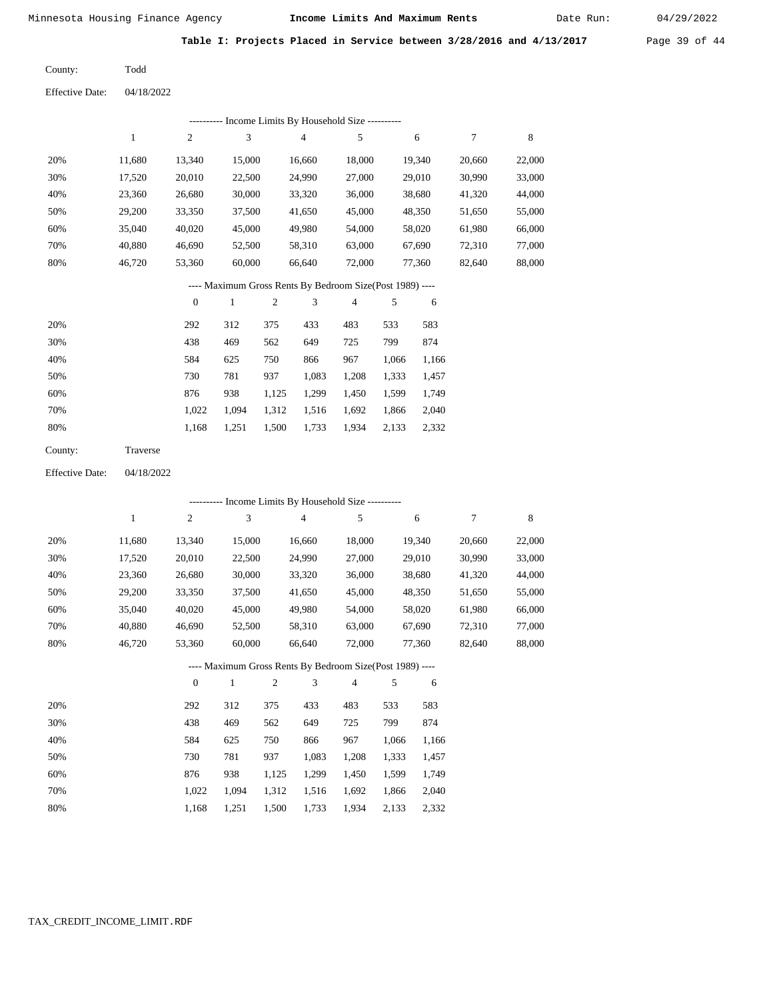Date Run:

**Table I: Projects Placed in Service between 3/28/2016 and 4/13/2017** Page 39 of 44

Todd

Effective Date: 04/18/2022

County:

|     | ---------- Income Limits By Household Size ---------- |              |                                                          |     |        |        |       |        |        |        |  |  |  |
|-----|-------------------------------------------------------|--------------|----------------------------------------------------------|-----|--------|--------|-------|--------|--------|--------|--|--|--|
|     | 1                                                     | 2            | 3                                                        |     | 4      | 5      |       | 6      | 7      | 8      |  |  |  |
| 20% | 11,680                                                | 13,340       | 15,000                                                   |     | 16,660 | 18,000 |       | 19,340 | 20,660 | 22,000 |  |  |  |
| 30% | 17,520                                                | 20,010       | 22,500                                                   |     | 24,990 | 27,000 |       | 29,010 | 30,990 | 33,000 |  |  |  |
| 40% | 23,360                                                | 26,680       | 30,000                                                   |     | 33,320 | 36,000 |       | 38,680 | 41,320 | 44,000 |  |  |  |
| 50% | 29,200                                                | 33,350       | 37,500                                                   |     | 41,650 | 45,000 |       | 48,350 | 51,650 | 55,000 |  |  |  |
| 60% | 35,040                                                | 40,020       | 45,000                                                   |     | 49,980 | 54,000 |       | 58,020 | 61,980 | 66,000 |  |  |  |
| 70% | 40,880                                                | 46,690       | 52,500                                                   |     | 58,310 | 63,000 |       | 67,690 | 72,310 | 77,000 |  |  |  |
| 80% | 46,720                                                | 53,360       | 60,000                                                   |     | 66,640 | 72,000 |       | 77,360 | 82,640 | 88,000 |  |  |  |
|     |                                                       |              | ---- Maximum Gross Rents By Bedroom Size(Post 1989) ---- |     |        |        |       |        |        |        |  |  |  |
|     |                                                       | $\mathbf{0}$ | 1                                                        | 2   | 3      | 4      | 5     | 6      |        |        |  |  |  |
| 20% |                                                       | 292          | 312                                                      | 375 | 433    | 483    | 533   | 583    |        |        |  |  |  |
| 30% |                                                       | 438          | 469                                                      | 562 | 649    | 725    | 799   | 874    |        |        |  |  |  |
| 40% |                                                       | 584          | 625                                                      | 750 | 866    | 967    | 1,066 | 1,166  |        |        |  |  |  |
| 50% |                                                       | 730          | 781                                                      | 937 | 1,083  | 1,208  | 1,333 | 1,457  |        |        |  |  |  |

| 60% | 876 | 938 1,125 1,299 1,450 1,599 1,749         |  |  |  |
|-----|-----|-------------------------------------------|--|--|--|
| 70% |     | 1,022 1,094 1,312 1,516 1,692 1,866 2,040 |  |  |  |
| 80% |     | 1,168 1,251 1,500 1,733 1,934 2,133 2,332 |  |  |  |

| County: | Traverse |
|---------|----------|
|---------|----------|

Effective Date: 04/18/2022

|                                                          | ---------- Income Limits By Household Size ---------- |                |              |                |                |                |       |        |        |        |  |
|----------------------------------------------------------|-------------------------------------------------------|----------------|--------------|----------------|----------------|----------------|-------|--------|--------|--------|--|
|                                                          | $\mathbf{1}$                                          | $\overline{c}$ | 3            |                | $\overline{4}$ | 5              |       | 6      | 7      | 8      |  |
| 20%                                                      | 11,680                                                | 13,340         | 15,000       |                | 16,660         | 18,000         |       | 19,340 | 20,660 | 22,000 |  |
| 30%                                                      | 17,520                                                | 20,010         | 22,500       |                | 24,990         | 27,000         |       | 29,010 | 30,990 | 33,000 |  |
| 40%                                                      | 23,360                                                | 26,680         | 30,000       |                | 33,320         | 36,000         |       | 38,680 | 41,320 | 44,000 |  |
| 50%                                                      | 29,200                                                | 33,350         | 37,500       |                | 41,650         | 45,000         |       | 48,350 | 51,650 | 55,000 |  |
| 60%                                                      | 35,040                                                | 40,020         | 45,000       |                | 49,980         | 54,000         |       | 58,020 | 61,980 | 66,000 |  |
| 70%                                                      | 40,880                                                | 46,690         | 52,500       |                | 58,310         | 63,000         |       | 67,690 | 72,310 | 77,000 |  |
| 80%                                                      | 46,720                                                | 53,360         | 60,000       |                | 66,640         | 72,000         |       | 77,360 | 82,640 | 88,000 |  |
| ---- Maximum Gross Rents By Bedroom Size(Post 1989) ---- |                                                       |                |              |                |                |                |       |        |        |        |  |
|                                                          |                                                       | $\theta$       | $\mathbf{1}$ | $\mathfrak{2}$ | 3              | $\overline{4}$ | 5     | 6      |        |        |  |
| 20%                                                      |                                                       | 292            | 312          | 375            | 433            | 483            | 533   | 583    |        |        |  |
| 30%                                                      |                                                       | 438            | 469          | 562            | 649            | 725            | 799   | 874    |        |        |  |
| 40%                                                      |                                                       | 584            | 625          | 750            | 866            | 967            | 1,066 | 1,166  |        |        |  |
| 50%                                                      |                                                       | 730            | 781          | 937            | 1,083          | 1,208          | 1,333 | 1,457  |        |        |  |
| 60%                                                      |                                                       | 876            | 938          | 1,125          | 1,299          | 1,450          | 1,599 | 1,749  |        |        |  |
| 70%                                                      |                                                       | 1,022          | 1,094        | 1,312          | 1,516          | 1,692          | 1,866 | 2,040  |        |        |  |

1,934 2,133 2,332

1,168 1,251 1,500 1,733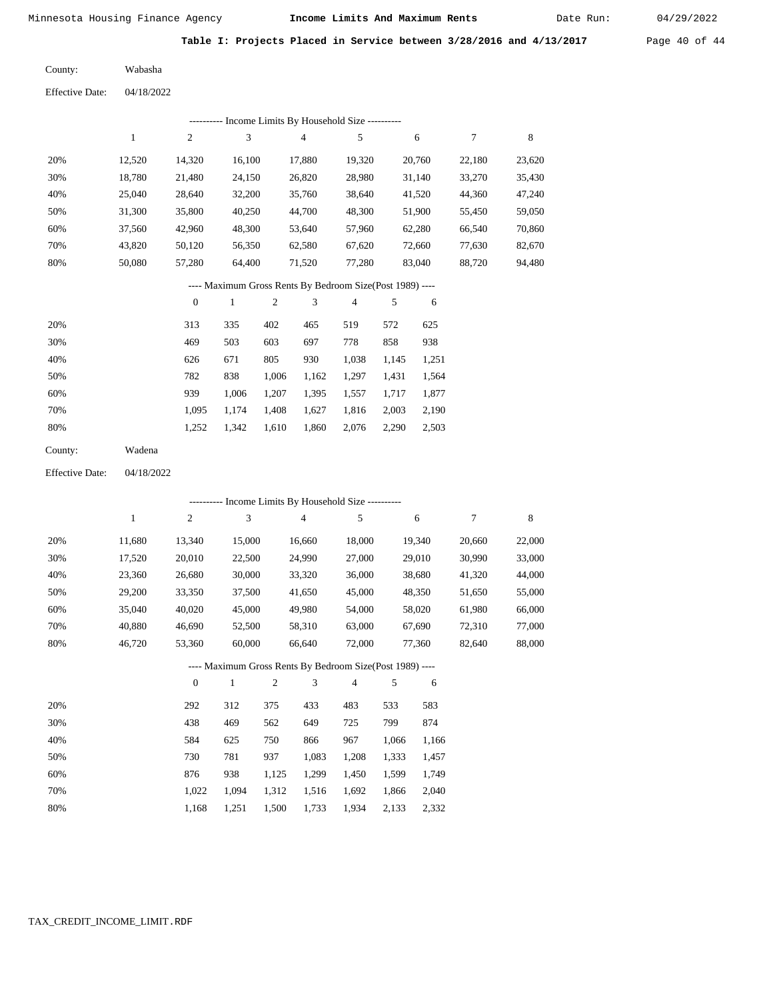Date Run:

**Table I: Projects Placed in Service between 3/28/2016 and 4/13/2017** Page 40 of 44

Wabasha County:

04/18/2022 Effective Date:

| ---------- Income Limits By Household Size ----------    |        |                |        |                |        |        |        |        |  |  |
|----------------------------------------------------------|--------|----------------|--------|----------------|--------|--------|--------|--------|--|--|
|                                                          | 1      | $\overline{2}$ | 3      | $\overline{4}$ | 5      | 6      | 7      | 8      |  |  |
| 20%                                                      | 12,520 | 14.320         | 16.100 | 17.880         | 19.320 | 20,760 | 22.180 | 23,620 |  |  |
| 30%                                                      | 18.780 | 21.480         | 24.150 | 26,820         | 28.980 | 31,140 | 33,270 | 35,430 |  |  |
| 40%                                                      | 25,040 | 28,640         | 32,200 | 35,760         | 38,640 | 41,520 | 44,360 | 47,240 |  |  |
| 50%                                                      | 31.300 | 35,800         | 40.250 | 44,700         | 48.300 | 51.900 | 55,450 | 59,050 |  |  |
| 60%                                                      | 37.560 | 42,960         | 48,300 | 53.640         | 57,960 | 62,280 | 66.540 | 70,860 |  |  |
| 70%                                                      | 43.820 | 50,120         | 56,350 | 62,580         | 67,620 | 72,660 | 77,630 | 82,670 |  |  |
| 80%                                                      | 50,080 | 57,280         | 64.400 | 71,520         | 77,280 | 83,040 | 88,720 | 94,480 |  |  |
| ---- Maximum Gross Rents By Bedroom Size(Post 1989) ---- |        |                |        |                |        |        |        |        |  |  |

|     | $\mathbf{0}$ |       | $\overline{c}$ | 3     | 4     | 5     | 6     |
|-----|--------------|-------|----------------|-------|-------|-------|-------|
| 20% | 313          | 335   | 402            | 465   | 519   | 572   | 625   |
| 30% | 469          | 503   | 603            | 697   | 778   | 858   | 938   |
| 40% | 626          | 671   | 805            | 930   | 1,038 | 1,145 | 1,251 |
| 50% | 782          | 838   | 1,006          | 1,162 | 1,297 | 1,431 | 1,564 |
| 60% | 939          | 1.006 | 1,207          | 1,395 | 1,557 | 1,717 | 1,877 |
| 70% | 1.095        | 1.174 | 1,408          | 1,627 | 1,816 | 2,003 | 2,190 |
| 80% | 1,252        | 1,342 | 1,610          | 1,860 | 2,076 | 2,290 | 2,503 |
|     |              |       |                |       |       |       |       |

| County: | Wadena |
|---------|--------|
|---------|--------|

04/18/2022 Effective Date:

|     |              |                  |        |                |                | ---------- Income Limits By Household Size ----------    |       |        |        |        |
|-----|--------------|------------------|--------|----------------|----------------|----------------------------------------------------------|-------|--------|--------|--------|
|     | $\mathbf{1}$ | $\overline{c}$   | 3      |                | $\overline{4}$ | 5                                                        |       | 6      | 7      | 8      |
| 20% | 11,680       | 13,340           | 15,000 |                | 16,660         | 18,000                                                   |       | 19,340 | 20,660 | 22,000 |
| 30% | 17,520       | 20,010           | 22,500 |                | 24,990         | 27,000                                                   |       | 29,010 | 30,990 | 33,000 |
| 40% | 23,360       | 26,680           | 30,000 |                | 33,320         | 36,000                                                   |       | 38,680 | 41,320 | 44,000 |
| 50% | 29,200       | 33,350           | 37,500 |                | 41,650         | 45,000                                                   |       | 48,350 | 51,650 | 55,000 |
| 60% | 35,040       | 40,020           | 45,000 |                | 49,980         | 54,000                                                   |       | 58,020 | 61,980 | 66,000 |
| 70% | 40,880       | 46,690           | 52,500 |                | 58,310         | 63,000                                                   |       | 67,690 | 72,310 | 77,000 |
| 80% | 46,720       | 53,360           | 60,000 |                | 66,640         | 72,000                                                   |       | 77,360 | 82,640 | 88,000 |
|     |              |                  |        |                |                | ---- Maximum Gross Rents By Bedroom Size(Post 1989) ---- |       |        |        |        |
|     |              | $\boldsymbol{0}$ | 1      | $\mathfrak{2}$ | 3              | $\overline{4}$                                           | 5     | 6      |        |        |
| 20% |              | 292              | 312    | 375            | 433            | 483                                                      | 533   | 583    |        |        |
| 30% |              | 438              | 469    | 562            | 649            | 725                                                      | 799   | 874    |        |        |
| 40% |              | 584              | 625    | 750            | 866            | 967                                                      | 1,066 | 1,166  |        |        |
| 50% |              | 730              | 781    | 937            | 1,083          | 1,208                                                    | 1,333 | 1,457  |        |        |
| 60% |              | 876              | 938    | 1,125          | 1,299          | 1,450                                                    | 1,599 | 1,749  |        |        |

1,500 1,733

1,312 1,516 1,692 1,866 2,040

1,934 2,133 2,332

 1,022 1,094 1,168 1,251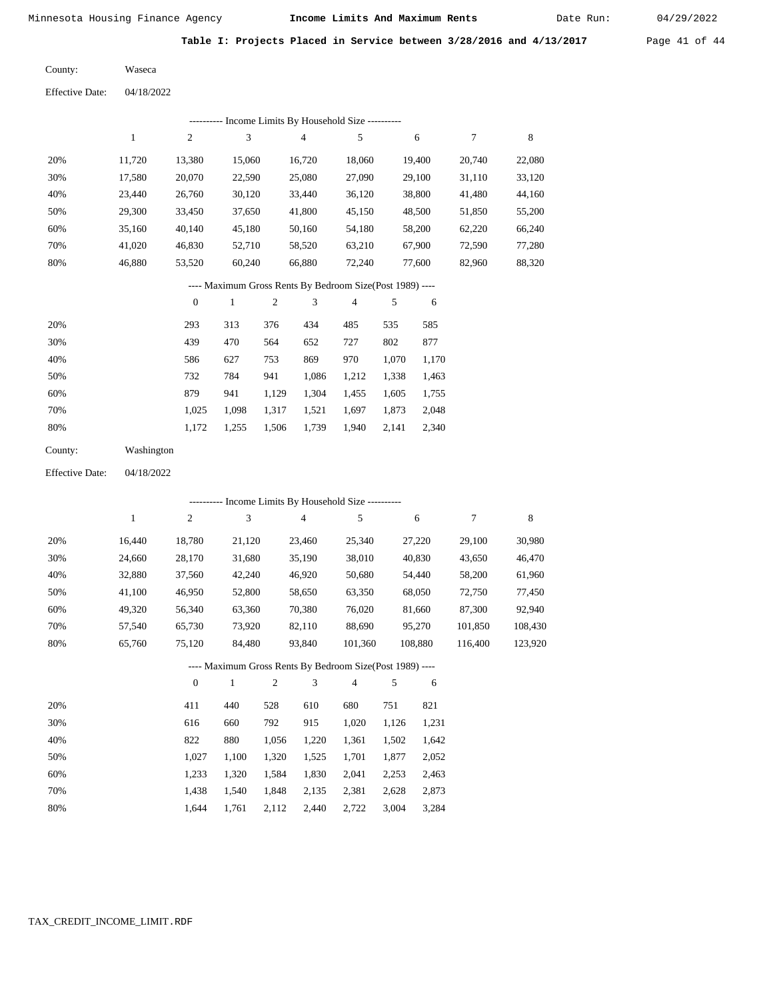Date Run:

**Table I: Projects Placed in Service between 3/28/2016 and 4/13/2017** Page 41 of 44

| County: | Waseca |
|---------|--------|
|---------|--------|

Effective Date: 04/18/2022

|     | ---------- Income Limits By Household Size ---------- |        |        |        |        |        |        |        |  |  |  |
|-----|-------------------------------------------------------|--------|--------|--------|--------|--------|--------|--------|--|--|--|
|     |                                                       | 2      | 3      | 4      | 5      | 6      | 7      | 8      |  |  |  |
| 20% | 11.720                                                | 13,380 | 15,060 | 16,720 | 18,060 | 19,400 | 20,740 | 22,080 |  |  |  |
| 30% | 17,580                                                | 20,070 | 22,590 | 25,080 | 27,090 | 29,100 | 31,110 | 33,120 |  |  |  |
| 40% | 23.440                                                | 26,760 | 30,120 | 33,440 | 36,120 | 38,800 | 41,480 | 44,160 |  |  |  |
| 50% | 29,300                                                | 33,450 | 37,650 | 41,800 | 45,150 | 48,500 | 51,850 | 55,200 |  |  |  |
| 60% | 35.160                                                | 40,140 | 45,180 | 50,160 | 54,180 | 58,200 | 62,220 | 66.240 |  |  |  |
| 70% | 41.020                                                | 46,830 | 52,710 | 58,520 | 63,210 | 67,900 | 72,590 | 77,280 |  |  |  |
| 80% | 46.880                                                | 53,520 | 60.240 | 66,880 | 72,240 | 77.600 | 82,960 | 88,320 |  |  |  |

## ---- Maximum Gross Rents By Bedroom Size(Post 1989) ----

|     | $\mathbf{0}$ |       | $\overline{2}$ | 3     | 4     | 5     | 6     |
|-----|--------------|-------|----------------|-------|-------|-------|-------|
| 20% | 293          | 313   | 376            | 434   | 485   | 535   | 585   |
| 30% | 439          | 470   | 564            | 652   | 727   | 802   | 877   |
| 40% | 586          | 627   | 753            | 869   | 970   | 1.070 | 1,170 |
| 50% | 732          | 784   | 941            | 1,086 | 1,212 | 1,338 | 1,463 |
| 60% | 879          | 941   | 1,129          | 1,304 | 1,455 | 1,605 | 1,755 |
| 70% | 1,025        | 1,098 | 1,317          | 1,521 | 1,697 | 1,873 | 2,048 |
| 80% | 1,172        | 1,255 | 1,506          | 1,739 | 1,940 | 2,141 | 2,340 |

| County: | Washington |
|---------|------------|
|         |            |

Effective Date: 04/18/2022

| ---------- Income Limits By Household Size ---------- |        |              |        |     |                |                                                          |     |         |         |         |
|-------------------------------------------------------|--------|--------------|--------|-----|----------------|----------------------------------------------------------|-----|---------|---------|---------|
|                                                       | 1      | 2            | 3      |     | $\overline{4}$ | 5                                                        |     | 6       | 7       | 8       |
| 20%                                                   | 16,440 | 18,780       | 21,120 |     | 23,460         | 25,340                                                   |     | 27,220  | 29,100  | 30,980  |
| 30%                                                   | 24,660 | 28,170       | 31,680 |     | 35,190         | 38,010                                                   |     | 40,830  | 43,650  | 46,470  |
| 40%                                                   | 32,880 | 37,560       | 42,240 |     | 46,920         | 50,680                                                   |     | 54,440  | 58,200  | 61,960  |
| 50%                                                   | 41,100 | 46,950       | 52,800 |     | 58,650         | 63,350                                                   |     | 68,050  | 72,750  | 77,450  |
| 60%                                                   | 49,320 | 56,340       | 63,360 |     | 70,380         | 76,020                                                   |     | 81,660  | 87,300  | 92,940  |
| 70%                                                   | 57,540 | 65,730       | 73,920 |     | 82,110         | 88,690                                                   |     | 95,270  | 101,850 | 108,430 |
| 80%                                                   | 65,760 | 75,120       | 84,480 |     | 93,840         | 101,360                                                  |     | 108,880 | 116,400 | 123,920 |
|                                                       |        |              |        |     |                | ---- Maximum Gross Rents By Bedroom Size(Post 1989) ---- |     |         |         |         |
|                                                       |        | $\mathbf{0}$ | 1      | 2   | 3              | $\overline{4}$                                           | 5   | 6       |         |         |
| 20%                                                   |        | 411          | 440    | 528 | 610            | 680                                                      | 751 | 821     |         |         |

| ZU 70 | 411   | 44V   | ە∠د   | <u>viv</u> | vov   | 721   | 0/1   |
|-------|-------|-------|-------|------------|-------|-------|-------|
| 30%   | 616   | 660   | 792   | 915        | 1.020 | 1.126 | 1,231 |
| 40%   | 822   | 880   | 1.056 | 1.220      | 1.361 | 1.502 | 1,642 |
| 50%   | 1.027 | 1.100 | 1.320 | 1,525      | 1,701 | 1.877 | 2,052 |
| 60%   | 1.233 | 1.320 | 1.584 | 1,830      | 2.041 | 2.253 | 2,463 |
| 70%   | 1.438 | 1.540 | 1.848 | 2.135      | 2,381 | 2.628 | 2,873 |
| 80%   | 1.644 | 1.761 | 2,112 | 2,440      | 2,722 | 3,004 | 3,284 |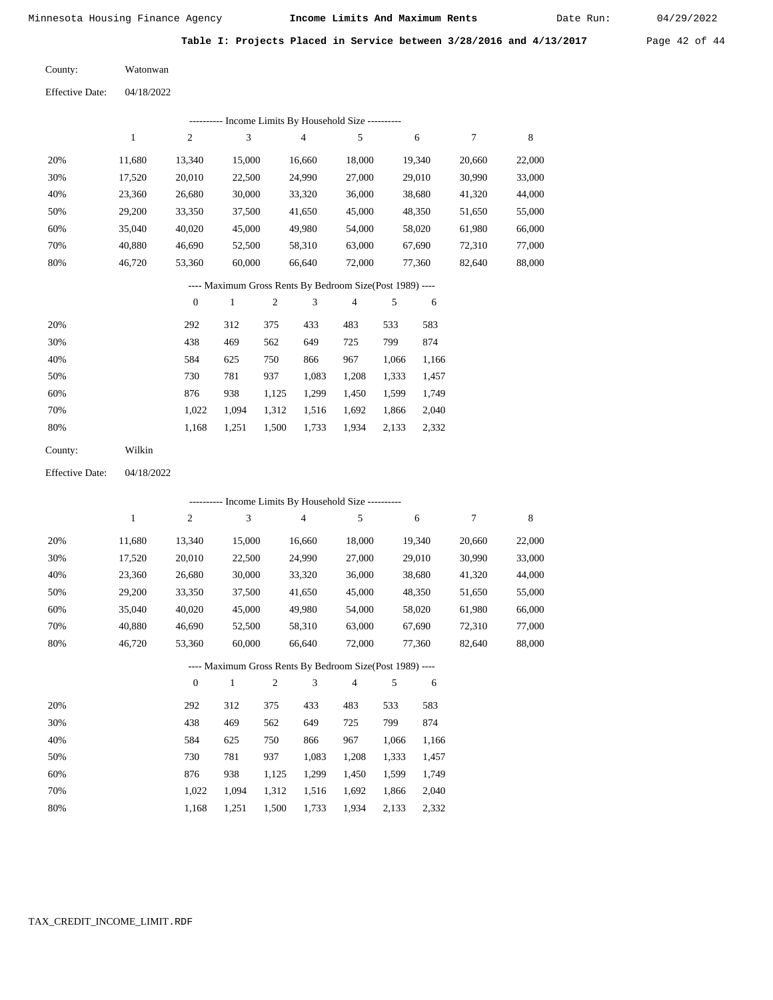Date Run:

**Table I: Projects Placed in Service between 3/28/2016 and 4/13/2017** Page 42 of 44

Watonwan County:

04/18/2022 Effective Date:

|                        |              |                  |              |              | ------- Income Limits By Household Size ----------       |                |       |        |                  |        |
|------------------------|--------------|------------------|--------------|--------------|----------------------------------------------------------|----------------|-------|--------|------------------|--------|
|                        | $\mathbf{1}$ | $\sqrt{2}$       | 3            |              | $\overline{\mathbf{4}}$                                  | 5              |       | 6      | $\boldsymbol{7}$ | 8      |
| 20%                    | 11,680       | 13,340           | 15,000       |              | 16,660                                                   | 18,000         |       | 19,340 | 20,660           | 22,000 |
| 30%                    | 17,520       | 20,010           | 22,500       |              | 24,990                                                   | 27,000         |       | 29,010 | 30,990           | 33,000 |
| 40%                    | 23,360       | 26,680           | 30,000       |              | 33,320                                                   | 36,000         |       | 38,680 | 41,320           | 44,000 |
| 50%                    | 29,200       | 33,350           | 37,500       |              | 41,650                                                   | 45,000         |       | 48,350 | 51,650           | 55,000 |
| 60%                    | 35,040       | 40,020           | 45,000       |              | 49,980                                                   | 54,000         |       | 58,020 | 61,980           | 66,000 |
| 70%                    | 40,880       | 46,690           | 52,500       |              | 58,310                                                   | 63,000         |       | 67,690 | 72,310           | 77,000 |
| 80%                    | 46,720       | 53,360           | 60,000       |              | 66,640                                                   | 72,000         |       | 77,360 | 82,640           | 88,000 |
|                        |              |                  |              |              | ---- Maximum Gross Rents By Bedroom Size(Post 1989) ---- |                |       |        |                  |        |
|                        |              | $\boldsymbol{0}$ | $\mathbf{1}$ | 2            | 3                                                        | $\overline{4}$ | 5     | 6      |                  |        |
| 20%                    |              | 292              | 312          | 375          | 433                                                      | 483            | 533   | 583    |                  |        |
| 30%                    |              | 438              | 469          | 562          | 649                                                      | 725            | 799   | 874    |                  |        |
| 40%                    |              | 584              | 625          | 750          | 866                                                      | 967            | 1,066 | 1,166  |                  |        |
| 50%                    |              | 730              | 781          | 937          | 1,083                                                    | 1,208          | 1,333 | 1,457  |                  |        |
| 60%                    |              | 876              | 938          | 1,125        | 1,299                                                    | 1,450          | 1,599 | 1,749  |                  |        |
| 70%                    |              | 1,022            | 1,094        | 1,312        | 1,516                                                    | 1,692          | 1,866 | 2,040  |                  |        |
| 80%                    |              | 1,168            | 1,251        | 1,500        | 1,733                                                    | 1,934          | 2,133 | 2,332  |                  |        |
| County:                | Wilkin       |                  |              |              |                                                          |                |       |        |                  |        |
| <b>Effective Date:</b> | 04/18/2022   |                  |              |              |                                                          |                |       |        |                  |        |
|                        |              |                  |              |              | --------- Income Limits By Household Size ----------     |                |       |        |                  |        |
|                        | $\,1$        | $\overline{c}$   | 3            |              | $\overline{4}$                                           | 5              |       | 6      | 7                | 8      |
| 20%                    | 11,680       | 13,340           | 15,000       |              | 16,660                                                   | 18,000         |       | 19,340 | 20,660           | 22,000 |
| 30%                    | 17,520       | 20,010           | 22,500       |              | 24,990                                                   | 27,000         |       | 29,010 | 30,990           | 33,000 |
| 40%                    | 23,360       | 26,680           | 30,000       |              | 33,320                                                   | 36,000         |       | 38,680 | 41,320           | 44,000 |
| 50%                    | 29,200       | 33,350           | 37,500       |              | 41,650                                                   | 45,000         |       | 48,350 | 51,650           | 55,000 |
| 60%                    | 35,040       | 40,020           | 45,000       |              | 49,980                                                   | 54,000         |       | 58,020 | 61,980           | 66,000 |
| 70%                    | 40,880       | 46,690           | 52,500       |              | 58,310                                                   | 63,000         |       | 67,690 | 72,310           | 77,000 |
| 80%                    | 46,720       | 53,360           | 60,000       |              | 66,640                                                   | 72,000         |       | 77,360 | 82,640           | 88,000 |
|                        |              |                  |              |              | ---- Maximum Gross Rents By Bedroom Size(Post 1989) ---- |                |       |        |                  |        |
|                        |              | $\boldsymbol{0}$ | $\mathbf{1}$ | $\mathbf{2}$ | 3                                                        | 4              | 5     | 6      |                  |        |
| 20%                    |              | 292              | 312          | 375          | 433                                                      | 483            | 533   | 583    |                  |        |
| 30%                    |              | 438              | 469          | 562          | 649                                                      | 725            | 799   | 874    |                  |        |
| 40%                    |              | 584              | 625          | 750          | 866                                                      | 967            | 1,066 | 1,166  |                  |        |

TAX\_CREDIT\_INCOME\_LIMIT.RDF

 730 876 1,022 1,168  781 938 1,094 1,251

 937 1,125 1,312 1,500

 1,299 1,516 1,733

1,083 1,208 1,333 1,457

 1,599 1,866 2,133

 1,749 2,040 2,332

 1,450 1,692 1,934

 50% 60% 70% 80%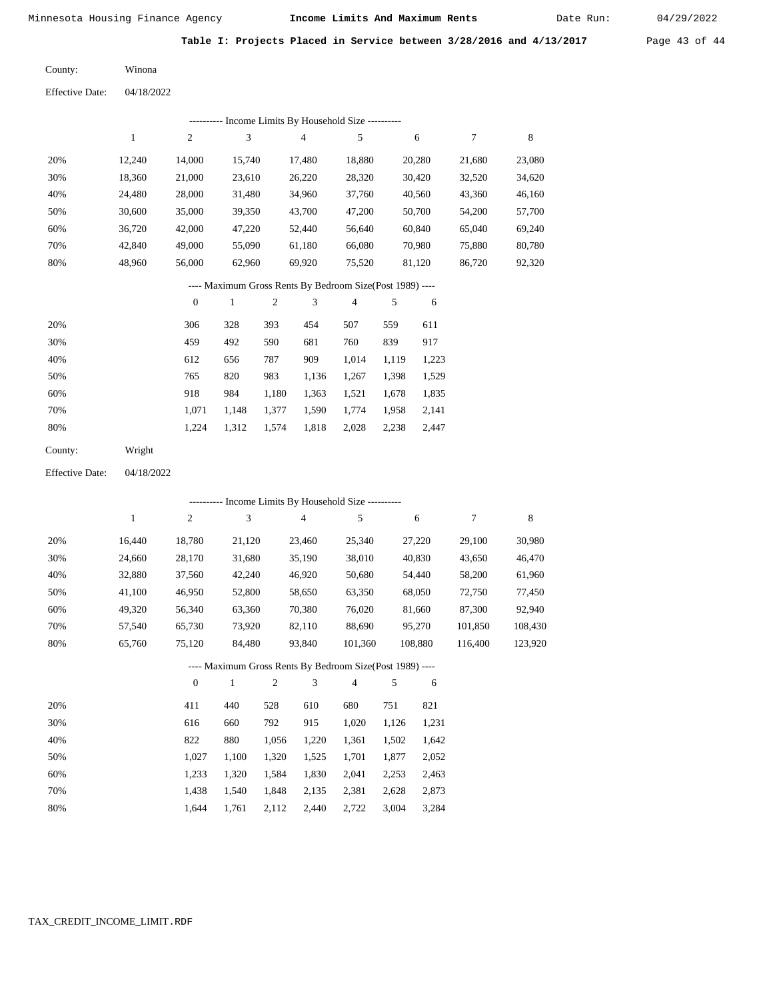Date Run:

**Table I: Projects Placed in Service between 3/28/2016 and 4/13/2017** Page 43 of 44

Winona County:

Effective Date: 04/18/2022

|                                                          |              |                  |                             |            | --------- Income Limits By Household Size ----------     |                |       |         |         |             |  |
|----------------------------------------------------------|--------------|------------------|-----------------------------|------------|----------------------------------------------------------|----------------|-------|---------|---------|-------------|--|
|                                                          | $\mathbf{1}$ | $\overline{c}$   | $\mathfrak{Z}$              |            | $\overline{\mathcal{A}}$                                 | 5              |       | 6       | 7       | $\,$ 8 $\,$ |  |
| 20%                                                      | 12,240       | 14,000           | 15,740                      |            | 17,480                                                   | 18,880         |       | 20,280  | 21,680  | 23,080      |  |
| 30%                                                      | 18,360       | 21,000           | 23,610                      |            | 26,220                                                   | 28,320         |       | 30,420  | 32,520  | 34,620      |  |
| 40%                                                      | 24,480       | 28,000           | 31,480                      |            | 34,960                                                   | 37,760         |       | 40,560  | 43,360  | 46,160      |  |
| 50%                                                      | 30,600       | 35,000           | 39,350                      |            | 43,700                                                   | 47,200         |       | 50,700  | 54,200  | 57,700      |  |
| 60%                                                      | 36,720       | 42,000           | 47,220                      |            | 52,440                                                   | 56,640         |       | 60,840  | 65,040  | 69,240      |  |
| 70%                                                      | 42,840       | 49,000           | 55,090                      |            | 61,180                                                   | 66,080         |       | 70,980  | 75,880  | 80,780      |  |
| 80%                                                      | 48,960       | 56,000           | 62,960                      |            | 69,920                                                   | 75,520         |       | 81,120  | 86,720  | 92,320      |  |
| ---- Maximum Gross Rents By Bedroom Size(Post 1989) ---- |              |                  |                             |            |                                                          |                |       |         |         |             |  |
|                                                          |              | $\boldsymbol{0}$ | $\mathbf{1}$                | $\sqrt{2}$ | 3                                                        | $\overline{4}$ | 5     | 6       |         |             |  |
| 20%                                                      |              | 306              | 328                         | 393        | 454                                                      | 507            | 559   | 611     |         |             |  |
| 30%                                                      |              | 459              | 492                         | 590        | 681                                                      | 760            | 839   | 917     |         |             |  |
| 40%                                                      |              | 612              | 656                         | 787        | 909                                                      | 1,014          | 1,119 | 1,223   |         |             |  |
| 50%                                                      |              | 765              | 820                         | 983        | 1,136                                                    | 1,267          | 1,398 | 1,529   |         |             |  |
| 60%                                                      |              | 918              | 984                         | 1,180      | 1,363                                                    | 1,521          | 1,678 | 1,835   |         |             |  |
| 70%                                                      |              | 1,071            | 1,148                       | 1,377      | 1,590                                                    | 1,774          | 1,958 | 2,141   |         |             |  |
| 80%                                                      |              | 1,224            | 1,312                       | 1,574      | 1,818                                                    | 2,028          | 2,238 | 2,447   |         |             |  |
| County:                                                  | Wright       |                  |                             |            |                                                          |                |       |         |         |             |  |
| <b>Effective Date:</b>                                   | 04/18/2022   |                  |                             |            |                                                          |                |       |         |         |             |  |
|                                                          |              |                  |                             |            | ---------- Income Limits By Household Size ----------    |                |       |         |         |             |  |
|                                                          | $\mathbf{1}$ | $\sqrt{2}$       | $\ensuremath{\mathfrak{Z}}$ |            | 4                                                        | 5              |       | 6       | 7       | $\,$ 8 $\,$ |  |
| 20%                                                      | 16,440       | 18,780           | 21,120                      |            | 23,460                                                   | 25,340         |       | 27,220  | 29,100  | 30,980      |  |
| 30%                                                      | 24,660       | 28,170           | 31,680                      |            | 35,190                                                   | 38,010         |       | 40,830  | 43,650  | 46,470      |  |
| 40%                                                      | 32,880       | 37,560           | 42,240                      |            | 46,920                                                   | 50,680         |       | 54,440  | 58,200  | 61,960      |  |
| 50%                                                      | 41,100       | 46,950           | 52,800                      |            | 58,650                                                   | 63,350         |       | 68,050  | 72,750  | 77,450      |  |
| 60%                                                      | 49,320       | 56,340           | 63,360                      |            | 70,380                                                   | 76,020         |       | 81,660  | 87,300  | 92,940      |  |
| 70%                                                      | 57,540       | 65,730           | 73,920                      |            | 82,110                                                   | 88,690         |       | 95,270  | 101,850 | 108,430     |  |
| 80%                                                      | 65,760       | 75,120           | 84,480                      |            | 93,840                                                   | 101,360        |       | 108,880 | 116,400 | 123,920     |  |
|                                                          |              |                  |                             |            | ---- Maximum Gross Rents By Bedroom Size(Post 1989) ---- |                |       |         |         |             |  |
|                                                          |              | $\boldsymbol{0}$ | $\mathbf{1}$                | $\sqrt{2}$ | 3                                                        | 4              | 5     | 6       |         |             |  |
| 20%                                                      |              | 411              | 440                         | 528        | 610                                                      | 680            | 751   | 821     |         |             |  |
| 30%                                                      |              | 616              | 660                         | 792        | 915                                                      | 1,020          | 1,126 | 1,231   |         |             |  |
| 40%                                                      |              | 822              | 880                         | 1,056      | 1,220                                                    | 1,361          | 1,502 | 1,642   |         |             |  |
| 50%                                                      |              | 1,027            | 1,100                       | 1,320      | 1,525                                                    | 1,701          | 1,877 | 2,052   |         |             |  |
| 60%                                                      |              | 1,233            | 1,320                       | 1,584      | 1,830                                                    | 2,041          | 2,253 | 2,463   |         |             |  |
| 70%                                                      |              | 1,438            | 1,540                       | 1,848      | 2,135                                                    | 2,381          | 2,628 | 2,873   |         |             |  |

1,644 1,761 2,112 2,440 2,722 3,004 3,284